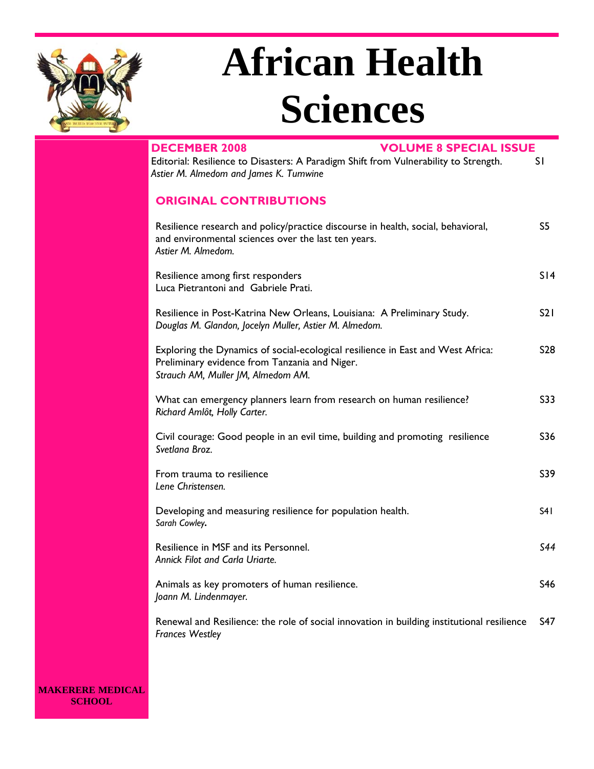

# **African Health Sciences**

| <b>VOLUME 8 SPECIAL ISSUE</b><br><b>DECEMBER 2008</b>                                                                                                                  |                |
|------------------------------------------------------------------------------------------------------------------------------------------------------------------------|----------------|
| Editorial: Resilience to Disasters: A Paradigm Shift from Vulnerability to Strength.<br>Astier M. Almedom and James K. Tumwine                                         | SI.            |
| <b>ORIGINAL CONTRIBUTIONS</b>                                                                                                                                          |                |
| Resilience research and policy/practice discourse in health, social, behavioral,<br>and environmental sciences over the last ten years.<br>Astier M. Almedom.          | S <sub>5</sub> |
| Resilience among first responders<br>Luca Pietrantoni and Gabriele Prati.                                                                                              | S14            |
| Resilience in Post-Katrina New Orleans, Louisiana: A Preliminary Study.<br>Douglas M. Glandon, Jocelyn Muller, Astier M. Almedom.                                      | S21            |
| Exploring the Dynamics of social-ecological resilience in East and West Africa:<br>Preliminary evidence from Tanzania and Niger.<br>Strauch AM, Muller JM, Almedom AM. | <b>S28</b>     |
| What can emergency planners learn from research on human resilience?<br>Richard Amlôt, Holly Carter.                                                                   | S33            |
| Civil courage: Good people in an evil time, building and promoting resilience<br>Svetlana Broz.                                                                        | S36            |
| From trauma to resilience<br>Lene Christensen.                                                                                                                         | S39            |
| Developing and measuring resilience for population health.<br>Sarah Cowley.                                                                                            | S41            |
| Resilience in MSF and its Personnel.<br>Annick Filot and Carla Uriarte.                                                                                                | S44            |
| Animals as key promoters of human resilience.<br>Joann M. Lindenmayer.                                                                                                 | S46            |
| Renewal and Resilience: the role of social innovation in building institutional resilience<br><b>Frances Westley</b>                                                   | S47            |

**MAKERERE MEDICAL SCHOOL**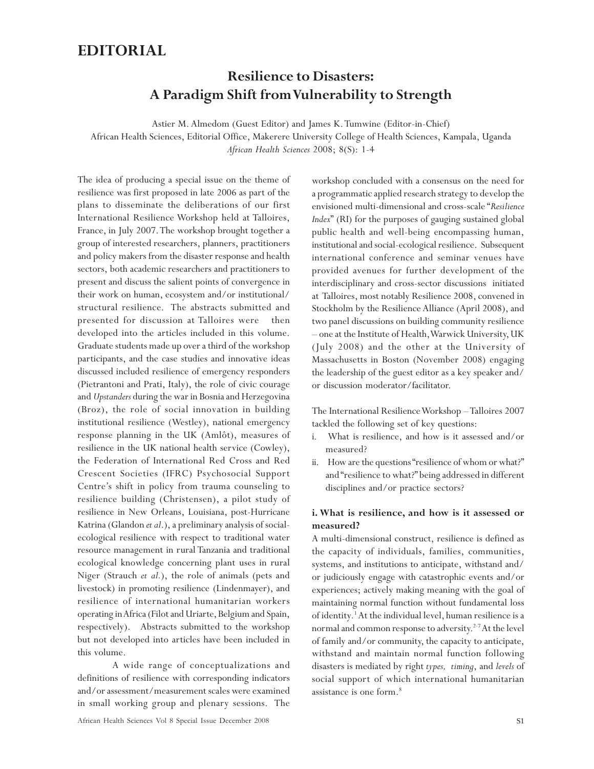### **EDITORIAL**

# **Resilience to Disasters: A Paradigm Shift from Vulnerability to Strength**

Astier M. Almedom (Guest Editor) and James K. Tumwine (Editor-in-Chief) African Health Sciences, Editorial Office, Makerere University College of Health Sciences, Kampala, Uganda *African Health Sciences* 2008; 8(S): 1-4

The idea of producing a special issue on the theme of resilience was first proposed in late 2006 as part of the plans to disseminate the deliberations of our first International Resilience Workshop held at Talloires, France, in July 2007. The workshop brought together a group of interested researchers, planners, practitioners and policy makers from the disaster response and health sectors, both academic researchers and practitioners to present and discuss the salient points of convergence in their work on human, ecosystem and/or institutional/ structural resilience. The abstracts submitted and presented for discussion at Talloires were then developed into the articles included in this volume. Graduate students made up over a third of the workshop participants, and the case studies and innovative ideas discussed included resilience of emergency responders (Pietrantoni and Prati, Italy), the role of civic courage and *Upstanders* during the war in Bosnia and Herzegovina (Broz), the role of social innovation in building institutional resilience (Westley), national emergency response planning in the UK (Amlôt), measures of resilience in the UK national health service (Cowley), the Federation of International Red Cross and Red Crescent Societies (IFRC) Psychosocial Support Centre's shift in policy from trauma counseling to resilience building (Christensen), a pilot study of resilience in New Orleans, Louisiana, post-Hurricane Katrina (Glandon *et al*.), a preliminary analysis of socialecological resilience with respect to traditional water resource management in rural Tanzania and traditional ecological knowledge concerning plant uses in rural Niger (Strauch *et al.*), the role of animals (pets and livestock) in promoting resilience (Lindenmayer), and resilience of international humanitarian workers operating in Africa (Filot and Uriarte, Belgium and Spain, respectively). Abstracts submitted to the workshop but not developed into articles have been included in this volume.

A wide range of conceptualizations and definitions of resilience with corresponding indicators and/or assessment/measurement scales were examined in small working group and plenary sessions. The workshop concluded with a consensus on the need for a programmatic applied research strategy to develop the envisioned multi-dimensional and cross-scale "*Resilience Index*" (RI) for the purposes of gauging sustained global public health and well-being encompassing human, institutional and social-ecological resilience. Subsequent international conference and seminar venues have provided avenues for further development of the interdisciplinary and cross-sector discussions initiated at Talloires, most notably Resilience 2008, convened in Stockholm by the Resilience Alliance (April 2008), and two panel discussions on building community resilience – one at the Institute of Health, Warwick University, UK (July 2008) and the other at the University of Massachusetts in Boston (November 2008) engaging the leadership of the guest editor as a key speaker and/ or discussion moderator/facilitator.

The International Resilience Workshop – Talloires 2007 tackled the following set of key questions:

- i. What is resilience, and how is it assessed and/or measured?
- ii. How are the questions "resilience of whom or what?" and "resilience to what?" being addressed in different disciplines and/or practice sectors?

### **i. What is resilience, and how is it assessed or measured?**

A multi-dimensional construct, resilience is defined as the capacity of individuals, families, communities, systems, and institutions to anticipate, withstand and/ or judiciously engage with catastrophic events and/or experiences; actively making meaning with the goal of maintaining normal function without fundamental loss of identity.<sup>1</sup> At the individual level, human resilience is a normal and common response to adversity.<sup>2-7</sup> At the level of family and/or community, the capacity to anticipate, withstand and maintain normal function following disasters is mediated by right *types, timing*, and *levels* of social support of which international humanitarian assistance is one form.8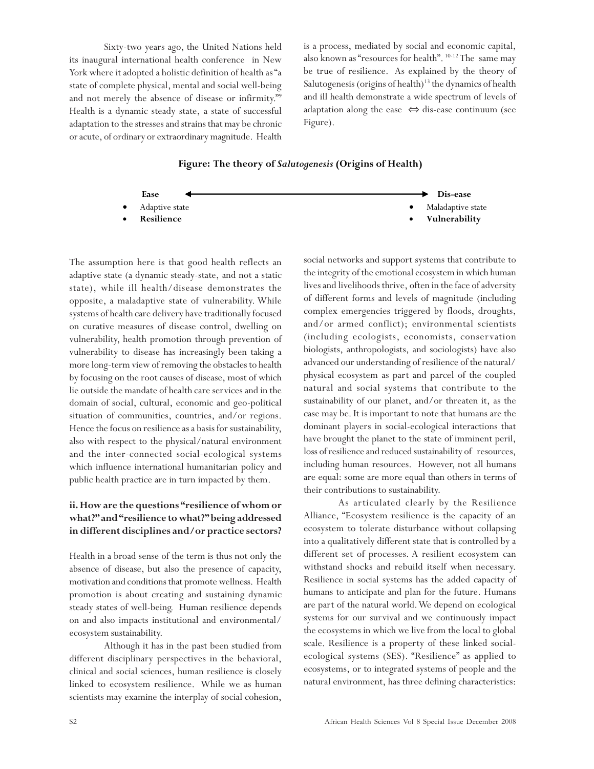Sixty-two years ago, the United Nations held its inaugural international health conference in New York where it adopted a holistic definition of health as "a state of complete physical, mental and social well-being and not merely the absence of disease or infirmity."9 Health is a dynamic steady state, a state of successful adaptation to the stresses and strains that may be chronic or acute, of ordinary or extraordinary magnitude. Health is a process, mediated by social and economic capital, also known as "resources for health". 10-12 The same may be true of resilience. As explained by the theory of Salutogenesis (origins of health)<sup>13</sup> the dynamics of health and ill health demonstrate a wide spectrum of levels of adaptation along the ease ⇔ dis-ease continuum (see Figure).

**Figure: The theory of** *Salutogenesis* **(Origins of Health)**



The assumption here is that good health reflects an adaptive state (a dynamic steady-state, and not a static state), while ill health/disease demonstrates the opposite, a maladaptive state of vulnerability. While systems of health care delivery have traditionally focused on curative measures of disease control, dwelling on vulnerability, health promotion through prevention of vulnerability to disease has increasingly been taking a more long-term view of removing the obstacles to health by focusing on the root causes of disease, most of which lie outside the mandate of health care services and in the domain of social, cultural, economic and geo-political situation of communities, countries, and/or regions. Hence the focus on resilience as a basis for sustainability, also with respect to the physical/natural environment and the inter-connected social-ecological systems which influence international humanitarian policy and public health practice are in turn impacted by them.

### **ii. How are the questions "resilience of whom or what?" and "resilience to what?" being addressed in different disciplines and/or practice sectors?**

Health in a broad sense of the term is thus not only the absence of disease, but also the presence of capacity, motivation and conditions that promote wellness. Health promotion is about creating and sustaining dynamic steady states of well-being. Human resilience depends on and also impacts institutional and environmental/ ecosystem sustainability.

Although it has in the past been studied from different disciplinary perspectives in the behavioral, clinical and social sciences, human resilience is closely linked to ecosystem resilience. While we as human scientists may examine the interplay of social cohesion,

social networks and support systems that contribute to the integrity of the emotional ecosystem in which human lives and livelihoods thrive, often in the face of adversity of different forms and levels of magnitude (including complex emergencies triggered by floods, droughts, and/or armed conflict); environmental scientists (including ecologists, economists, conservation biologists, anthropologists, and sociologists) have also advanced our understanding of resilience of the natural/ physical ecosystem as part and parcel of the coupled natural and social systems that contribute to the sustainability of our planet, and/or threaten it, as the case may be. It is important to note that humans are the dominant players in social-ecological interactions that have brought the planet to the state of imminent peril, loss of resilience and reduced sustainability of resources, including human resources. However, not all humans are equal: some are more equal than others in terms of their contributions to sustainability.

As articulated clearly by the Resilience Alliance, "Ecosystem resilience is the capacity of an ecosystem to tolerate disturbance without collapsing into a qualitatively different state that is controlled by a different set of processes. A resilient ecosystem can withstand shocks and rebuild itself when necessary. Resilience in social systems has the added capacity of humans to anticipate and plan for the future. Humans are part of the natural world. We depend on ecological systems for our survival and we continuously impact the ecosystems in which we live from the local to global scale. Resilience is a property of these linked socialecological systems (SES). "Resilience" as applied to ecosystems, or to integrated systems of people and the natural environment, has three defining characteristics: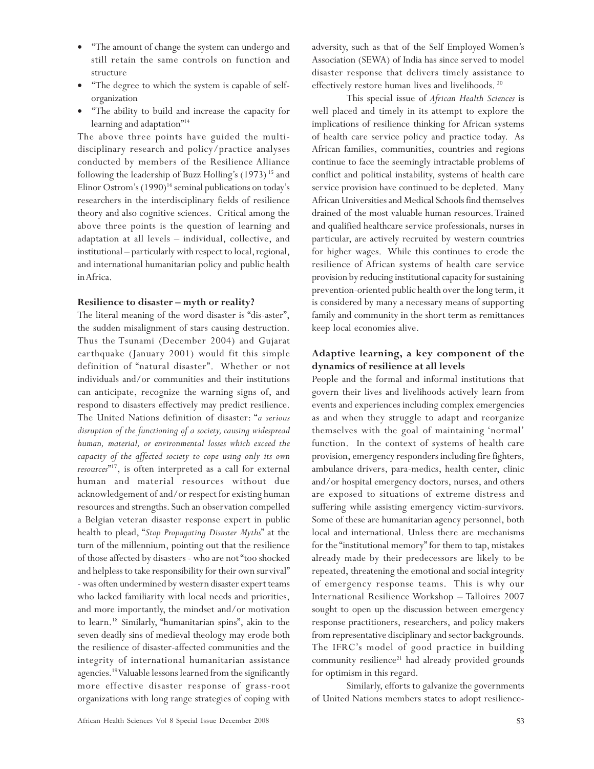- "The amount of change the system can undergo and still retain the same controls on function and structure
- "The degree to which the system is capable of selforganization
- "The ability to build and increase the capacity for learning and adaptation"<sup>14</sup>

The above three points have guided the multidisciplinary research and policy/practice analyses conducted by members of the Resilience Alliance following the leadership of Buzz Holling's (1973)<sup>15</sup> and Elinor Ostrom's  $(1990)^{16}$  seminal publications on today's researchers in the interdisciplinary fields of resilience theory and also cognitive sciences. Critical among the above three points is the question of learning and adaptation at all levels – individual, collective, and institutional – particularly with respect to local, regional, and international humanitarian policy and public health in Africa.

### **Resilience to disaster – myth or reality?**

The literal meaning of the word disaster is "dis-aster", the sudden misalignment of stars causing destruction. Thus the Tsunami (December 2004) and Gujarat earthquake (January 2001) would fit this simple definition of "natural disaster". Whether or not individuals and/or communities and their institutions can anticipate, recognize the warning signs of, and respond to disasters effectively may predict resilience. The United Nations definition of disaster: "*a serious disruption of the functioning of a society, causing widespread human, material, or environmental losses which exceed the capacity of the affected society to cope using only its own resources*" 17, is often interpreted as a call for external human and material resources without due acknowledgement of and/or respect for existing human resources and strengths. Such an observation compelled a Belgian veteran disaster response expert in public health to plead, "*Stop Propagating Disaster Myths*" at the turn of the millennium, pointing out that the resilience of those affected by disasters - who are not "too shocked and helpless to take responsibility for their own survival" - was often undermined by western disaster expert teams who lacked familiarity with local needs and priorities, and more importantly, the mindset and/or motivation to learn.18 Similarly, "humanitarian spins", akin to the seven deadly sins of medieval theology may erode both the resilience of disaster-affected communities and the integrity of international humanitarian assistance agencies.19 Valuable lessons learned from the significantly more effective disaster response of grass-root organizations with long range strategies of coping with

adversity, such as that of the Self Employed Women's Association (SEWA) of India has since served to model disaster response that delivers timely assistance to effectively restore human lives and livelihoods. 20

This special issue of *African Health Sciences* is well placed and timely in its attempt to explore the implications of resilience thinking for African systems of health care service policy and practice today. As African families, communities, countries and regions continue to face the seemingly intractable problems of conflict and political instability, systems of health care service provision have continued to be depleted. Many African Universities and Medical Schools find themselves drained of the most valuable human resources. Trained and qualified healthcare service professionals, nurses in particular, are actively recruited by western countries for higher wages. While this continues to erode the resilience of African systems of health care service provision by reducing institutional capacity for sustaining prevention-oriented public health over the long term, it is considered by many a necessary means of supporting family and community in the short term as remittances keep local economies alive.

### **Adaptive learning, a key component of the dynamics of resilience at all levels**

People and the formal and informal institutions that govern their lives and livelihoods actively learn from events and experiences including complex emergencies as and when they struggle to adapt and reorganize themselves with the goal of maintaining 'normal' function. In the context of systems of health care provision, emergency responders including fire fighters, ambulance drivers, para-medics, health center, clinic and/or hospital emergency doctors, nurses, and others are exposed to situations of extreme distress and suffering while assisting emergency victim-survivors. Some of these are humanitarian agency personnel, both local and international. Unless there are mechanisms for the "institutional memory" for them to tap, mistakes already made by their predecessors are likely to be repeated, threatening the emotional and social integrity of emergency response teams. This is why our International Resilience Workshop – Talloires 2007 sought to open up the discussion between emergency response practitioners, researchers, and policy makers from representative disciplinary and sector backgrounds. The IFRC's model of good practice in building community resilience $21$  had already provided grounds for optimism in this regard.

Similarly, efforts to galvanize the governments of United Nations members states to adopt resilience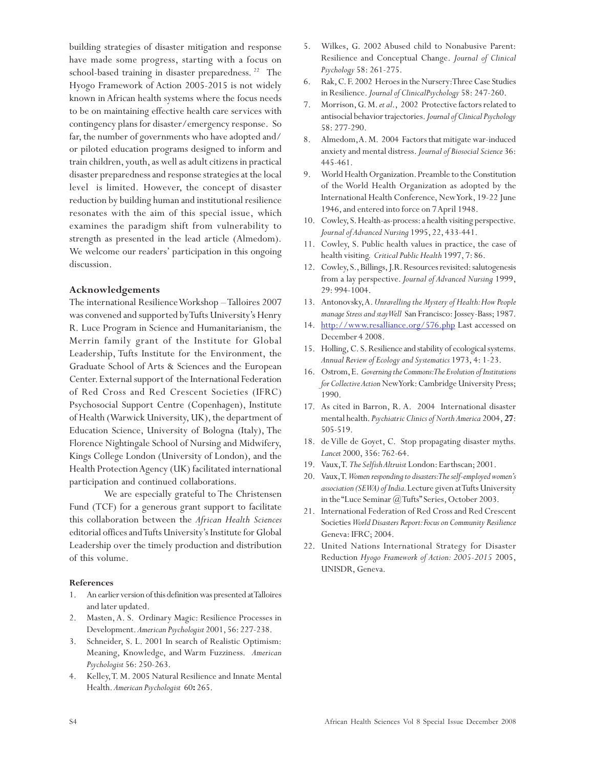building strategies of disaster mitigation and response have made some progress, starting with a focus on school-based training in disaster preparedness.<sup>22</sup> The Hyogo Framework of Action 2005-2015 is not widely known in African health systems where the focus needs to be on maintaining effective health care services with contingency plans for disaster/emergency response. So far, the number of governments who have adopted and/ or piloted education programs designed to inform and train children, youth, as well as adult citizens in practical disaster preparedness and response strategies at the local level is limited. However, the concept of disaster reduction by building human and institutional resilience resonates with the aim of this special issue, which examines the paradigm shift from vulnerability to strength as presented in the lead article (Almedom). We welcome our readers' participation in this ongoing discussion.

### **Acknowledgements**

The international Resilience Workshop – Talloires 2007 was convened and supported by Tufts University's Henry R. Luce Program in Science and Humanitarianism, the Merrin family grant of the Institute for Global Leadership, Tufts Institute for the Environment, the Graduate School of Arts & Sciences and the European Center. External support of the International Federation of Red Cross and Red Crescent Societies (IFRC) Psychosocial Support Centre (Copenhagen), Institute of Health (Warwick University, UK), the department of Education Science, University of Bologna (Italy), The Florence Nightingale School of Nursing and Midwifery, Kings College London (University of London), and the Health Protection Agency (UK) facilitated international participation and continued collaborations.

We are especially grateful to The Christensen Fund (TCF) for a generous grant support to facilitate this collaboration between the *African Health Sciences* editorial offices and Tufts University's Institute for Global Leadership over the timely production and distribution of this volume.

### **References**

- 1. An earlier version of this definition was presented at Talloires and later updated.
- 2. Masten, A. S. Ordinary Magic: Resilience Processes in Development. *American Psychologist* 2001, 56: 227-238.
- 3. Schneider, S. L. 2001 In search of Realistic Optimism: Meaning, Knowledge, and Warm Fuzziness. *American Psychologist* 56: 250-263.
- 4. Kelley, T. M. 2005 Natural Resilience and Innate Mental Health. *American Psychologist* 60**:** 265.
- 5. Wilkes, G. 2002 Abused child to Nonabusive Parent: Resilience and Conceptual Change. *Journal of Clinical Psychology* 58: 261-275.
- 6. Rak, C. F. 2002 Heroes in the Nursery: Three Case Studies in Resilience. *Journal of ClinicalPsychology* 58: 247-260.
- 7. Morrison, G. M. *et al*., 2002 Protective factors related to antisocial behavior trajectories. *Journal of Clinical Psychology* 58: 277-290.
- 8. Almedom, A. M. 2004 Factors that mitigate war-induced anxiety and mental distress. *Journal of Biosocial Science* 36: 445-461.
- 9. World Health Organization. Preamble to the Constitution of the World Health Organization as adopted by the International Health Conference, New York, 19-22 June 1946, and entered into force on 7 April 1948.
- 10. Cowley, S. Health-as-process: a health visiting perspective. *Journal of Advanced Nursing* 1995, 22, 433-441.
- 11. Cowley, S. Public health values in practice, the case of health visiting. *Critical Public Health* 1997, 7: 86.
- 12. Cowley, S., Billings, J.R. Resources revisited: salutogenesis from a lay perspective. *Journal of Advanced Nursing* 1999, 29: 994-1004.
- 13. Antonovsky, A. *Unravelling the Mystery of Health: How People manage Stress and stay Well* San Francisco: Jossey-Bass; 1987.
- 14. http://www.resalliance.org/576.php Last accessed on December 4 2008.
- 15. Holling, C. S. Resilience and stability of ecological systems. *Annual Review of Ecology and Systematics* 1973, 4: 1-23.
- 16. Ostrom, E. *Governing the Commons: The Evolution of Institutions for Collective Action* New York: Cambridge University Press; 1990.
- 17. As cited in Barron, R. A. 2004 International disaster mental health. *Psychiatric Clinics of North America* 2004, **27**: 505-519.
- 18. de Ville de Goyet, C. Stop propagating disaster myths. *Lancet* 2000, 356: 762-64.
- 19. Vaux, T. *The Selfish Altruist* London: Earthscan; 2001.
- 20. Vaux, T. *Women responding to disasters: The self-employed women's association (SEWA) of India.* Lecture given at Tufts University in the "Luce Seminar  $(a)$  Tufts" Series, October 2003.
- 21. International Federation of Red Cross and Red Crescent Societies *World Disasters Report: Focus on Community Resilience* Geneva: IFRC; 2004.
- 22. United Nations International Strategy for Disaster Reduction *Hyogo Framework of Action: 2005-2015* 2005, UNISDR, Geneva.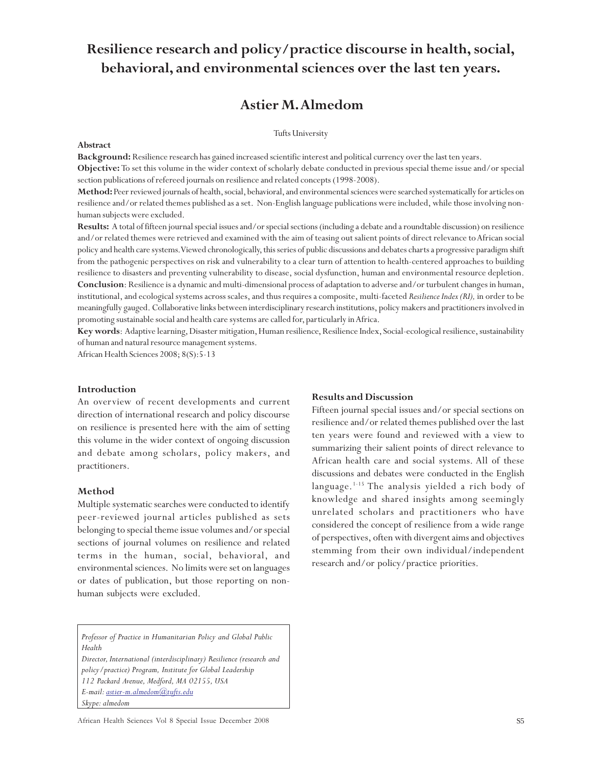# **Resilience research and policy/practice discourse in health, social, behavioral, and environmental sciences over the last ten years.**

### **Astier M. Almedom**

### Tufts University

#### **Abstract**

**Background:** Resilience research has gained increased scientific interest and political currency over the last ten years.

**Objective:** To set this volume in the wider context of scholarly debate conducted in previous special theme issue and/or special section publications of refereed journals on resilience and related concepts (1998-2008).

**Method:** Peer reviewed journals of health, social, behavioral, and environmental sciences were searched systematically for articles on resilience and/or related themes published as a set. Non-English language publications were included, while those involving nonhuman subjects were excluded.

**Results:** A total of fifteen journal special issues and/or special sections (including a debate and a roundtable discussion) on resilience and/or related themes were retrieved and examined with the aim of teasing out salient points of direct relevance to African social policy and health care systems. Viewed chronologically, this series of public discussions and debates charts a progressive paradigm shift from the pathogenic perspectives on risk and vulnerability to a clear turn of attention to health-centered approaches to building resilience to disasters and preventing vulnerability to disease, social dysfunction, human and environmental resource depletion. **Conclusion**: Resilience is a dynamic and multi-dimensional process of adaptation to adverse and/or turbulent changes in human, institutional, and ecological systems across scales, and thus requires a composite, multi-faceted *Resilience Index (RI),* in order to be meaningfully gauged. Collaborative links between interdisciplinary research institutions, policy makers and practitioners involved in promoting sustainable social and health care systems are called for, particularly in Africa.

**Key words**: Adaptive learning, Disaster mitigation, Human resilience, Resilience Index, Social-ecological resilience, sustainability of human and natural resource management systems.

African Health Sciences 2008; 8(S):5-13

### **Introduction**

An overview of recent developments and current direction of international research and policy discourse on resilience is presented here with the aim of setting this volume in the wider context of ongoing discussion and debate among scholars, policy makers, and practitioners.

### **Method**

Multiple systematic searches were conducted to identify peer-reviewed journal articles published as sets belonging to special theme issue volumes and/or special sections of journal volumes on resilience and related terms in the human, social, behavioral, and environmental sciences. No limits were set on languages or dates of publication, but those reporting on nonhuman subjects were excluded.

*Professor of Practice in Humanitarian Policy and Global Public Health*

*Director, International (interdisciplinary) Resilience (research and policy/practice) Program, Institute for Global Leadership 112 Packard Avenue, Medford, MA 02155, USA E-mail: astier-m.almedom@tufts.edu Skype: almedom*

### **Results and Discussion**

Fifteen journal special issues and/or special sections on resilience and/or related themes published over the last ten years were found and reviewed with a view to summarizing their salient points of direct relevance to African health care and social systems. All of these discussions and debates were conducted in the English language.<sup>1-15</sup> The analysis yielded a rich body of knowledge and shared insights among seemingly unrelated scholars and practitioners who have considered the concept of resilience from a wide range of perspectives, often with divergent aims and objectives stemming from their own individual/independent research and/or policy/practice priorities.

African Health Sciences Vol 8 Special Issue December 2008 S5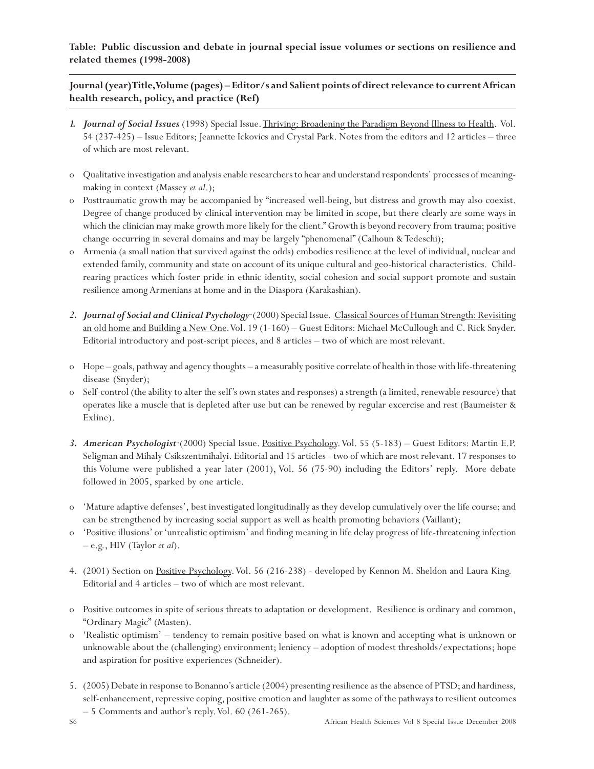**Table: Public discussion and debate in journal special issue volumes or sections on resilience and related themes (1998-2008)**

**Journal (year) Title, Volume (pages) – Editor/s and Salient points of direct relevance to current African health research, policy, and practice (Ref)**

- *1. Journal of Social Issues* (1998) Special Issue. Thriving: Broadening the Paradigm Beyond Illness to Health. Vol. 54 (237-425) – Issue Editors; Jeannette Ickovics and Crystal Park. Notes from the editors and 12 articles – three of which are most relevant.
- o Qualitative investigation and analysis enable researchers to hear and understand respondents' processes of meaningmaking in context (Massey *et al*.);
- o Posttraumatic growth may be accompanied by "increased well-being, but distress and growth may also coexist. Degree of change produced by clinical intervention may be limited in scope, but there clearly are some ways in which the clinician may make growth more likely for the client." Growth is beyond recovery from trauma; positive change occurring in several domains and may be largely "phenomenal" (Calhoun & Tedeschi);
- o Armenia (a small nation that survived against the odds) embodies resilience at the level of individual, nuclear and extended family, community and state on account of its unique cultural and geo-historical characteristics. Childrearing practices which foster pride in ethnic identity, social cohesion and social support promote and sustain resilience among Armenians at home and in the Diaspora (Karakashian).
- *2. Journal of Social and Clinical Psychology*·(2000) Special Issue. Classical Sources of Human Strength: Revisiting an old home and Building a New One. Vol. 19 (1-160) – Guest Editors: Michael McCullough and C. Rick Snyder. Editorial introductory and post-script pieces, and 8 articles – two of which are most relevant.
- o Hope goals, pathway and agency thoughts a measurably positive correlate of health in those with life-threatening disease (Snyder);
- o Self-control (the ability to alter the self's own states and responses) a strength (a limited, renewable resource) that operates like a muscle that is depleted after use but can be renewed by regular excercise and rest (Baumeister & Exline).
- *3. American Psychologist*·(2000) Special Issue. Positive Psychology. Vol. 55 (5-183) Guest Editors: Martin E.P. Seligman and Mihaly Csikszentmihalyi. Editorial and 15 articles - two of which are most relevant. 17 responses to this Volume were published a year later (2001), Vol. 56 (75-90) including the Editors' reply. More debate followed in 2005, sparked by one article.
- o 'Mature adaptive defenses', best investigated longitudinally as they develop cumulatively over the life course; and can be strengthened by increasing social support as well as health promoting behaviors (Vaillant);
- o 'Positive illusions' or 'unrealistic optimism' and finding meaning in life delay progress of life-threatening infection – e.g., HIV (Taylor *et al*).
- 4. (2001) Section on Positive Psychology. Vol. 56 (216-238) developed by Kennon M. Sheldon and Laura King. Editorial and 4 articles – two of which are most relevant.
- o Positive outcomes in spite of serious threats to adaptation or development. Resilience is ordinary and common, "Ordinary Magic" (Masten).
- o 'Realistic optimism' tendency to remain positive based on what is known and accepting what is unknown or unknowable about the (challenging) environment; leniency – adoption of modest thresholds/expectations; hope and aspiration for positive experiences (Schneider).
- 5. (2005) Debate in response to Bonanno's article (2004) presenting resilience as the absence of PTSD; and hardiness, self-enhancement, repressive coping, positive emotion and laughter as some of the pathways to resilient outcomes – 5 Comments and author's reply. Vol. 60 (261-265).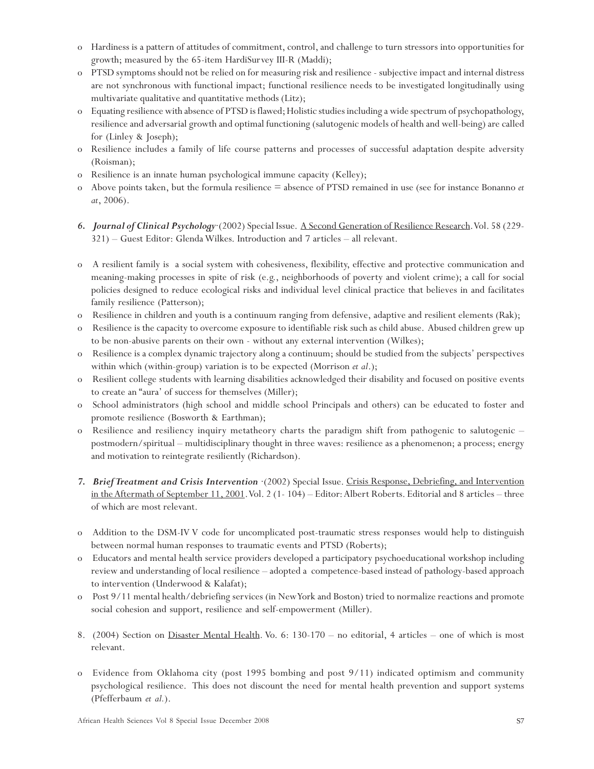- o Hardiness is a pattern of attitudes of commitment, control, and challenge to turn stressors into opportunities for growth; measured by the 65-item HardiSurvey III-R (Maddi);
- o PTSD symptoms should not be relied on for measuring risk and resilience subjective impact and internal distress are not synchronous with functional impact; functional resilience needs to be investigated longitudinally using multivariate qualitative and quantitative methods (Litz);
- o Equating resilience with absence of PTSD is flawed; Holistic studies including a wide spectrum of psychopathology, resilience and adversarial growth and optimal functioning (salutogenic models of health and well-being) are called for (Linley & Joseph);
- o Resilience includes a family of life course patterns and processes of successful adaptation despite adversity (Roisman);
- o Resilience is an innate human psychological immune capacity (Kelley);
- o Above points taken, but the formula resilience = absence of PTSD remained in use (see for instance Bonanno *et at*, 2006).
- *6. Journal of Clinical Psychology*·(2002) Special Issue. A Second Generation of Resilience Research. Vol. 58 (229- 321) – Guest Editor: Glenda Wilkes. Introduction and 7 articles – all relevant.
- o A resilient family is a social system with cohesiveness, flexibility, effective and protective communication and meaning-making processes in spite of risk (e.g., neighborhoods of poverty and violent crime); a call for social policies designed to reduce ecological risks and individual level clinical practice that believes in and facilitates family resilience (Patterson);
- o Resilience in children and youth is a continuum ranging from defensive, adaptive and resilient elements (Rak);
- o Resilience is the capacity to overcome exposure to identifiable risk such as child abuse. Abused children grew up to be non-abusive parents on their own - without any external intervention (Wilkes);
- o Resilience is a complex dynamic trajectory along a continuum; should be studied from the subjects' perspectives within which (within-group) variation is to be expected (Morrison *et al*.);
- o Resilient college students with learning disabilities acknowledged their disability and focused on positive events to create an "aura' of success for themselves (Miller);
- o School administrators (high school and middle school Principals and others) can be educated to foster and promote resilience (Bosworth & Earthman);
- o Resilience and resiliency inquiry metatheory charts the paradigm shift from pathogenic to salutogenic postmodern/spiritual – multidisciplinary thought in three waves: resilience as a phenomenon; a process; energy and motivation to reintegrate resiliently (Richardson).
- *7. Brief Treatment and Crisis Intervention* ·(2002) Special Issue. Crisis Response, Debriefing, and Intervention in the Aftermath of September 11, 2001. Vol. 2 (1- 104) – Editor: Albert Roberts. Editorial and 8 articles – three of which are most relevant.
- o Addition to the DSM-IV V code for uncomplicated post-traumatic stress responses would help to distinguish between normal human responses to traumatic events and PTSD (Roberts);
- o Educators and mental health service providers developed a participatory psychoeducational workshop including review and understanding of local resilience – adopted a competence-based instead of pathology-based approach to intervention (Underwood & Kalafat);
- o Post 9/11 mental health/debriefing services (in New York and Boston) tried to normalize reactions and promote social cohesion and support, resilience and self-empowerment (Miller).
- 8. (2004) Section on Disaster Mental Health. Vo. 6: 130-170 no editorial, 4 articles one of which is most relevant.
- o Evidence from Oklahoma city (post 1995 bombing and post 9/11) indicated optimism and community psychological resilience. This does not discount the need for mental health prevention and support systems (Pfefferbaum *et al.*).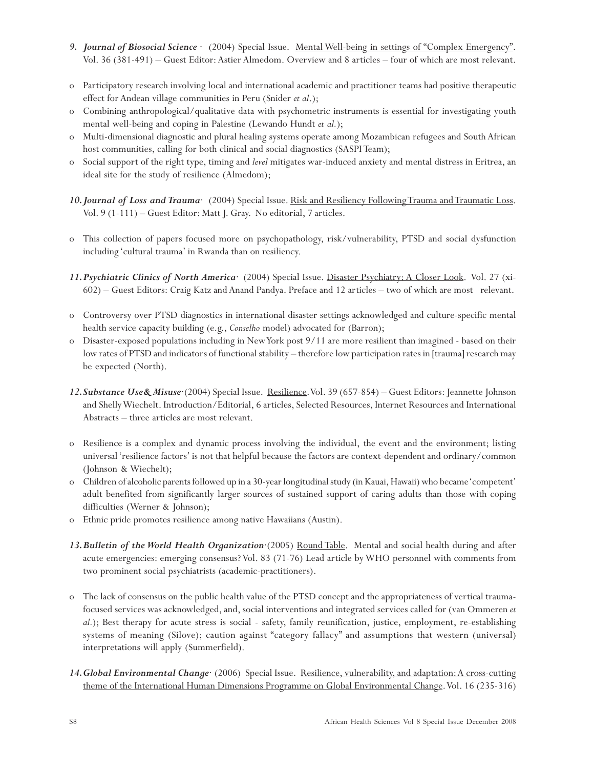- *9. Journal of Biosocial Science* · (2004) Special Issue. Mental Well-being in settings of "Complex Emergency". Vol. 36 (381-491) – Guest Editor: Astier Almedom. Overview and 8 articles – four of which are most relevant.
- o Participatory research involving local and international academic and practitioner teams had positive therapeutic effect for Andean village communities in Peru (Snider *et al*.);
- o Combining anthropological/qualitative data with psychometric instruments is essential for investigating youth mental well-being and coping in Palestine (Lewando Hundt *et al.*);
- o Multi-dimensional diagnostic and plural healing systems operate among Mozambican refugees and South African host communities, calling for both clinical and social diagnostics (SASPI Team);
- o Social support of the right type, timing and *level* mitigates war-induced anxiety and mental distress in Eritrea, an ideal site for the study of resilience (Almedom);
- 10. Journal of Loss and Trauma<sup>·</sup> (2004) Special Issue. Risk and Resiliency Following Trauma and Traumatic Loss. Vol. 9 (1-111) – Guest Editor: Matt J. Gray. No editorial, 7 articles.
- o This collection of papers focused more on psychopathology, risk/vulnerability, PTSD and social dysfunction including 'cultural trauma' in Rwanda than on resiliency.
- *11.Psychiatric Clinics of North America*· (2004) Special Issue. Disaster Psychiatry: A Closer Look. Vol. 27 (xi-602) – Guest Editors: Craig Katz and Anand Pandya. Preface and 12 articles – two of which are most relevant.
- o Controversy over PTSD diagnostics in international disaster settings acknowledged and culture-specific mental health service capacity building (e.g., *Conselho* model) advocated for (Barron);
- o Disaster-exposed populations including in New York post 9/11 are more resilient than imagined based on their low rates of PTSD and indicators of functional stability – therefore low participation rates in [trauma] research may be expected (North).
- *12.Substance Use& Misuse*·(2004) Special Issue. Resilience. Vol. 39 (657-854) Guest Editors: Jeannette Johnson and Shelly Wiechelt. Introduction/Editorial, 6 articles, Selected Resources, Internet Resources and International Abstracts – three articles are most relevant.
- o Resilience is a complex and dynamic process involving the individual, the event and the environment; listing universal 'resilience factors' is not that helpful because the factors are context-dependent and ordinary/common (Johnson & Wiechelt);
- o Children of alcoholic parents followed up in a 30-year longitudinal study (in Kauai, Hawaii) who became 'competent' adult benefited from significantly larger sources of sustained support of caring adults than those with coping difficulties (Werner & Johnson);
- o Ethnic pride promotes resilience among native Hawaiians (Austin).
- *13.Bulletin of the World Health Organization*·(2005) Round Table. Mental and social health during and after acute emergencies: emerging consensus? Vol. 83 (71-76) Lead article by WHO personnel with comments from two prominent social psychiatrists (academic-practitioners).
- o The lack of consensus on the public health value of the PTSD concept and the appropriateness of vertical traumafocused services was acknowledged, and, social interventions and integrated services called for (van Ommeren *et al.*); Best therapy for acute stress is social - safety, family reunification, justice, employment, re-establishing systems of meaning (Silove); caution against "category fallacy" and assumptions that western (universal) interpretations will apply (Summerfield).
- 14. Global Environmental Change<sup>·</sup> (2006) Special Issue. <u>Resilience, vulnerability, and adaptation: A cross-cutting</u> theme of the International Human Dimensions Programme on Global Environmental Change. Vol. 16 (235-316)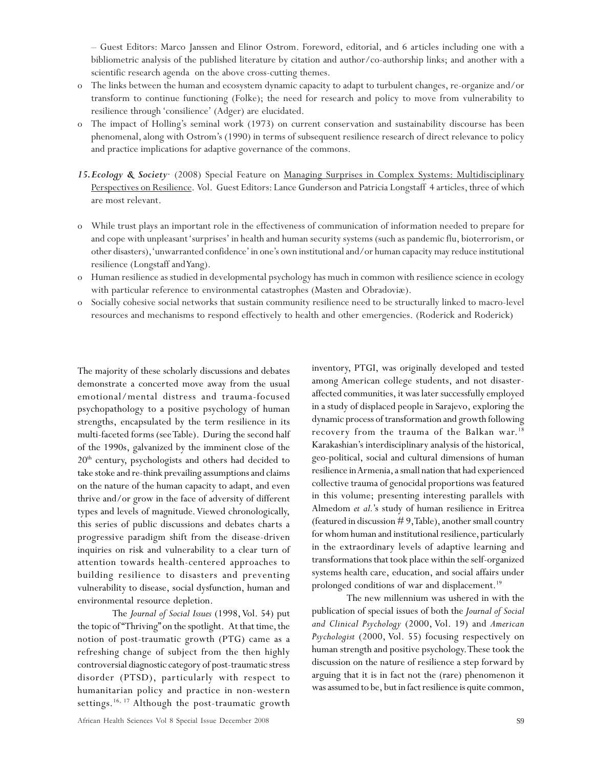– Guest Editors: Marco Janssen and Elinor Ostrom. Foreword, editorial, and 6 articles including one with a bibliometric analysis of the published literature by citation and author/co-authorship links; and another with a scientific research agenda on the above cross-cutting themes.

- o The links between the human and ecosystem dynamic capacity to adapt to turbulent changes, re-organize and/or transform to continue functioning (Folke); the need for research and policy to move from vulnerability to resilience through 'consilience' (Adger) are elucidated.
- o The impact of Holling's seminal work (1973) on current conservation and sustainability discourse has been phenomenal, along with Ostrom's (1990) in terms of subsequent resilience research of direct relevance to policy and practice implications for adaptive governance of the commons.
- *15.Ecology & Society*· (2008) Special Feature on Managing Surprises in Complex Systems: Multidisciplinary Perspectives on Resilience. Vol. Guest Editors: Lance Gunderson and Patricia Longstaff 4 articles, three of which are most relevant.
- o While trust plays an important role in the effectiveness of communication of information needed to prepare for and cope with unpleasant 'surprises' in health and human security systems (such as pandemic flu, bioterrorism, or other disasters), 'unwarranted confidence' in one's own institutional and/or human capacity may reduce institutional resilience (Longstaff and Yang).
- o Human resilience as studied in developmental psychology has much in common with resilience science in ecology with particular reference to environmental catastrophes (Masten and Obradoviæ).
- o Socially cohesive social networks that sustain community resilience need to be structurally linked to macro-level resources and mechanisms to respond effectively to health and other emergencies. (Roderick and Roderick)

The majority of these scholarly discussions and debates demonstrate a concerted move away from the usual emotional/mental distress and trauma-focused psychopathology to a positive psychology of human strengths, encapsulated by the term resilience in its multi-faceted forms (see Table). During the second half of the 1990s, galvanized by the imminent close of the  $20<sup>th</sup>$  century, psychologists and others had decided to take stoke and re-think prevailing assumptions and claims on the nature of the human capacity to adapt, and even thrive and/or grow in the face of adversity of different types and levels of magnitude. Viewed chronologically, this series of public discussions and debates charts a progressive paradigm shift from the disease-driven inquiries on risk and vulnerability to a clear turn of attention towards health-centered approaches to building resilience to disasters and preventing vulnerability to disease, social dysfunction, human and environmental resource depletion.

The *Journal of Social Issues* (1998, Vol. 54) put the topic of "Thriving" on the spotlight. At that time, the notion of post-traumatic growth (PTG) came as a refreshing change of subject from the then highly controversial diagnostic category of post-traumatic stress disorder (PTSD), particularly with respect to humanitarian policy and practice in non-western settings.<sup>16, 17</sup> Although the post-traumatic growth inventory, PTGI, was originally developed and tested among American college students, and not disasteraffected communities, it was later successfully employed in a study of displaced people in Sarajevo, exploring the dynamic process of transformation and growth following recovery from the trauma of the Balkan war.<sup>18</sup> Karakashian's interdisciplinary analysis of the historical, geo-political, social and cultural dimensions of human resilience in Armenia, a small nation that had experienced collective trauma of genocidal proportions was featured in this volume; presenting interesting parallels with Almedom *et al.*'s study of human resilience in Eritrea (featured in discussion  $# 9$ , Table), another small country for whom human and institutional resilience, particularly in the extraordinary levels of adaptive learning and transformations that took place within the self-organized systems health care, education, and social affairs under prolonged conditions of war and displacement.<sup>19</sup>

The new millennium was ushered in with the publication of special issues of both the *Journal of Social and Clinical Psychology* (2000, Vol. 19) and *American Psychologist* (2000, Vol. 55) focusing respectively on human strength and positive psychology. These took the discussion on the nature of resilience a step forward by arguing that it is in fact not the (rare) phenomenon it was assumed to be, but in fact resilience is quite common,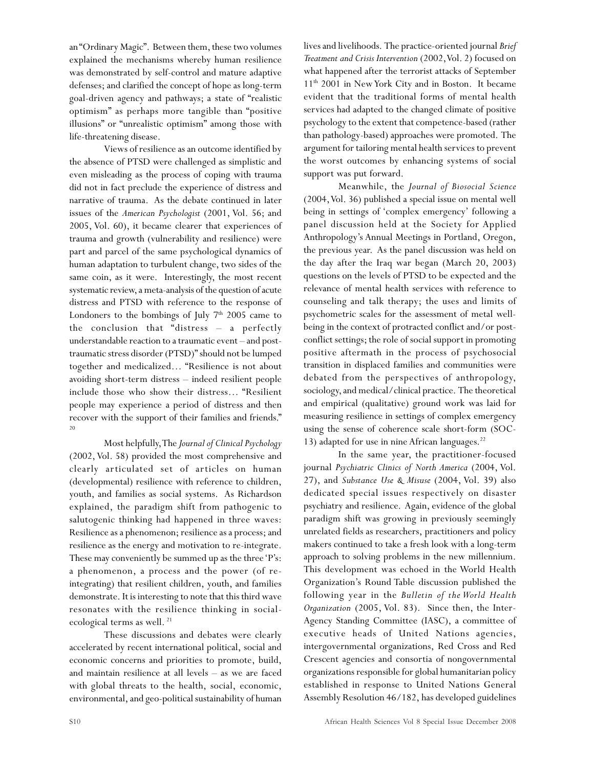an "Ordinary Magic". Between them, these two volumes explained the mechanisms whereby human resilience was demonstrated by self-control and mature adaptive defenses; and clarified the concept of hope as long-term goal-driven agency and pathways; a state of "realistic optimism" as perhaps more tangible than "positive illusions" or "unrealistic optimism" among those with life-threatening disease.

Views of resilience as an outcome identified by the absence of PTSD were challenged as simplistic and even misleading as the process of coping with trauma did not in fact preclude the experience of distress and narrative of trauma. As the debate continued in later issues of the *American Psychologist* (2001, Vol. 56; and 2005, Vol. 60), it became clearer that experiences of trauma and growth (vulnerability and resilience) were part and parcel of the same psychological dynamics of human adaptation to turbulent change, two sides of the same coin, as it were. Interestingly, the most recent systematic review, a meta-analysis of the question of acute distress and PTSD with reference to the response of Londoners to the bombings of July  $7<sup>th</sup>$  2005 came to the conclusion that "distress – a perfectly understandable reaction to a traumatic event – and posttraumatic stress disorder (PTSD)" should not be lumped together and medicalized… "Resilience is not about avoiding short-term distress – indeed resilient people include those who show their distress… "Resilient people may experience a period of distress and then recover with the support of their families and friends." 20

Most helpfully, The *Journal of Clinical Psychology* (2002, Vol. 58) provided the most comprehensive and clearly articulated set of articles on human (developmental) resilience with reference to children, youth, and families as social systems. As Richardson explained, the paradigm shift from pathogenic to salutogenic thinking had happened in three waves: Resilience as a phenomenon; resilience as a process; and resilience as the energy and motivation to re-integrate. These may conveniently be summed up as the three 'P's: a phenomenon, a process and the power (of reintegrating) that resilient children, youth, and families demonstrate. It is interesting to note that this third wave resonates with the resilience thinking in socialecological terms as well.<sup>21</sup>

These discussions and debates were clearly accelerated by recent international political, social and economic concerns and priorities to promote, build, and maintain resilience at all levels – as we are faced with global threats to the health, social, economic, environmental, and geo-political sustainability of human lives and livelihoods. The practice-oriented journal *Brief Treatment and Crisis Intervention* (2002, Vol. 2) focused on what happened after the terrorist attacks of September 11<sup>th</sup> 2001 in New York City and in Boston. It became evident that the traditional forms of mental health services had adapted to the changed climate of positive psychology to the extent that competence-based (rather than pathology-based) approaches were promoted. The argument for tailoring mental health services to prevent the worst outcomes by enhancing systems of social support was put forward.

Meanwhile, the *Journal of Biosocial Science* (2004, Vol. 36) published a special issue on mental well being in settings of 'complex emergency' following a panel discussion held at the Society for Applied Anthropology's Annual Meetings in Portland, Oregon, the previous year. As the panel discussion was held on the day after the Iraq war began (March 20, 2003) questions on the levels of PTSD to be expected and the relevance of mental health services with reference to counseling and talk therapy; the uses and limits of psychometric scales for the assessment of metal wellbeing in the context of protracted conflict and/or postconflict settings; the role of social support in promoting positive aftermath in the process of psychosocial transition in displaced families and communities were debated from the perspectives of anthropology, sociology, and medical/clinical practice. The theoretical and empirical (qualitative) ground work was laid for measuring resilience in settings of complex emergency using the sense of coherence scale short-form (SOC-13) adapted for use in nine African languages.<sup>22</sup>

In the same year, the practitioner-focused journal *Psychiatric Clinics of North America* (2004, Vol. 27), and *Substance Use & Misuse* (2004, Vol. 39) also dedicated special issues respectively on disaster psychiatry and resilience. Again, evidence of the global paradigm shift was growing in previously seemingly unrelated fields as researchers, practitioners and policy makers continued to take a fresh look with a long-term approach to solving problems in the new millennium. This development was echoed in the World Health Organization's Round Table discussion published the following year in the *Bulletin of the World Health Organization* (2005, Vol. 83). Since then, the Inter-Agency Standing Committee (IASC), a committee of executive heads of United Nations agencies, intergovernmental organizations, Red Cross and Red Crescent agencies and consortia of nongovernmental organizations responsible for global humanitarian policy established in response to United Nations General Assembly Resolution 46/182, has developed guidelines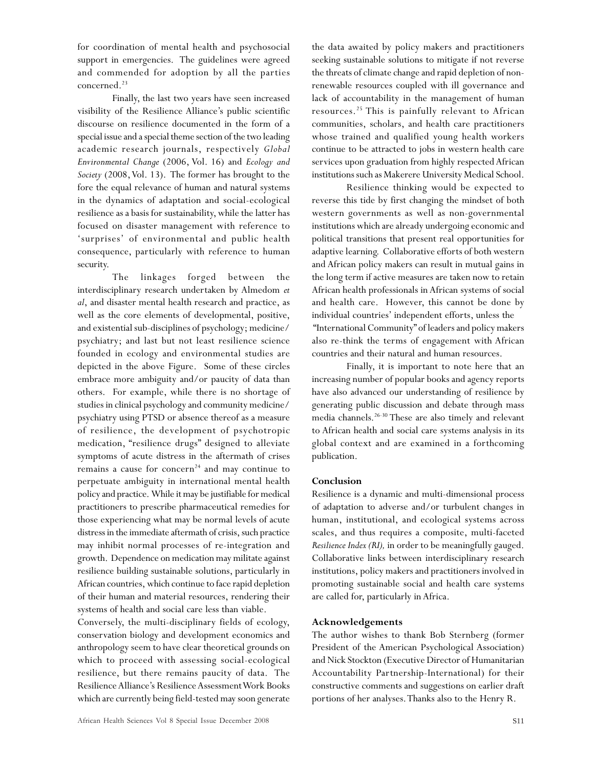for coordination of mental health and psychosocial support in emergencies. The guidelines were agreed and commended for adoption by all the parties concerned.<sup>23</sup>

Finally, the last two years have seen increased visibility of the Resilience Alliance's public scientific discourse on resilience documented in the form of a special issue and a special theme section of the two leading academic research journals, respectively *Global Environmental Change* (2006, Vol. 16) and *Ecology and Society* (2008, Vol. 13). The former has brought to the fore the equal relevance of human and natural systems in the dynamics of adaptation and social-ecological resilience as a basis for sustainability, while the latter has focused on disaster management with reference to 'surprises' of environmental and public health consequence, particularly with reference to human security.

The linkages forged between the interdisciplinary research undertaken by Almedom *et al*, and disaster mental health research and practice, as well as the core elements of developmental, positive, and existential sub-disciplines of psychology; medicine/ psychiatry; and last but not least resilience science founded in ecology and environmental studies are depicted in the above Figure. Some of these circles embrace more ambiguity and/or paucity of data than others. For example, while there is no shortage of studies in clinical psychology and community medicine/ psychiatry using PTSD or absence thereof as a measure of resilience, the development of psychotropic medication, "resilience drugs" designed to alleviate symptoms of acute distress in the aftermath of crises remains a cause for concern<sup>24</sup> and may continue to perpetuate ambiguity in international mental health policy and practice. While it may be justifiable for medical practitioners to prescribe pharmaceutical remedies for those experiencing what may be normal levels of acute distress in the immediate aftermath of crisis, such practice may inhibit normal processes of re-integration and growth. Dependence on medication may militate against resilience building sustainable solutions, particularly in African countries, which continue to face rapid depletion of their human and material resources, rendering their systems of health and social care less than viable.

Conversely, the multi-disciplinary fields of ecology, conservation biology and development economics and anthropology seem to have clear theoretical grounds on which to proceed with assessing social-ecological resilience, but there remains paucity of data. The Resilience Alliance's Resilience Assessment Work Books which are currently being field-tested may soon generate the data awaited by policy makers and practitioners seeking sustainable solutions to mitigate if not reverse the threats of climate change and rapid depletion of nonrenewable resources coupled with ill governance and lack of accountability in the management of human resources.25 This is painfully relevant to African communities, scholars, and health care practitioners whose trained and qualified young health workers continue to be attracted to jobs in western health care services upon graduation from highly respected African institutions such as Makerere University Medical School.

Resilience thinking would be expected to reverse this tide by first changing the mindset of both western governments as well as non-governmental institutions which are already undergoing economic and political transitions that present real opportunities for adaptive learning. Collaborative efforts of both western and African policy makers can result in mutual gains in the long term if active measures are taken now to retain African health professionals in African systems of social and health care. However, this cannot be done by individual countries' independent efforts, unless the "International Community" of leaders and policy makers also re-think the terms of engagement with African countries and their natural and human resources.

Finally, it is important to note here that an increasing number of popular books and agency reports have also advanced our understanding of resilience by generating public discussion and debate through mass media channels.26-30 These are also timely and relevant to African health and social care systems analysis in its global context and are examined in a forthcoming publication.

### **Conclusion**

Resilience is a dynamic and multi-dimensional process of adaptation to adverse and/or turbulent changes in human, institutional, and ecological systems across scales, and thus requires a composite, multi-faceted *Resilience Index (RI),* in order to be meaningfully gauged. Collaborative links between interdisciplinary research institutions, policy makers and practitioners involved in promoting sustainable social and health care systems are called for, particularly in Africa.

### **Acknowledgements**

The author wishes to thank Bob Sternberg (former President of the American Psychological Association) and Nick Stockton (Executive Director of Humanitarian Accountability Partnership-International) for their constructive comments and suggestions on earlier draft portions of her analyses. Thanks also to the Henry R.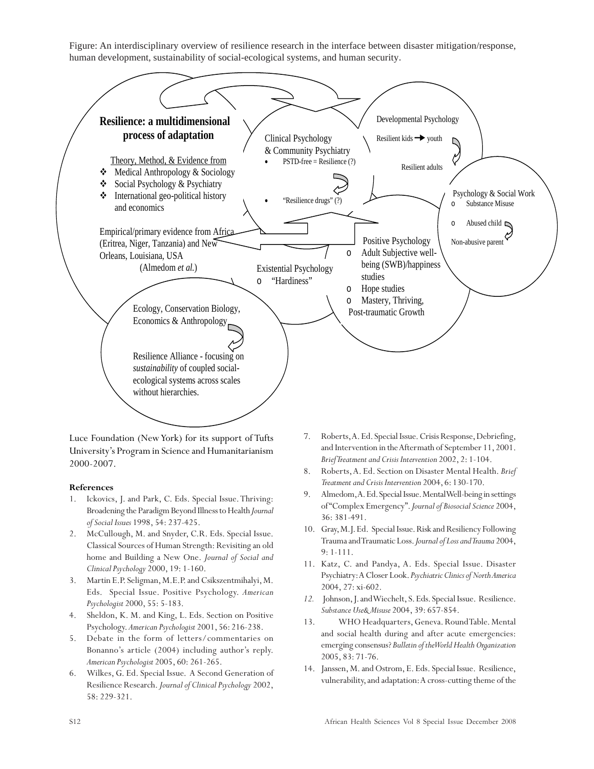Figure: An interdisciplinary overview of resilience research in the interface between disaster mitigation/response, human development, sustainability of social-ecological systems, and human security.



Luce Foundation (New York) for its support of Tufts University's Program in Science and Humanitarianism 2000-2007.

### **References**

- 1. Ickovics, J. and Park, C. Eds. Special Issue. Thriving: Broadening the Paradigm Beyond Illness to Health *Journal of Social Issues* 1998, 54: 237-425.
- 2. McCullough, M. and Snyder, C.R. Eds. Special Issue. Classical Sources of Human Strength: Revisiting an old home and Building a New One. *Journal of Social and Clinical Psychology* 2000, 19: 1-160.
- 3. Martin E.P. Seligman, M.E.P. and Csikszentmihalyi, M. Eds. Special Issue. Positive Psychology. *American Psychologist* 2000, 55: 5-183.
- 4. Sheldon, K. M. and King, L. Eds. Section on Positive Psychology. *American Psychologist* 2001, 56: 216-238.
- 5. Debate in the form of letters/commentaries on Bonanno's article (2004) including author's reply. *American Psychologist* 2005, 60: 261-265.
- 6. Wilkes, G. Ed. Special Issue. A Second Generation of Resilience Research. *Journal of Clinical Psychology* 2002, 58: 229-321.
- 7. Roberts, A. Ed. Special Issue. Crisis Response, Debriefing, and Intervention in the Aftermath of September 11, 2001. *Brief Treatment and Crisis Intervention* 2002, 2: 1-104.
- 8. Roberts, A. Ed. Section on Disaster Mental Health. *Brief Treatment and Crisis Intervention* 2004, 6: 130-170.
- 9. Almedom, A. Ed. Special Issue. Mental Well-being in settings of "Complex Emergency". *Journal of Biosocial Science* 2004, 36: 381-491.
- 10. Gray, M.J. Ed.Special Issue. Risk and Resiliency Following Trauma and Traumatic Loss. *Journal of Loss and Trauma* 2004, 9: 1-111.
- 11. Katz, C. and Pandya, A. Eds. Special Issue. Disaster Psychiatry: A Closer Look. *Psychiatric Clinics of North America* 2004, 27: xi-602.
- *12.* Johnson, J. and Wiechelt, S. Eds. Special Issue. Resilience. *Substance Use& Misuse* 2004, 39: 657-854.
- 13. WHO Headquarters, Geneva. Round Table. Mental and social health during and after acute emergencies: emerging consensus? *Bulletin of the World Health Organization* 2005, 83: 71-76.
- 14. Janssen, M. and Ostrom, E. Eds. Special Issue. Resilience, vulnerability, and adaptation: A cross-cutting theme of the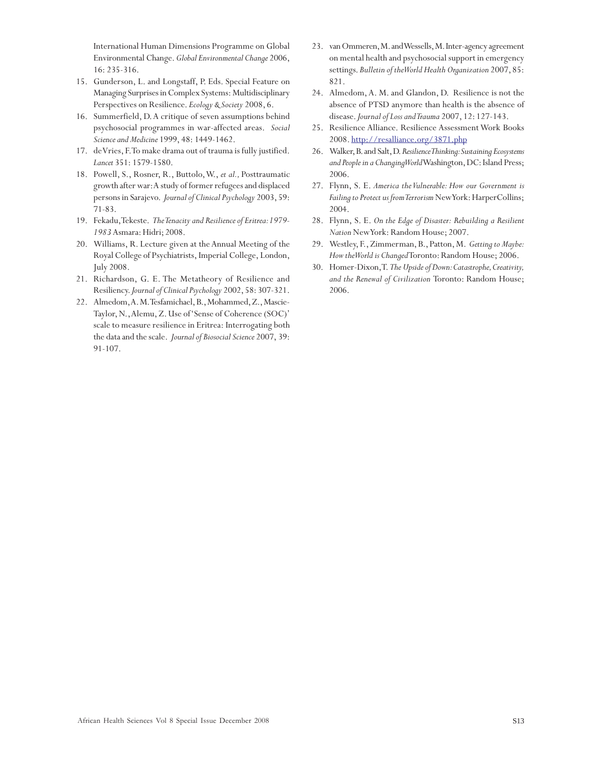International Human Dimensions Programme on Global Environmental Change. *Global Environmental Change* 2006, 16: 235-316.

- 15. Gunderson, L. and Longstaff, P. Eds. Special Feature on Managing Surprises in Complex Systems: Multidisciplinary Perspectives on Resilience. *Ecology & Society* 2008, 6.
- 16. Summerfield, D. A critique of seven assumptions behind psychosocial programmes in war-affected areas. *Social Science and Medicine* 1999, 48: 1449-1462.
- 17. de Vries, F. To make drama out of trauma is fully justified. *Lancet* 351: 1579-1580.
- 18. Powell, S., Rosner, R., Buttolo, W., *et al.,* Posttraumatic growth after war: A study of former refugees and displaced persons in Sarajevo. *Journal of Clinical Psychology* 2003, 59: 71-83.
- 19. Fekadu, Tekeste. *The Tenacity and Resilience of Eritrea: 1979- 1983* Asmara: Hidri; 2008.
- 20. Williams, R. Lecture given at the Annual Meeting of the Royal College of Psychiatrists, Imperial College, London, July 2008.
- 21. Richardson, G. E. The Metatheory of Resilience and Resiliency. *Journal of Clinical Psychology* 2002, 58: 307-321.
- 22. Almedom, A. M. Tesfamichael, B., Mohammed, Z., Mascie-Taylor, N., Alemu, Z. Use of 'Sense of Coherence (SOC)' scale to measure resilience in Eritrea: Interrogating both the data and the scale. *Journal of Biosocial Science* 2007, 39: 91-107.
- 23. van Ommeren, M. and Wessells, M. Inter-agency agreement on mental health and psychosocial support in emergency settings. *Bulletin of the World Health Organization* 2007, 85: 821.
- 24. Almedom, A. M. and Glandon, D. Resilience is not the absence of PTSD anymore than health is the absence of disease. *Journal of Loss and Trauma* 2007, 12: 127-143.
- 25. Resilience Alliance. Resilience Assessment Work Books 2008. http://resalliance.org/3871.php
- 26. Walker, B. and Salt, D. *Resilience Thinking: Sustaining Ecosystems and People in a Changing World* Washington, DC: Island Press; 2006.
- 27. Flynn, S. E. *America the Vulnerable: How our Government is Failing to Protect us from Terrorism* New York: HarperCollins; 2004.
- 28. Flynn, S. E. *On the Edge of Disaster: Rebuilding a Resilient Nation* New York: Random House; 2007.
- 29. Westley, F., Zimmerman, B., Patton, M. *Getting to Maybe: How the World is Changed* Toronto: Random House; 2006.
- 30. Homer-Dixon, T. *The Upside of Down: Catastrophe, Creativity, and the Renewal of Civilization* Toronto: Random House; 2006.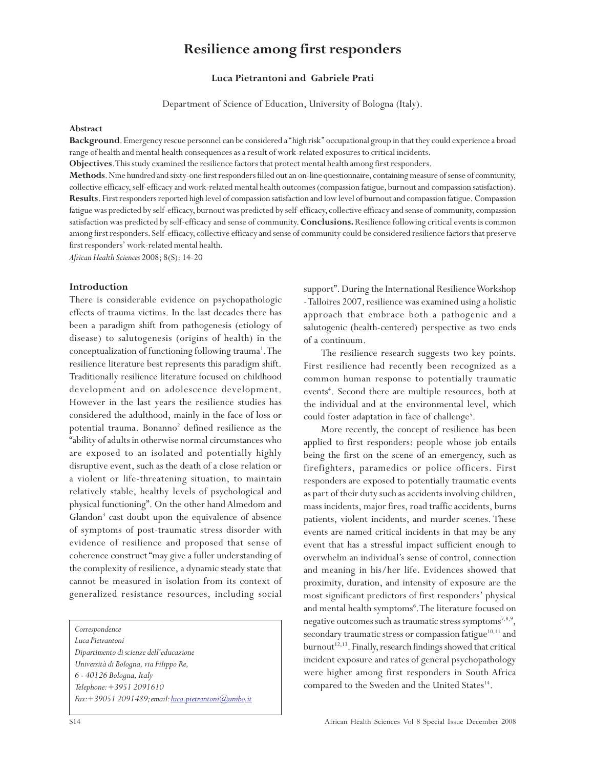### **Resilience among first responders**

### **Luca Pietrantoni and Gabriele Prati**

Department of Science of Education, University of Bologna (Italy).

### **Abstract**

**Background**. Emergency rescue personnel can be considered a ''high risk'' occupational group in that they could experience a broad range of health and mental health consequences as a result of work-related exposures to critical incidents.

**Objectives**. This study examined the resilience factors that protect mental health among first responders.

**Methods**. Nine hundred and sixty-one first responders filled out an on-line questionnaire, containing measure of sense of community, collective efficacy, self-efficacy and work-related mental health outcomes (compassion fatigue, burnout and compassion satisfaction). **Results**. First responders reported high level of compassion satisfaction and low level of burnout and compassion fatigue. Compassion fatigue was predicted by self-efficacy, burnout was predicted by self-efficacy, collective efficacy and sense of community, compassion satisfaction was predicted by self-efficacy and sense of community. **Conclusions.** Resilience following critical events is common among first responders. Self-efficacy, collective efficacy and sense of community could be considered resilience factors that preserve first responders' work-related mental health.

*African Health Sciences* 2008; 8(S): 14-20

### **Introduction**

There is considerable evidence on psychopathologic effects of trauma victims. In the last decades there has been a paradigm shift from pathogenesis (etiology of disease) to salutogenesis (origins of health) in the conceptualization of functioning following trauma<sup>1</sup>. The resilience literature best represents this paradigm shift. Traditionally resilience literature focused on childhood development and on adolescence development. However in the last years the resilience studies has considered the adulthood, mainly in the face of loss or potential trauma. Bonanno<sup>2</sup> defined resilience as the "ability of adults in otherwise normal circumstances who are exposed to an isolated and potentially highly disruptive event, such as the death of a close relation or a violent or life-threatening situation, to maintain relatively stable, healthy levels of psychological and physical functioning". On the other hand Almedom and Glandon<sup>3</sup> cast doubt upon the equivalence of absence of symptoms of post-traumatic stress disorder with evidence of resilience and proposed that sense of coherence construct "may give a fuller understanding of the complexity of resilience, a dynamic steady state that cannot be measured in isolation from its context of generalized resistance resources, including social

*Correspondence*

*Luca Pietrantoni Dipartimento di scienze dell'educazione Università di Bologna, via Filippo Re, 6 - 40126 Bologna, Italy Telephone: +3951 2091610 Fax:+39051 2091489; email: luca.pietrantoni@unibo.it* support". During the International Resilience Workshop - Talloires 2007, resilience was examined using a holistic approach that embrace both a pathogenic and a salutogenic (health-centered) perspective as two ends of a continuum.

The resilience research suggests two key points. First resilience had recently been recognized as a common human response to potentially traumatic events<sup>4</sup>. Second there are multiple resources, both at the individual and at the environmental level, which could foster adaptation in face of challenge<sup>5</sup>.

More recently, the concept of resilience has been applied to first responders: people whose job entails being the first on the scene of an emergency, such as firefighters, paramedics or police officers. First responders are exposed to potentially traumatic events as part of their duty such as accidents involving children, mass incidents, major fires, road traffic accidents, burns patients, violent incidents, and murder scenes. These events are named critical incidents in that may be any event that has a stressful impact sufficient enough to overwhelm an individual's sense of control, connection and meaning in his/her life. Evidences showed that proximity, duration, and intensity of exposure are the most significant predictors of first responders' physical and mental health symptoms<sup>6</sup>. The literature focused on negative outcomes such as traumatic stress symptoms<sup>7,8,9</sup>, secondary traumatic stress or compassion fatigue<sup>10,11</sup> and  $burnout<sup>12,13</sup>$ . Finally, research findings showed that critical incident exposure and rates of general psychopathology were higher among first responders in South Africa compared to the Sweden and the United States<sup>14</sup>.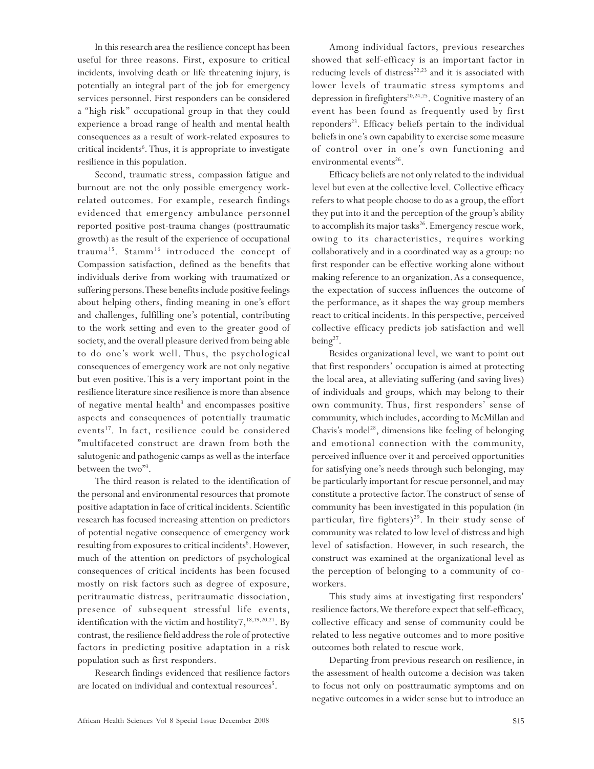In this research area the resilience concept has been useful for three reasons. First, exposure to critical incidents, involving death or life threatening injury, is potentially an integral part of the job for emergency services personnel. First responders can be considered a ''high risk'' occupational group in that they could experience a broad range of health and mental health consequences as a result of work-related exposures to critical incidents<sup>6</sup>. Thus, it is appropriate to investigate resilience in this population.

Second, traumatic stress, compassion fatigue and burnout are not the only possible emergency workrelated outcomes. For example, research findings evidenced that emergency ambulance personnel reported positive post-trauma changes (posttraumatic growth) as the result of the experience of occupational trauma<sup>15</sup>. Stamm<sup>16</sup> introduced the concept of Compassion satisfaction, defined as the benefits that individuals derive from working with traumatized or suffering persons. These benefits include positive feelings about helping others, finding meaning in one's effort and challenges, fulfilling one's potential, contributing to the work setting and even to the greater good of society, and the overall pleasure derived from being able to do one's work well. Thus, the psychological consequences of emergency work are not only negative but even positive. This is a very important point in the resilience literature since resilience is more than absence of negative mental health<sup>3</sup> and encompasses positive aspects and consequences of potentially traumatic events<sup>17</sup>. In fact, resilience could be considered "multifaceted construct are drawn from both the salutogenic and pathogenic camps as well as the interface between the two"<sup>3</sup>.

The third reason is related to the identification of the personal and environmental resources that promote positive adaptation in face of critical incidents. Scientific research has focused increasing attention on predictors of potential negative consequence of emergency work resulting from exposures to critical incidents<sup>6</sup>. However, much of the attention on predictors of psychological consequences of critical incidents has been focused mostly on risk factors such as degree of exposure, peritraumatic distress, peritraumatic dissociation, presence of subsequent stressful life events, identification with the victim and hostility7,<sup>18,19,20,21</sup>. By contrast, the resilience field address the role of protective factors in predicting positive adaptation in a risk population such as first responders.

Research findings evidenced that resilience factors are located on individual and contextual resources<sup>5</sup>.

Among individual factors, previous researches showed that self-efficacy is an important factor in reducing levels of distress $22,23$  and it is associated with lower levels of traumatic stress symptoms and depression in firefighters<sup>20,24,25</sup>. Cognitive mastery of an event has been found as frequently used by first reponders<sup>23</sup>. Efficacy beliefs pertain to the individual beliefs in one's own capability to exercise some measure of control over in one's own functioning and environmental events<sup>26</sup>.

Efficacy beliefs are not only related to the individual level but even at the collective level. Collective efficacy refers to what people choose to do as a group, the effort they put into it and the perception of the group's ability to accomplish its major tasks<sup>26</sup>. Emergency rescue work, owing to its characteristics, requires working collaboratively and in a coordinated way as a group: no first responder can be effective working alone without making reference to an organization. As a consequence, the expectation of success influences the outcome of the performance, as it shapes the way group members react to critical incidents. In this perspective, perceived collective efficacy predicts job satisfaction and well being $2^7$ .

Besides organizational level, we want to point out that first responders' occupation is aimed at protecting the local area, at alleviating suffering (and saving lives) of individuals and groups, which may belong to their own community. Thus, first responders' sense of community, which includes, according to McMillan and Chavis's model<sup>28</sup>, dimensions like feeling of belonging and emotional connection with the community, perceived influence over it and perceived opportunities for satisfying one's needs through such belonging, may be particularly important for rescue personnel, and may constitute a protective factor. The construct of sense of community has been investigated in this population (in particular, fire fighters)<sup>29</sup>. In their study sense of community was related to low level of distress and high level of satisfaction. However, in such research, the construct was examined at the organizational level as the perception of belonging to a community of coworkers.

This study aims at investigating first responders' resilience factors. We therefore expect that self-efficacy, collective efficacy and sense of community could be related to less negative outcomes and to more positive outcomes both related to rescue work.

Departing from previous research on resilience, in the assessment of health outcome a decision was taken to focus not only on posttraumatic symptoms and on negative outcomes in a wider sense but to introduce an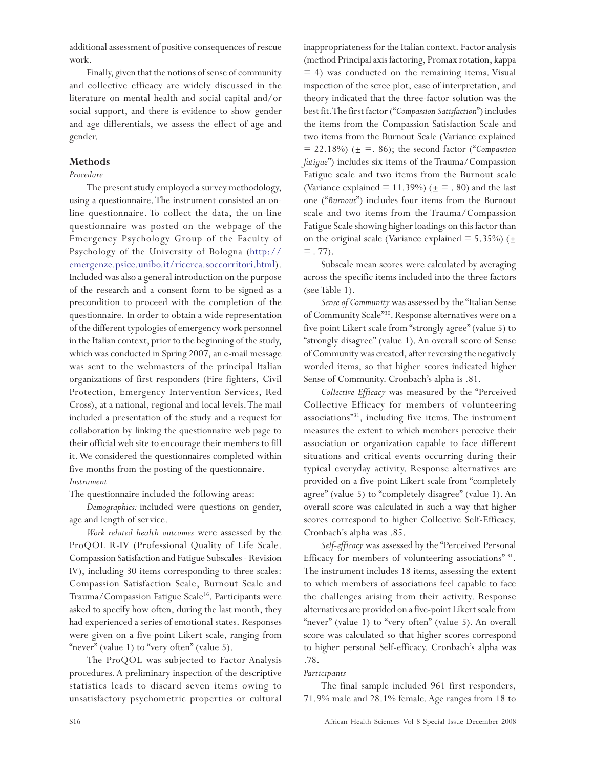additional assessment of positive consequences of rescue work.

Finally, given that the notions of sense of community and collective efficacy are widely discussed in the literature on mental health and social capital and/or social support, and there is evidence to show gender and age differentials, we assess the effect of age and gender.

### **Methods**

### *Procedure*

The present study employed a survey methodology, using a questionnaire. The instrument consisted an online questionnaire. To collect the data, the on-line questionnaire was posted on the webpage of the Emergency Psychology Group of the Faculty of Psychology of the University of Bologna (http:// emergenze.psice.unibo.it/ricerca.soccorritori.html). Included was also a general introduction on the purpose of the research and a consent form to be signed as a precondition to proceed with the completion of the questionnaire. In order to obtain a wide representation of the different typologies of emergency work personnel in the Italian context, prior to the beginning of the study, which was conducted in Spring 2007, an e-mail message was sent to the webmasters of the principal Italian organizations of first responders (Fire fighters, Civil Protection, Emergency Intervention Services, Red Cross), at a national, regional and local levels. The mail included a presentation of the study and a request for collaboration by linking the questionnaire web page to their official web site to encourage their members to fill it. We considered the questionnaires completed within five months from the posting of the questionnaire. *Instrument*

The questionnaire included the following areas:

*Demographics:* included were questions on gender, age and length of service.

*Work related health outcomes* were assessed by the ProQOL R-IV (Professional Quality of Life Scale. Compassion Satisfaction and Fatigue Subscales - Revision IV), including 30 items corresponding to three scales: Compassion Satisfaction Scale, Burnout Scale and Trauma/Compassion Fatigue Scale<sup>16</sup>. Participants were asked to specify how often, during the last month, they had experienced a series of emotional states. Responses were given on a five-point Likert scale, ranging from "never" (value 1) to "very often" (value 5).

The ProQOL was subjected to Factor Analysis procedures. A preliminary inspection of the descriptive statistics leads to discard seven items owing to unsatisfactory psychometric properties or cultural

inappropriateness for the Italian context. Factor analysis (method Principal axis factoring, Promax rotation, kappa  $=$  4) was conducted on the remaining items. Visual inspection of the scree plot, ease of interpretation, and theory indicated that the three-factor solution was the best fit. The first factor ("*Compassion Satisfaction*") includes the items from the Compassion Satisfaction Scale and two items from the Burnout Scale (Variance explained  $= 22.18\%$ ) ( $\pm = .86$ ); the second factor ("*Compassion fatigue*") includes six items of the Trauma/Compassion Fatigue scale and two items from the Burnout scale (Variance explained = 11.39%) ( $\pm$  = .80) and the last one ("*Burnout*") includes four items from the Burnout scale and two items from the Trauma/Compassion Fatigue Scale showing higher loadings on this factor than on the original scale (Variance explained  $=$  5.35%) ( $\pm$  $=$  . 77).

Subscale mean scores were calculated by averaging across the specific items included into the three factors (see Table 1).

*Sense of Community* was assessed by the "Italian Sense of Community Scale"30. Response alternatives were on a five point Likert scale from "strongly agree" (value 5) to "strongly disagree" (value 1). An overall score of Sense of Community was created, after reversing the negatively worded items, so that higher scores indicated higher Sense of Community. Cronbach's alpha is .81.

*Collective Efficacy* was measured by the "Perceived Collective Efficacy for members of volunteering associations"31, including five items. The instrument measures the extent to which members perceive their association or organization capable to face different situations and critical events occurring during their typical everyday activity. Response alternatives are provided on a five-point Likert scale from "completely agree" (value 5) to "completely disagree" (value 1). An overall score was calculated in such a way that higher scores correspond to higher Collective Self-Efficacy. Cronbach's alpha was .85.

*Self-efficacy* was assessed by the "Perceived Personal Efficacy for members of volunteering associations"<sup>31</sup>. The instrument includes 18 items, assessing the extent to which members of associations feel capable to face the challenges arising from their activity. Response alternatives are provided on a five-point Likert scale from "never" (value 1) to "very often" (value 5). An overall score was calculated so that higher scores correspond to higher personal Self-efficacy. Cronbach's alpha was .78.

### *Participants*

The final sample included 961 first responders, 71.9% male and 28.1% female. Age ranges from 18 to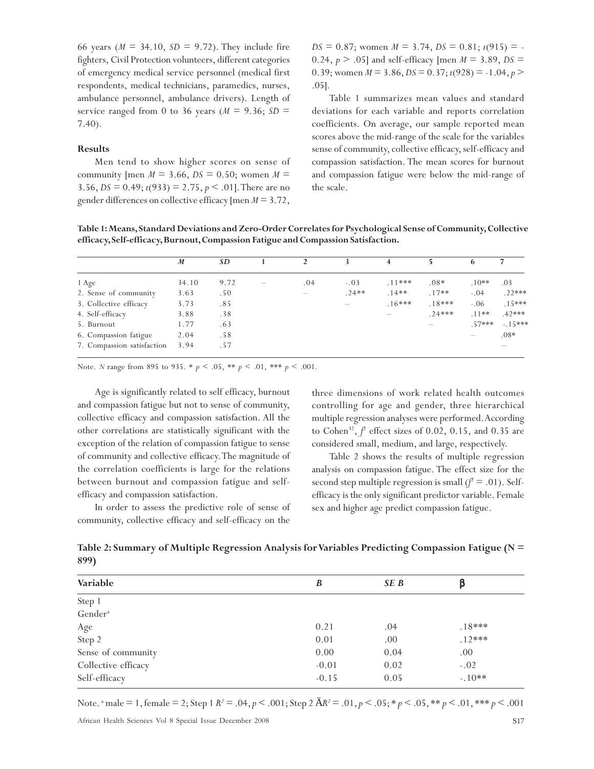66 years ( $M = 34.10$ ,  $SD = 9.72$ ). They include fire fighters, Civil Protection volunteers, different categories of emergency medical service personnel (medical first respondents, medical technicians, paramedics, nurses, ambulance personnel, ambulance drivers). Length of service ranged from 0 to 36 years ( $M = 9.36$ ;  $SD =$ 7.40).

### **Results**

Men tend to show higher scores on sense of community [men  $M = 3.66$ ,  $DS = 0.50$ ; women  $M =$ 3.56, *DS* = 0.49;  $t(933)$  = 2.75,  $p < .01$ ]. There are no gender differences on collective efficacy [men *M* = 3.72,

 $DS = 0.87$ ; women  $M = 3.74$ ,  $DS = 0.81$ ;  $t(915) = -$ 0.24,  $p > .05$ ] and self-efficacy [men  $M = 3.89$ ,  $DS =$ 0.39; women  $M = 3.86$ ,  $DS = 0.37$ ;  $t(928) = -1.04$ ,  $p >$ .05].

Table 1 summarizes mean values and standard deviations for each variable and reports correlation coefficients. On average, our sample reported mean scores above the mid-range of the scale for the variables sense of community, collective efficacy, self-efficacy and compassion satisfaction. The mean scores for burnout and compassion fatigue were below the mid-range of the scale.

**Table 1: Means, Standard Deviations and Zero-Order Correlates for Psychological Sense of Community, Collective efficacy, Self-efficacy, Burnout, Compassion Fatigue and Compassion Satisfaction.**

|                            | M     | <b>SD</b> | $\mathcal{P}$ |         | 4        |          | 6        |           |
|----------------------------|-------|-----------|---------------|---------|----------|----------|----------|-----------|
| 1 Age                      | 34.10 | 9.72      | .04           | $-.03$  | $.11***$ | $.08*$   | $.10**$  | .03       |
| 2. Sense of community      | 3.63  | .50       |               | $.24**$ | $.14**$  | $.17**$  | $-.04$   | $.22***$  |
| 3. Collective efficacy     | 3.73  | .85       |               |         | $.16***$ | $.18***$ | $-.06$   | $.15***$  |
| 4. Self-efficacy           | 3.88  | .38       |               |         |          | $.24***$ | $.11**$  | $.42***$  |
| 5. Burnout                 | 1.77  | .63       |               |         |          |          | $.57***$ | $-.15***$ |
| 6. Compassion fatigue      | 2.04  | .58       |               |         |          |          |          | $.08*$    |
| 7. Compassion satisfaction | 3.94  | .57       |               |         |          |          |          |           |

Note. *N* range from 895 to 935. \* *p* < .05, \*\* *p* < .01, \*\*\* *p* < .001.

Age is significantly related to self efficacy, burnout and compassion fatigue but not to sense of community, collective efficacy and compassion satisfaction. All the other correlations are statistically significant with the exception of the relation of compassion fatigue to sense of community and collective efficacy. The magnitude of the correlation coefficients is large for the relations between burnout and compassion fatigue and selfefficacy and compassion satisfaction.

In order to assess the predictive role of sense of community, collective efficacy and self-efficacy on the

three dimensions of work related health outcomes controlling for age and gender, three hierarchical multiple regression analyses were performed. According to Cohen<sup>32</sup>,  $f^2$  effect sizes of 0.02, 0.15, and 0.35 are considered small, medium, and large, respectively.

Table 2 shows the results of multiple regression analysis on compassion fatigue. The effect size for the second step multiple regression is small  $(f^2 = .01)$ . Selfefficacy is the only significant predictor variable. Female sex and higher age predict compassion fatigue.

**Table 2: Summary of Multiple Regression Analysis for Variables Predicting Compassion Fatigue (N = 899)**

| Variable            | B       | SE B |          |
|---------------------|---------|------|----------|
| Step 1              |         |      |          |
| Gender <sup>a</sup> |         |      |          |
| Age                 | 0.21    | .04  | $.18***$ |
| Step 2              | 0.01    | .00  | $.12***$ |
| Sense of community  | 0.00    | 0.04 | .00      |
| Collective efficacy | $-0.01$ | 0.02 | $-.02$   |
| Self-efficacy       | $-0.15$ | 0.05 | $-.10**$ |

Note. a male = 1, female = 2; Step 1 *R2* = .04, *p* < .001; Step 2 Ä*R2* = .01, *p* < .05; \* *p* < .05, \*\* *p* < .01, \*\*\* *p* < .001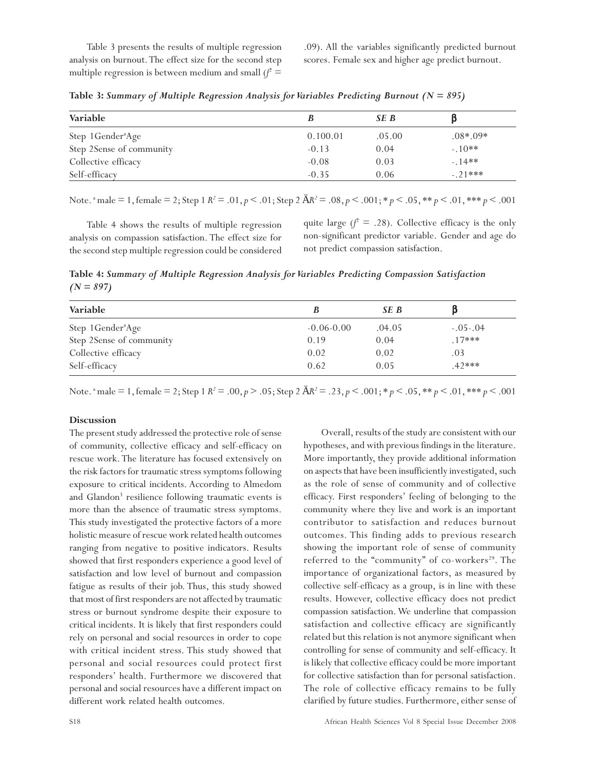Table 3 presents the results of multiple regression analysis on burnout. The effect size for the second step multiple regression is between medium and small  $f^2$  =

.09). All the variables significantly predicted burnout scores. Female sex and higher age predict burnout.

| <b>Variable</b>               |          | SE B   |            |  |
|-------------------------------|----------|--------|------------|--|
| Step 1Gender <sup>a</sup> Age | 0.100.01 | .05.00 | $.08*.09*$ |  |
| Step 2Sense of community      | $-0.13$  | 0.04   | $-.10**$   |  |
| Collective efficacy           | $-0.08$  | 0.03   | $-.14**$   |  |
| Self-efficacy                 | $-0.35$  | 0.06   | $-.21***$  |  |

**Table 3:** *Summary of Multiple Regression Analysis for Variables Predicting Burnout (N = 895)*

Note. a male = 1, female = 2; Step 1 *R2* = .01, *p* < .01; Step 2 Ä*R2* = .08, *p* < .001; \* *p* < .05, \*\* *p* < .01, \*\*\* *p* < .001

Table 4 shows the results of multiple regression analysis on compassion satisfaction. The effect size for the second step multiple regression could be considered

quite large  $(f^2 = .28)$ . Collective efficacy is the only non-significant predictor variable. Gender and age do not predict compassion satisfaction.

**Table 4:** *Summary of Multiple Regression Analysis for Variables Predicting Compassion Satisfaction (N = 897)*

| Variable                      |                | SE B   |            |
|-------------------------------|----------------|--------|------------|
| Step 1Gender <sup>a</sup> Age | $-0.06 - 0.00$ | .04.05 | $-.05-.04$ |
| Step 2Sense of community      | 0.19           | 0.04   | $.17***$   |
| Collective efficacy           | 0.02           | 0.02   | .03        |
| Self-efficacy                 | 0.62           | 0.05   | $.42***$   |

Note. <sup>a</sup> male = 1, female = 2; Step 1 *R*<sup>2</sup> = .00, *p* > .05; Step 2  $\mathring{A}R^2 = .23$ , *p* < .001; \* *p* < .05, \*\* *p* < .01, \*\*\* *p* < .001

### **Discussion**

The present study addressed the protective role of sense of community, collective efficacy and self-efficacy on rescue work. The literature has focused extensively on the risk factors for traumatic stress symptoms following exposure to critical incidents. According to Almedom and Glandon<sup>3</sup> resilience following traumatic events is more than the absence of traumatic stress symptoms. This study investigated the protective factors of a more holistic measure of rescue work related health outcomes ranging from negative to positive indicators. Results showed that first responders experience a good level of satisfaction and low level of burnout and compassion fatigue as results of their job. Thus, this study showed that most of first responders are not affected by traumatic stress or burnout syndrome despite their exposure to critical incidents. It is likely that first responders could rely on personal and social resources in order to cope with critical incident stress. This study showed that personal and social resources could protect first responders' health. Furthermore we discovered that personal and social resources have a different impact on different work related health outcomes.

Overall, results of the study are consistent with our hypotheses, and with previous findings in the literature. More importantly, they provide additional information on aspects that have been insufficiently investigated, such as the role of sense of community and of collective efficacy. First responders' feeling of belonging to the community where they live and work is an important contributor to satisfaction and reduces burnout outcomes. This finding adds to previous research showing the important role of sense of community referred to the "community" of co-workers<sup>29</sup>. The importance of organizational factors, as measured by collective self-efficacy as a group, is in line with these results. However, collective efficacy does not predict compassion satisfaction. We underline that compassion satisfaction and collective efficacy are significantly related but this relation is not anymore significant when controlling for sense of community and self-efficacy. It is likely that collective efficacy could be more important for collective satisfaction than for personal satisfaction. The role of collective efficacy remains to be fully clarified by future studies. Furthermore, either sense of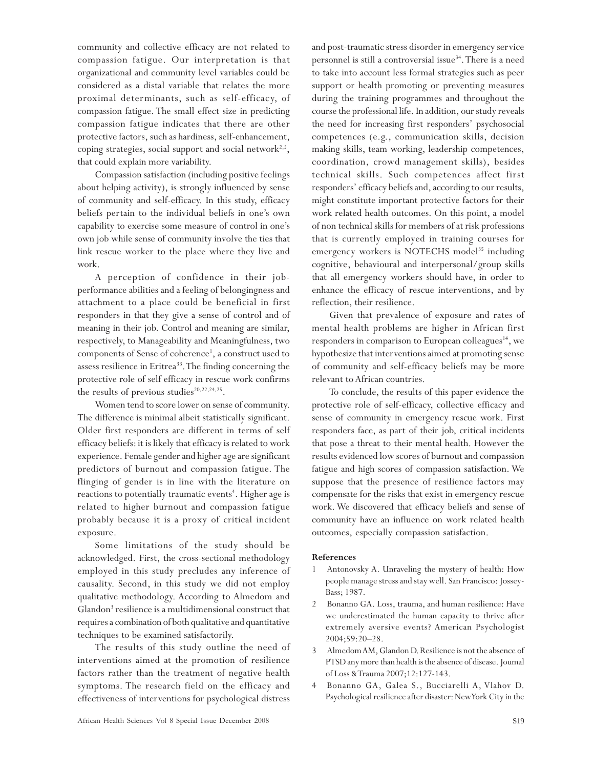community and collective efficacy are not related to compassion fatigue. Our interpretation is that organizational and community level variables could be considered as a distal variable that relates the more proximal determinants, such as self-efficacy, of compassion fatigue. The small effect size in predicting compassion fatigue indicates that there are other protective factors, such as hardiness, self-enhancement, coping strategies, social support and social network<sup>2,5</sup>, that could explain more variability.

Compassion satisfaction (including positive feelings about helping activity), is strongly influenced by sense of community and self-efficacy. In this study, efficacy beliefs pertain to the individual beliefs in one's own capability to exercise some measure of control in one's own job while sense of community involve the ties that link rescue worker to the place where they live and work.

A perception of confidence in their jobperformance abilities and a feeling of belongingness and attachment to a place could be beneficial in first responders in that they give a sense of control and of meaning in their job. Control and meaning are similar, respectively, to Manageability and Meaningfulness, two components of Sense of coherence<sup>1</sup>, a construct used to assess resilience in Eritrea<sup>33</sup>. The finding concerning the protective role of self efficacy in rescue work confirms the results of previous studies $20,22,24,25$ .

Women tend to score lower on sense of community. The difference is minimal albeit statistically significant. Older first responders are different in terms of self efficacy beliefs: it is likely that efficacy is related to work experience. Female gender and higher age are significant predictors of burnout and compassion fatigue. The flinging of gender is in line with the literature on reactions to potentially traumatic events<sup>4</sup>. Higher age is related to higher burnout and compassion fatigue probably because it is a proxy of critical incident exposure.

Some limitations of the study should be acknowledged. First, the cross-sectional methodology employed in this study precludes any inference of causality. Second, in this study we did not employ qualitative methodology. According to Almedom and Glandon<sup>3</sup> resilience is a multidimensional construct that requires a combination of both qualitative and quantitative techniques to be examined satisfactorily.

The results of this study outline the need of interventions aimed at the promotion of resilience factors rather than the treatment of negative health symptoms. The research field on the efficacy and effectiveness of interventions for psychological distress and post-traumatic stress disorder in emergency service personnel is still a controversial issue<sup>34</sup>. There is a need to take into account less formal strategies such as peer support or health promoting or preventing measures during the training programmes and throughout the course the professional life. In addition, our study reveals the need for increasing first responders' psychosocial competences (e.g., communication skills, decision making skills, team working, leadership competences, coordination, crowd management skills), besides technical skills. Such competences affect first responders' efficacy beliefs and, according to our results, might constitute important protective factors for their work related health outcomes. On this point, a model of non technical skills for members of at risk professions that is currently employed in training courses for emergency workers is NOTECHS model<sup>35</sup> including cognitive, behavioural and interpersonal/group skills that all emergency workers should have, in order to enhance the efficacy of rescue interventions, and by reflection, their resilience.

Given that prevalence of exposure and rates of mental health problems are higher in African first responders in comparison to European colleagues<sup>14</sup>, we hypothesize that interventions aimed at promoting sense of community and self-efficacy beliefs may be more relevant to African countries.

To conclude, the results of this paper evidence the protective role of self-efficacy, collective efficacy and sense of community in emergency rescue work. First responders face, as part of their job, critical incidents that pose a threat to their mental health. However the results evidenced low scores of burnout and compassion fatigue and high scores of compassion satisfaction. We suppose that the presence of resilience factors may compensate for the risks that exist in emergency rescue work. We discovered that efficacy beliefs and sense of community have an influence on work related health outcomes, especially compassion satisfaction.

### **References**

- 1 Antonovsky A. Unraveling the mystery of health: How people manage stress and stay well. San Francisco: Jossey-Bass; 1987.
- 2 Bonanno GA. Loss, trauma, and human resilience: Have we underestimated the human capacity to thrive after extremely aversive events? American Psychologist 2004;59:20–28.
- 3 Almedom AM, Glandon D. Resilience is not the absence of PTSD any more than health is the absence of disease. Joumal of Loss & Trauma 2007;12:127-143.
- 4 Bonanno GA, Galea S., Bucciarelli A, Vlahov D. Psychological resilience after disaster: New York City in the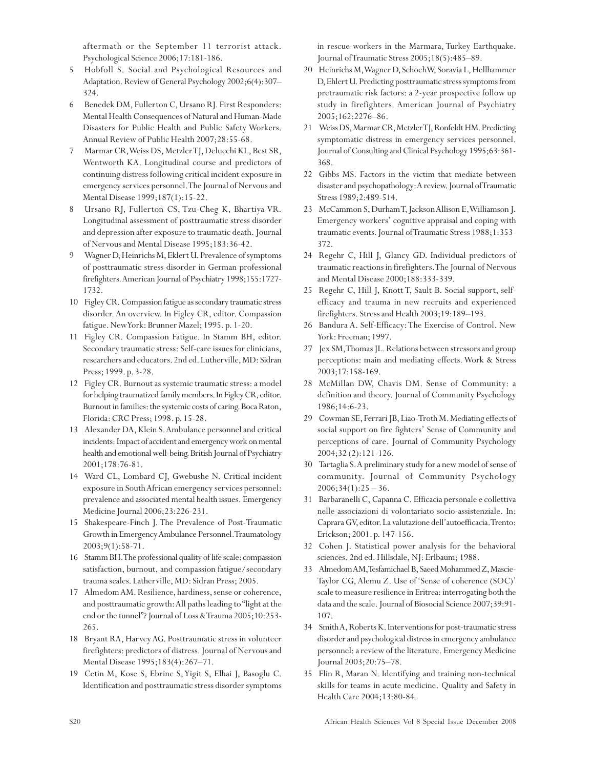aftermath or the September 11 terrorist attack. Psychological Science 2006;17:181-186.

- 5 Hobfoll S. Social and Psychological Resources and Adaptation. Review of General Psychology 2002;6(4):307– 324.
- 6 Benedek DM, Fullerton C, Ursano RJ. First Responders: Mental Health Consequences of Natural and Human-Made Disasters for Public Health and Public Safety Workers. Annual Review of Public Health 2007;28:55-68.
- 7 Marmar CR, Weiss DS, Metzler TJ, Delucchi KL, Best SR, Wentworth KA. Longitudinal course and predictors of continuing distress following critical incident exposure in emergency services personnel. The Journal of Nervous and Mental Disease 1999;187(1):15-22.
- 8 Ursano RJ, Fullerton CS, Tzu-Cheg K, Bhartiya VR. Longitudinal assessment of posttraumatic stress disorder and depression after exposure to traumatic death. Journal of Nervous and Mental Disease 1995;183:36-42.
- 9 Wagner D, Heinrichs M, Eklert U. Prevalence of symptoms of posttraumatic stress disorder in German professional firefighters*.* American Journal of Psychiatry 1998;155:1727- 1732.
- 10 Figley CR. Compassion fatigue as secondary traumatic stress disorder. An overview. In Figley CR, editor. Compassion fatigue. New York: Brunner Mazel; 1995. p. 1-20.
- 11 Figley CR. Compassion Fatigue. In Stamm BH, editor. Secondary traumatic stress: Self-care issues for clinicians, researchers and educators. 2nd ed. Lutherville, MD: Sidran Press; 1999. p. 3-28.
- 12 Figley CR. Burnout as systemic traumatic stress: a model for helping traumatized family members. In Figley CR, editor. Burnout in families: the systemic costs of caring. Boca Raton, Florida: CRC Press; 1998. p. 15-28.
- 13 Alexander DA, Klein S. Ambulance personnel and critical incidents: Impact of accident and emergency work on mental health and emotional well-being. British Journal of Psychiatry 2001;178:76-81.
- 14 Ward CL, Lombard CJ, Gwebushe N. Critical incident exposure in South African emergency services personnel: prevalence and associated mental health issues. Emergency Medicine Journal 2006;23:226-231.
- 15 Shakespeare-Finch J. The Prevalence of Post-Traumatic Growth in Emergency Ambulance Personnel. Traumatology 2003;9(1):58-71.
- 16 Stamm BH. The professional quality of life scale: compassion satisfaction, burnout, and compassion fatigue/secondary trauma scales. Latherville, MD: Sidran Press; 2005.
- 17 Almedom AM. Resilience, hardiness, sense or coherence, and posttraumatic growth: All paths leading to "light at the end or the tunnel"? Journal of Loss & Trauma 2005;10:253- 265.
- 18 Bryant RA, Harvey AG. Posttraumatic stress in volunteer firefighters: predictors of distress. Journal of Nervous and Mental Disease 1995;183(4):267–71.
- 19 Cetin M, Kose S, Ebrinc S, Yigit S, Elhai J, Basoglu C. Identification and posttraumatic stress disorder symptoms

in rescue workers in the Marmara, Turkey Earthquake. Journal of Traumatic Stress 2005;18(5):485–89.

- 20 Heinrichs M, Wagner D, SchochW, Soravia L, Hellhammer D, Ehlert U. Predicting posttraumatic stress symptoms from pretraumatic risk factors: a 2-year prospective follow up study in firefighters. American Journal of Psychiatry 2005;162:2276–86.
- 21 Weiss DS, Marmar CR, Metzler TJ, Ronfeldt HM. Predicting symptomatic distress in emergency services personnel. Journal of Consulting and Clinical Psychology 1995;63:361- 368.
- 22 Gibbs MS. Factors in the victim that mediate between disaster and psychopathology: A review. Journal of Traumatic Stress 1989;2:489-514.
- 23 McCammon S, Durham T, Jackson Allison E, Williamson J. Emergency workers' cognitive appraisal and coping with traumatic events. Journal of Traumatic Stress 1988;1:353- 372.
- 24 Regehr C, Hill J, Glancy GD. Individual predictors of traumatic reactions in firefighters. The Journal of Nervous and Mental Disease 2000;188:333-339.
- 25 Regehr C, Hill J, Knott T, Sault B. Social support, selfefficacy and trauma in new recruits and experienced firefighters. Stress and Health 2003;19:189–193.
- 26 Bandura A. Self-Efficacy: The Exercise of Control. New York: Freeman; 1997.
- 27 Jex SM, Thomas JL. Relations between stressors and group perceptions: main and mediating effects. Work & Stress 2003;17:158-169.
- 28 McMillan DW, Chavis DM. Sense of Community: a definition and theory. Journal of Community Psychology 1986;14:6-23.
- 29 Cowman SE, Ferrari JB, Liao-Troth M. Mediating effects of social support on fire fighters' Sense of Community and perceptions of care. Journal of Community Psychology 2004;32 (2):121-126.
- 30 Tartaglia S. A preliminary study for a new model of sense of community. Journal of Community Psychology  $2006;34(1):25-36.$
- 31 Barbaranelli C, Capanna C. Efficacia personale e collettiva nelle associazioni di volontariato socio-assistenziale. In: Caprara GV, editor. La valutazione dell'autoefficacia. Trento: Erickson; 2001. p. 147-156.
- 32 Cohen J. Statistical power analysis for the behavioral sciences. 2nd ed. Hillsdale, NJ: Erlbaum; 1988.
- 33 Almedom AM, Tesfamichael B, Saeed Mohammed Z, Mascie-Taylor CG, Alemu Z. Use of 'Sense of coherence (SOC)' scale to measure resilience in Eritrea: interrogating both the data and the scale. Journal of Biosocial Science 2007;39:91- 107.
- 34 Smith A, Roberts K. Interventions for post-traumatic stress disorder and psychological distress in emergency ambulance personnel: a review of the literature. Emergency Medicine Journal 2003;20:75–78.
- 35 Flin R, Maran N. Identifying and training non-technical skills for teams in acute medicine. Quality and Safety in Health Care 2004;13:80-84.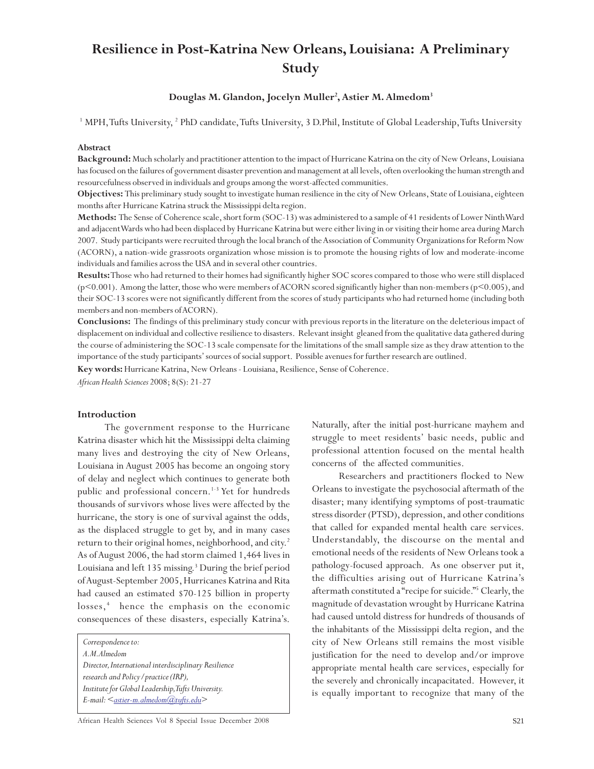# **Resilience in Post-Katrina New Orleans, Louisiana: A Preliminary Study**

### **Douglas M. Glandon, Jocelyn Muller2 , Astier M. Almedom3**

<sup>1</sup> MPH, Tufts University, <sup>2</sup> PhD candidate, Tufts University, 3 D.Phil, Institute of Global Leadership, Tufts University

#### **Abstract**

**Background:** Much scholarly and practitioner attention to the impact of Hurricane Katrina on the city of New Orleans, Louisiana has focused on the failures of government disaster prevention and management at all levels, often overlooking the human strength and resourcefulness observed in individuals and groups among the worst-affected communities.

**Objectives:** This preliminary study sought to investigate human resilience in the city of New Orleans, State of Louisiana, eighteen months after Hurricane Katrina struck the Mississippi delta region.

**Methods:** The Sense of Coherence scale, short form (SOC-13) was administered to a sample of 41 residents of Lower Ninth Ward and adjacent Wards who had been displaced by Hurricane Katrina but were either living in or visiting their home area during March 2007. Study participants were recruited through the local branch of the Association of Community Organizations for Reform Now (ACORN), a nation-wide grassroots organization whose mission is to promote the housing rights of low and moderate-income individuals and families across the USA and in several other countries.

**Results:** Those who had returned to their homes had significantly higher SOC scores compared to those who were still displaced (p<0.001). Among the latter, those who were members of ACORN scored significantly higher than non-members (p<0.005), and their SOC-13 scores were not significantly different from the scores of study participants who had returned home (including both members and non-members of ACORN).

**Conclusions:** The findings of this preliminary study concur with previous reports in the literature on the deleterious impact of displacement on individual and collective resilience to disasters. Relevant insight gleaned from the qualitative data gathered during the course of administering the SOC-13 scale compensate for the limitations of the small sample size as they draw attention to the importance of the study participants' sources of social support. Possible avenues for further research are outlined.

**Key words:** Hurricane Katrina, New Orleans - Louisiana, Resilience, Sense of Coherence.

*African Health Sciences* 2008; 8(S): 21-27

### **Introduction**

The government response to the Hurricane Katrina disaster which hit the Mississippi delta claiming many lives and destroying the city of New Orleans, Louisiana in August 2005 has become an ongoing story of delay and neglect which continues to generate both public and professional concern.<sup>1-3</sup> Yet for hundreds thousands of survivors whose lives were affected by the hurricane, the story is one of survival against the odds, as the displaced struggle to get by, and in many cases return to their original homes, neighborhood, and city.<sup>2</sup> As of August 2006, the had storm claimed 1,464 lives in Louisiana and left 135 missing.<sup>3</sup> During the brief period of August-September 2005, Hurricanes Katrina and Rita had caused an estimated \$70-125 billion in property losses,<sup>4</sup> hence the emphasis on the economic consequences of these disasters, especially Katrina's.

*Correspondence to:*

*A.M. Almedom Director, International interdisciplinary Resilience research and Policy/practice (IRP), Institute for Global Leadership, Tufts University. E-mail:* < astier-m.almedom@tufts.edu>

Naturally, after the initial post-hurricane mayhem and struggle to meet residents' basic needs, public and professional attention focused on the mental health concerns of the affected communities.

Researchers and practitioners flocked to New Orleans to investigate the psychosocial aftermath of the disaster; many identifying symptoms of post-traumatic stress disorder (PTSD), depression, and other conditions that called for expanded mental health care services. Understandably, the discourse on the mental and emotional needs of the residents of New Orleans took a pathology-focused approach. As one observer put it, the difficulties arising out of Hurricane Katrina's aftermath constituted a "recipe for suicide."5 Clearly, the magnitude of devastation wrought by Hurricane Katrina had caused untold distress for hundreds of thousands of the inhabitants of the Mississippi delta region, and the city of New Orleans still remains the most visible justification for the need to develop and/or improve appropriate mental health care services, especially for the severely and chronically incapacitated. However, it is equally important to recognize that many of the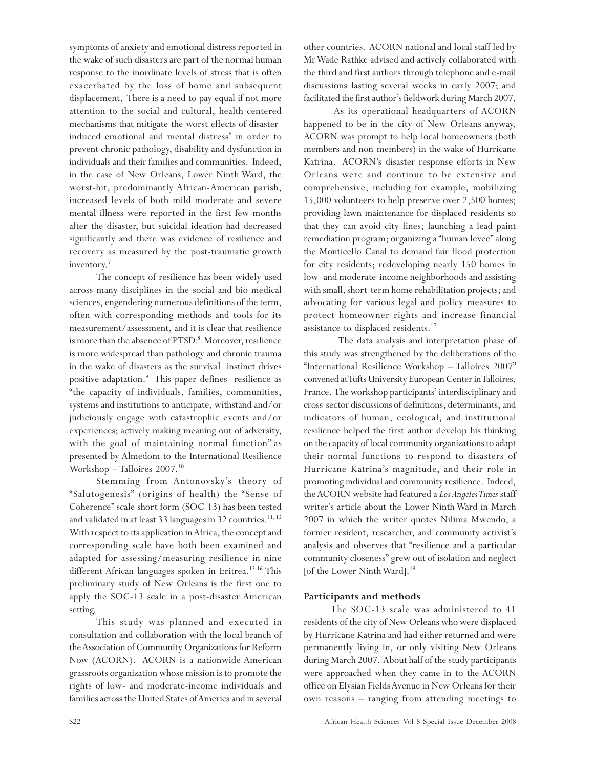symptoms of anxiety and emotional distress reported in the wake of such disasters are part of the normal human response to the inordinate levels of stress that is often exacerbated by the loss of home and subsequent displacement. There is a need to pay equal if not more attention to the social and cultural, health-centered mechanisms that mitigate the worst effects of disasterinduced emotional and mental distress $^6$  in order to prevent chronic pathology, disability and dysfunction in individuals and their families and communities. Indeed, in the case of New Orleans, Lower Ninth Ward, the worst-hit, predominantly African-American parish, increased levels of both mild-moderate and severe mental illness were reported in the first few months after the disaster, but suicidal ideation had decreased significantly and there was evidence of resilience and recovery as measured by the post-traumatic growth inventory.7

The concept of resilience has been widely used across many disciplines in the social and bio-medical sciences, engendering numerous definitions of the term, often with corresponding methods and tools for its measurement/assessment, and it is clear that resilience is more than the absence of PTSD.<sup>8</sup> Moreover, resilience is more widespread than pathology and chronic trauma in the wake of disasters as the survival instinct drives positive adaptation.<sup>9</sup> This paper defines resilience as "the capacity of individuals, families, communities, systems and institutions to anticipate, withstand and/or judiciously engage with catastrophic events and/or experiences; actively making meaning out of adversity, with the goal of maintaining normal function" as presented by Almedom to the International Resilience Workshop – Talloires 2007.10

Stemming from Antonovsky's theory of "Salutogenesis" (origins of health) the "Sense of Coherence" scale short form (SOC-13) has been tested and validated in at least 33 languages in 32 countries.<sup>11, 12</sup> With respect to its application in Africa, the concept and corresponding scale have both been examined and adapted for assessing/measuring resilience in nine different African languages spoken in Eritrea.<sup>13-16</sup> This preliminary study of New Orleans is the first one to apply the SOC-13 scale in a post-disaster American setting.

This study was planned and executed in consultation and collaboration with the local branch of the Association of Community Organizations for Reform Now (ACORN). ACORN is a nationwide American grassroots organization whose mission is to promote the rights of low- and moderate-income individuals and families across the United States of America and in several other countries. ACORN national and local staff led by Mr Wade Rathke advised and actively collaborated with the third and first authors through telephone and e-mail discussions lasting several weeks in early 2007; and facilitated the first author's fieldwork during March 2007.

 As its operational headquarters of ACORN happened to be in the city of New Orleans anyway, ACORN was prompt to help local homeowners (both members and non-members) in the wake of Hurricane Katrina. ACORN's disaster response efforts in New Orleans were and continue to be extensive and comprehensive, including for example, mobilizing 15,000 volunteers to help preserve over 2,500 homes; providing lawn maintenance for displaced residents so that they can avoid city fines; launching a lead paint remediation program; organizing a "human levee" along the Monticello Canal to demand fair flood protection for city residents; redeveloping nearly 150 homes in low- and moderate-income neighborhoods and assisting with small, short-term home rehabilitation projects; and advocating for various legal and policy measures to protect homeowner rights and increase financial assistance to displaced residents.<sup>17</sup>

The data analysis and interpretation phase of this study was strengthened by the deliberations of the "International Resilience Workshop – Talloires 2007" convened at Tufts University European Center in Talloires, France. The workshop participants' interdisciplinary and cross-sector discussions of definitions, determinants, and indicators of human, ecological, and institutional resilience helped the first author develop his thinking on the capacity of local community organizations to adapt their normal functions to respond to disasters of Hurricane Katrina's magnitude, and their role in promoting individual and community resilience. Indeed, the ACORN website had featured a *Los Angeles Times* staff writer's article about the Lower Ninth Ward in March 2007 in which the writer quotes Nilima Mwendo, a former resident, researcher, and community activist's analysis and observes that "resilience and a particular community closeness" grew out of isolation and neglect [of the Lower Ninth Ward].<sup>19</sup>

### **Participants and methods**

The SOC-13 scale was administered to 41 residents of the city of New Orleans who were displaced by Hurricane Katrina and had either returned and were permanently living in, or only visiting New Orleans during March 2007. About half of the study participants were approached when they came in to the ACORN office on Elysian Fields Avenue in New Orleans for their own reasons – ranging from attending meetings to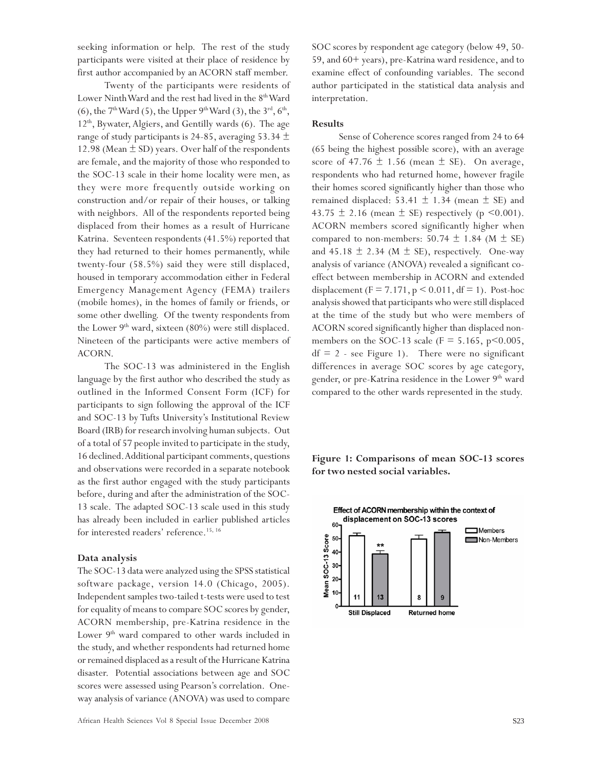seeking information or help. The rest of the study participants were visited at their place of residence by first author accompanied by an ACORN staff member.

Twenty of the participants were residents of Lower Ninth Ward and the rest had lived in the 8<sup>th</sup> Ward (6), the  $7^{\text{th}}$  Ward (5), the Upper  $9^{\text{th}}$  Ward (3), the  $3^{\text{rd}}$ ,  $6^{\text{th}}$ ,  $12<sup>th</sup>$ , Bywater, Algiers, and Gentilly wards (6). The age range of study participants is 24-85, averaging 53.34  $\pm$ 12.98 (Mean  $\pm$  SD) years. Over half of the respondents are female, and the majority of those who responded to the SOC-13 scale in their home locality were men, as they were more frequently outside working on construction and/or repair of their houses, or talking with neighbors. All of the respondents reported being displaced from their homes as a result of Hurricane Katrina. Seventeen respondents (41.5%) reported that they had returned to their homes permanently, while twenty-four (58.5%) said they were still displaced, housed in temporary accommodation either in Federal Emergency Management Agency (FEMA) trailers (mobile homes), in the homes of family or friends, or some other dwelling. Of the twenty respondents from the Lower  $9<sup>th</sup>$  ward, sixteen (80%) were still displaced. Nineteen of the participants were active members of ACORN.

The SOC-13 was administered in the English language by the first author who described the study as outlined in the Informed Consent Form (ICF) for participants to sign following the approval of the ICF and SOC-13 by Tufts University's Institutional Review Board (IRB) for research involving human subjects. Out of a total of 57 people invited to participate in the study, 16 declined. Additional participant comments, questions and observations were recorded in a separate notebook as the first author engaged with the study participants before, during and after the administration of the SOC-13 scale. The adapted SOC-13 scale used in this study has already been included in earlier published articles for interested readers' reference.<sup>15, 16</sup>

### **Data analysis**

The SOC-13 data were analyzed using the SPSS statistical software package, version 14.0 (Chicago, 2005). Independent samples two-tailed t-tests were used to test for equality of means to compare SOC scores by gender, ACORN membership, pre-Katrina residence in the Lower  $9<sup>th</sup>$  ward compared to other wards included in the study, and whether respondents had returned home or remained displaced as a result of the Hurricane Katrina disaster. Potential associations between age and SOC scores were assessed using Pearson's correlation. Oneway analysis of variance (ANOVA) was used to compare

SOC scores by respondent age category (below 49, 50- 59, and 60+ years), pre-Katrina ward residence, and to examine effect of confounding variables. The second author participated in the statistical data analysis and interpretation.

### **Results**

Sense of Coherence scores ranged from 24 to 64 (65 being the highest possible score), with an average score of  $47.76 \pm 1.56$  (mean  $\pm$  SE). On average, respondents who had returned home, however fragile their homes scored significantly higher than those who remained displaced: 53.41  $\pm$  1.34 (mean  $\pm$  SE) and 43.75  $\pm$  2.16 (mean  $\pm$  SE) respectively (p <0.001). ACORN members scored significantly higher when compared to non-members:  $50.74 \pm 1.84$  (M  $\pm$  SE) and  $45.18 \pm 2.34$  (M  $\pm$  SE), respectively. One-way analysis of variance (ANOVA) revealed a significant coeffect between membership in ACORN and extended displacement (F = 7.171,  $p < 0.011$ , df = 1). Post-hoc analysis showed that participants who were still displaced at the time of the study but who were members of ACORN scored significantly higher than displaced nonmembers on the SOC-13 scale ( $F = 5.165$ ,  $p \le 0.005$ ,  $df = 2$  - see Figure 1). There were no significant differences in average SOC scores by age category, gender, or pre-Katrina residence in the Lower 9<sup>th</sup> ward compared to the other wards represented in the study.

**Figure 1: Comparisons of mean SOC-13 scores for two nested social variables.**

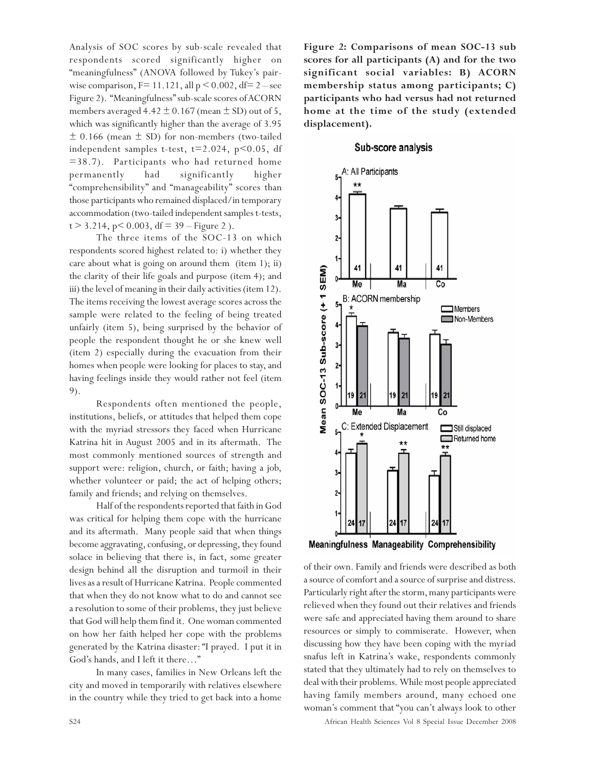Analysis of SOC scores by sub-scale revealed that respondents scored significantly higher on "meaningfulness" (ANOVA followed by Tukey's pairwise comparison,  $F= 11.121$ , all  $p < 0.002$ , df= 2 – see Figure 2). "Meaningfulness" sub-scale scores of ACORN members averaged  $4.42 \pm 0.167$  (mean  $\pm$  SD) out of 5, which was significantly higher than the average of 3.95  $\pm$  0.166 (mean  $\pm$  SD) for non-members (two-tailed independent samples t-test,  $t=2.024$ ,  $p<0.05$ , df =38.7). Participants who had returned home permanently had significantly higher "comprehensibility" and "manageability" scores than those participants who remained displaced/in temporary accommodation (two-tailed independent samples t-tests,  $t > 3.214$ , p $< 0.003$ , df = 39 – Figure 2).

The three items of the SOC-13 on which respondents scored highest related to: i) whether they care about what is going on around them (item 1); ii) the clarity of their life goals and purpose (item 4); and iii) the level of meaning in their daily activities (item 12). The items receiving the lowest average scores across the sample were related to the feeling of being treated unfairly (item 5), being surprised by the behavior of people the respondent thought he or she knew well (item 2) especially during the evacuation from their homes when people were looking for places to stay, and having feelings inside they would rather not feel (item 9).

Respondents often mentioned the people, institutions, beliefs, or attitudes that helped them cope with the myriad stressors they faced when Hurricane Katrina hit in August 2005 and in its aftermath. The most commonly mentioned sources of strength and support were: religion, church, or faith; having a job, whether volunteer or paid; the act of helping others; family and friends; and relying on themselves.

Half of the respondents reported that faith in God was critical for helping them cope with the hurricane and its aftermath. Many people said that when things become aggravating, confusing, or depressing, they found solace in believing that there is, in fact, some greater design behind all the disruption and turmoil in their lives as a result of Hurricane Katrina. People commented that when they do not know what to do and cannot see a resolution to some of their problems, they just believe that God will help them find it. One woman commented on how her faith helped her cope with the problems generated by the Katrina disaster: "I prayed. I put it in God's hands, and I left it there…"

In many cases, families in New Orleans left the city and moved in temporarily with relatives elsewhere in the country while they tried to get back into a home **Figure 2: Comparisons of mean SOC-13 sub scores for all participants (A) and for the two significant social variables: B) ACORN membership status among participants; C) participants who had versus had not returned home at the time of the study (extended displacement).**

### Sub-score analysis



Meaningfulness Manageability Comprehensibility

of their own. Family and friends were described as both a source of comfort and a source of surprise and distress. Particularly right after the storm, many participants were relieved when they found out their relatives and friends were safe and appreciated having them around to share resources or simply to commiserate. However, when discussing how they have been coping with the myriad snafus left in Katrina's wake, respondents commonly stated that they ultimately had to rely on themselves to deal with their problems. While most people appreciated having family members around, many echoed one woman's comment that "you can't always look to other

S24 African Health Sciences Vol 8 Special Issue December 2008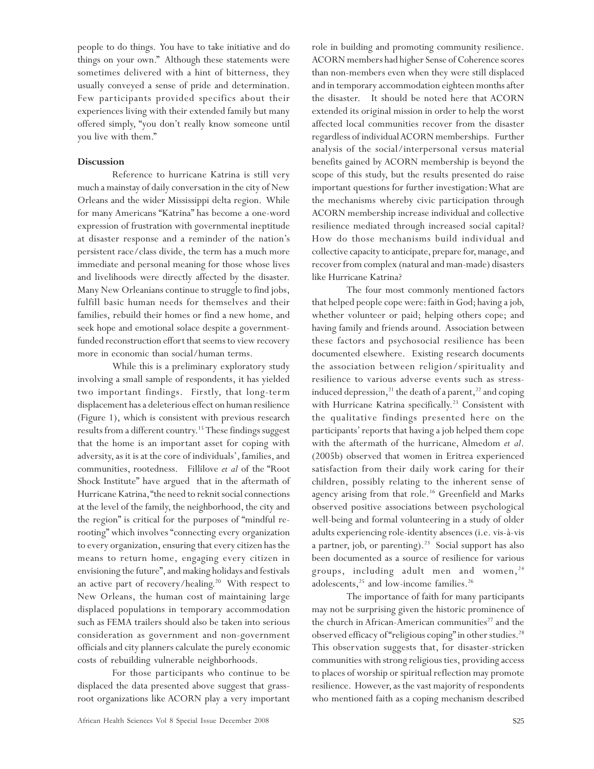people to do things. You have to take initiative and do things on your own." Although these statements were sometimes delivered with a hint of bitterness, they usually conveyed a sense of pride and determination. Few participants provided specifics about their experiences living with their extended family but many offered simply, "you don't really know someone until you live with them."

### **Discussion**

Reference to hurricane Katrina is still very much a mainstay of daily conversation in the city of New Orleans and the wider Mississippi delta region. While for many Americans "Katrina" has become a one-word expression of frustration with governmental ineptitude at disaster response and a reminder of the nation's persistent race/class divide, the term has a much more immediate and personal meaning for those whose lives and livelihoods were directly affected by the disaster. Many New Orleanians continue to struggle to find jobs, fulfill basic human needs for themselves and their families, rebuild their homes or find a new home, and seek hope and emotional solace despite a governmentfunded reconstruction effort that seems to view recovery more in economic than social/human terms.

While this is a preliminary exploratory study involving a small sample of respondents, it has yielded two important findings. Firstly, that long-term displacement has a deleterious effect on human resilience (Figure 1), which is consistent with previous research results from a different country.<sup>15</sup> These findings suggest that the home is an important asset for coping with adversity, as it is at the core of individuals', families, and communities, rootedness. Fillilove *et al* of the "Root Shock Institute" have argued that in the aftermath of Hurricane Katrina, "the need to reknit social connections at the level of the family, the neighborhood, the city and the region" is critical for the purposes of "mindful rerooting" which involves "connecting every organization to every organization, ensuring that every citizen has the means to return home, engaging every citizen in envisioning the future", and making holidays and festivals an active part of recovery/healing.<sup>20</sup> With respect to New Orleans, the human cost of maintaining large displaced populations in temporary accommodation such as FEMA trailers should also be taken into serious consideration as government and non-government officials and city planners calculate the purely economic costs of rebuilding vulnerable neighborhoods.

For those participants who continue to be displaced the data presented above suggest that grassroot organizations like ACORN play a very important

role in building and promoting community resilience. ACORN members had higher Sense of Coherence scores than non-members even when they were still displaced and in temporary accommodation eighteen months after the disaster. It should be noted here that ACORN extended its original mission in order to help the worst affected local communities recover from the disaster regardless of individual ACORN memberships. Further analysis of the social/interpersonal versus material benefits gained by ACORN membership is beyond the scope of this study, but the results presented do raise important questions for further investigation: What are the mechanisms whereby civic participation through ACORN membership increase individual and collective resilience mediated through increased social capital? How do those mechanisms build individual and collective capacity to anticipate, prepare for, manage, and recover from complex (natural and man-made) disasters like Hurricane Katrina?

The four most commonly mentioned factors that helped people cope were: faith in God; having a job, whether volunteer or paid; helping others cope; and having family and friends around. Association between these factors and psychosocial resilience has been documented elsewhere. Existing research documents the association between religion/spirituality and resilience to various adverse events such as stressinduced depression,<sup>21</sup> the death of a parent,<sup>22</sup> and coping with Hurricane Katrina specifically.<sup>23</sup> Consistent with the qualitative findings presented here on the participants' reports that having a job helped them cope with the aftermath of the hurricane, Almedom *et al*. (2005b) observed that women in Eritrea experienced satisfaction from their daily work caring for their children, possibly relating to the inherent sense of agency arising from that role.<sup>16</sup> Greenfield and Marks observed positive associations between psychological well-being and formal volunteering in a study of older adults experiencing role-identity absences (i.e. vis-à-vis a partner, job, or parenting). $^{23}$  Social support has also been documented as a source of resilience for various groups, including adult men and women,<sup>24</sup> adolescents, $25$  and low-income families. $26$ 

The importance of faith for many participants may not be surprising given the historic prominence of the church in African-American communities<sup>27</sup> and the observed efficacy of "religious coping" in other studies.<sup>28</sup> This observation suggests that, for disaster-stricken communities with strong religious ties, providing access to places of worship or spiritual reflection may promote resilience. However, as the vast majority of respondents who mentioned faith as a coping mechanism described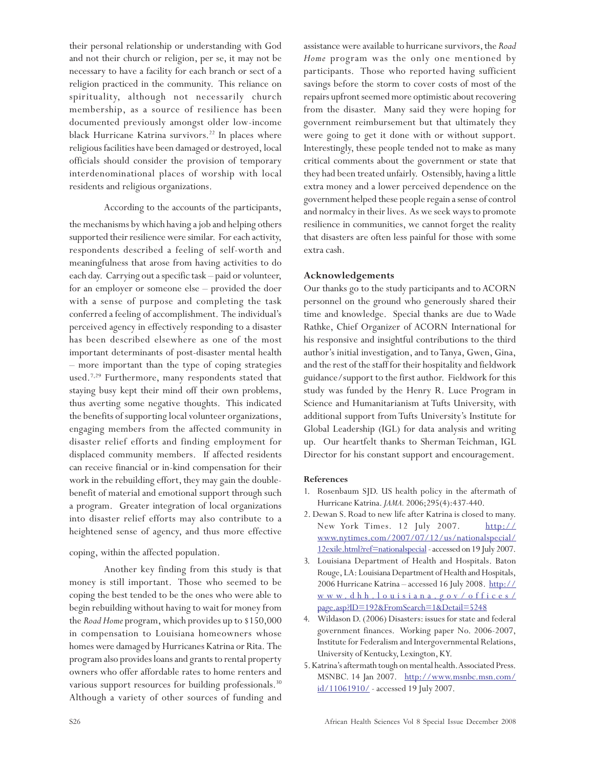their personal relationship or understanding with God and not their church or religion, per se, it may not be necessary to have a facility for each branch or sect of a religion practiced in the community. This reliance on spirituality, although not necessarily church membership, as a source of resilience has been documented previously amongst older low-income black Hurricane Katrina survivors.<sup>22</sup> In places where religious facilities have been damaged or destroyed, local officials should consider the provision of temporary interdenominational places of worship with local residents and religious organizations.

According to the accounts of the participants,

the mechanisms by which having a job and helping others supported their resilience were similar. For each activity, respondents described a feeling of self-worth and meaningfulness that arose from having activities to do each day. Carrying out a specific task – paid or volunteer, for an employer or someone else – provided the doer with a sense of purpose and completing the task conferred a feeling of accomplishment. The individual's perceived agency in effectively responding to a disaster has been described elsewhere as one of the most important determinants of post-disaster mental health – more important than the type of coping strategies used.7,29 Furthermore, many respondents stated that staying busy kept their mind off their own problems, thus averting some negative thoughts. This indicated the benefits of supporting local volunteer organizations, engaging members from the affected community in disaster relief efforts and finding employment for displaced community members. If affected residents can receive financial or in-kind compensation for their work in the rebuilding effort, they may gain the doublebenefit of material and emotional support through such a program. Greater integration of local organizations into disaster relief efforts may also contribute to a heightened sense of agency, and thus more effective

### coping, within the affected population.

Another key finding from this study is that money is still important. Those who seemed to be coping the best tended to be the ones who were able to begin rebuilding without having to wait for money from the *Road Home* program, which provides up to \$150,000 in compensation to Louisiana homeowners whose homes were damaged by Hurricanes Katrina or Rita. The program also provides loans and grants to rental property owners who offer affordable rates to home renters and various support resources for building professionals.<sup>30</sup> Although a variety of other sources of funding and assistance were available to hurricane survivors, the *Road Home* program was the only one mentioned by participants. Those who reported having sufficient savings before the storm to cover costs of most of the repairs upfront seemed more optimistic about recovering from the disaster. Many said they were hoping for government reimbursement but that ultimately they were going to get it done with or without support. Interestingly, these people tended not to make as many critical comments about the government or state that they had been treated unfairly. Ostensibly, having a little extra money and a lower perceived dependence on the government helped these people regain a sense of control and normalcy in their lives. As we seek ways to promote resilience in communities, we cannot forget the reality that disasters are often less painful for those with some extra cash.

### **Acknowledgements**

Our thanks go to the study participants and to ACORN personnel on the ground who generously shared their time and knowledge. Special thanks are due to Wade Rathke, Chief Organizer of ACORN International for his responsive and insightful contributions to the third author's initial investigation, and to Tanya, Gwen, Gina, and the rest of the staff for their hospitality and fieldwork guidance/support to the first author. Fieldwork for this study was funded by the Henry R. Luce Program in Science and Humanitarianism at Tufts University, with additional support from Tufts University's Institute for Global Leadership (IGL) for data analysis and writing up. Our heartfelt thanks to Sherman Teichman, IGL Director for his constant support and encouragement.

### **References**

- 1. Rosenbaum SJD. US health policy in the aftermath of Hurricane Katrina. *JAMA.* 2006;295(4):437-440.
- 2. Dewan S. Road to new life after Katrina is closed to many. New York Times. 12 July 2007. http:// www.nytimes.com/2007/07/12/us/nationalspecial/ 12exile.html?ref=nationalspecial - accessed on 19 July 2007.
- 3. Louisiana Department of Health and Hospitals. Baton Rouge, LA: Louisiana Department of Health and Hospitals, 2006 Hurricane Katrina – accessed 16 July 2008. http:// www .dhh.louisiana.go v/offices/ page.asp?ID=192&FromSearch=1&Detail=5248
- 4. Wildason D. (2006) Disasters: issues for state and federal government finances. Working paper No. 2006-2007, Institute for Federalism and Intergovernmental Relations, University of Kentucky, Lexington, KY.
- 5. Katrina's aftermath tough on mental health. Associated Press. MSNBC. 14 Jan 2007. http://www.msnbc.msn.com/ id/11061910/ - accessed 19 July 2007.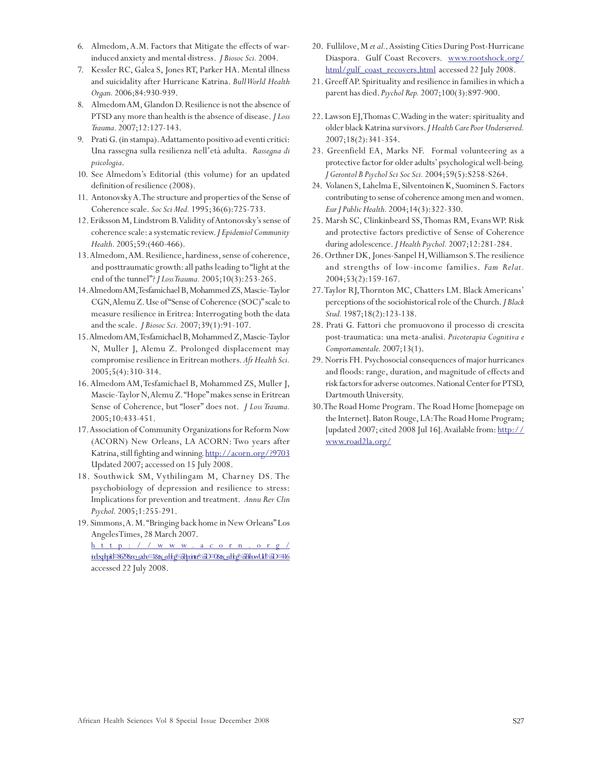- 6. Almedom, A.M. Factors that Mitigate the effects of warinduced anxiety and mental distress. *J Biosoc Sci.* 2004.
- 7. Kessler RC, Galea S, Jones RT, Parker HA. Mental illness and suicidality after Hurricane Katrina. *Bull World Health Organ.* 2006;84:930-939.
- 8. Almedom AM, Glandon D. Resilience is not the absence of PTSD any more than health is the absence of disease. *J Loss Trauma.* 2007;12:127-143.
- 9. Prati G. (in stampa). Adattamento positivo ad eventi critici: Una rassegna sulla resilienza nell'età adulta. *Rassegna di psicologia*.
- 10. See Almedom's Editorial (this volume) for an updated definition of resilience (2008).
- 11. Antonovsky A. The structure and properties of the Sense of Coherence scale. *Soc Sci Med.* 1995;36(6):725-733.
- 12. Eriksson M, Lindstrom B. Validity of Antonovsky's sense of coherence scale: a systematic review. *J Epidemiol Community Health.* 2005;59:(460-466).
- 13. Almedom, AM. Resilience, hardiness, sense of coherence, and posttraumatic growth: all paths leading to "light at the end of the tunnel"? *J Loss Trauma.* 2005;10(3):253-265.
- 14. Almedom AM, Tesfamichael B, Mohammed ZS, Mascie-Taylor CGN, Alemu Z. Use of "Sense of Coherence (SOC)" scale to measure resilience in Eritrea: Interrogating both the data and the scale. *J Biosoc Sci.* 2007;39(1):91-107.
- 15. Almedom AM, Tesfamichael B, Mohammed Z, Mascie-Taylor N, Muller J, Alemu Z. Prolonged displacement may compromise resilience in Eritrean mothers. *Afr Health Sci.* 2005;5(4):310-314.
- 16. Almedom AM, Tesfamichael B, Mohammed ZS, Muller J, Mascie-Taylor N, Alemu Z. "Hope" makes sense in Eritrean Sense of Coherence, but "loser" does not. *J Loss Trauma.* 2005;10:433-451.
- 17. Association of Community Organizations for Reform Now (ACORN) New Orleans, LA ACORN: Two years after Katrina, still fighting and winning. http://acorn.org/?9703 Updated 2007; accessed on 15 July 2008.
- 18. Southwick SM, Vythilingam M, Charney DS. The psychobiology of depression and resilience to stress: Implications for prevention and treatment. *Annu Rev Clin Psychol.* 2005;1:255-291.
- 19. Simmons, A. M. "Bringing back home in New Orleans" Los Angeles Times, 28 March 2007. http://www .acor n.org/ inberthat=8628mo\_cate=18tx\_ethp?6Bpointer%5D=08tx\_ethp?6BshowUil%5D=416 accessed 22 July 2008.
- 20. Fullilove, M *et al.,* Assisting Cities During Post-Hurricane Diaspora. Gulf Coast Recovers. www.rootshock.org/ html/gulf\_coast\_recovers.html accessed 22 July 2008.
- 21. Greeff AP. Spirituality and resilience in families in which a parent has died. *Psychol Rep.* 2007;100(3):897-900.
- 22. Lawson EJ, Thomas C. Wading in the water: spirituality and older black Katrina survivors. *J Health Care Poor Underserved.* 2007;18(2):341-354.
- 23. Greenfield EA, Marks NF. Formal volunteering as a protective factor for older adults' psychological well-being. *J Gerontol B Psychol Sci Soc Sci.* 2004;59(5):S258-S264.
- 24. Volanen S, Lahelma E, Silventoinen K, Suominen S. Factors contributing to sense of coherence among men and women. *Eur J Public Health.* 2004;14(3):322-330.
- 25. Marsh SC, Clinkinbeard SS, Thomas RM, Evans WP. Risk and protective factors predictive of Sense of Coherence during adolescence. *J Health Psychol.* 2007;12:281-284.
- 26. Orthner DK, Jones-Sanpel H, Williamson S. The resilience and strengths of low-income families. *Fam Relat.* 2004;53(2):159-167.
- 27. Taylor RJ, Thornton MC, Chatters LM. Black Americans' perceptions of the sociohistorical role of the Church. *J Black Stud.* 1987;18(2):123-138.
- 28. Prati G. Fattori che promuovono il processo di crescita post-traumatica: una meta-analisi. *Psicoterapia Cognitiva e Comportamentale.* 2007;13(1).
- 29. Norris FH. Psychosocial consequences of major hurricanes and floods: range, duration, and magnitude of effects and risk factors for adverse outcomes. National Center for PTSD, Dartmouth University.
- 30. The Road Home Program. The Road Home [homepage on the Internet]. Baton Rouge, LA: The Road Home Program; [updated 2007; cited 2008 Jul 16]. Available from: http:// www.road2la.org/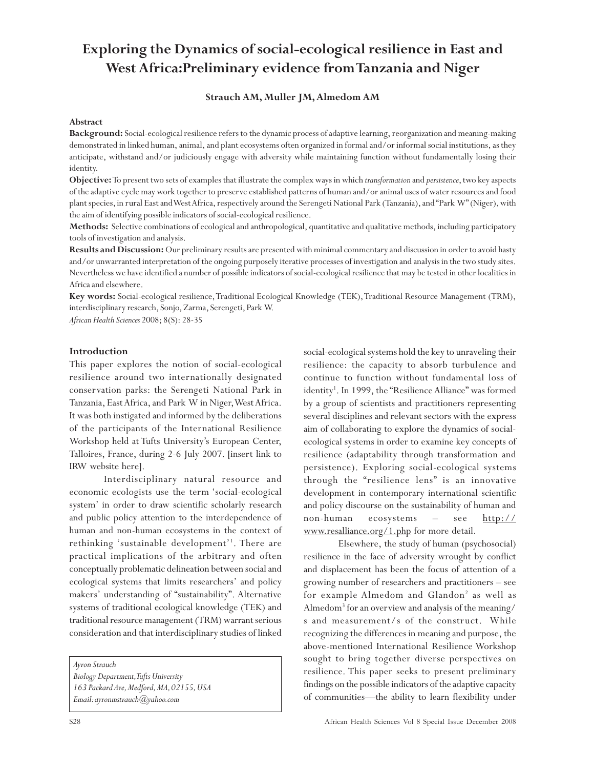# **Exploring the Dynamics of social-ecological resilience in East and West Africa:Preliminary evidence from Tanzania and Niger**

### **Strauch AM, Muller JM, Almedom AM**

### **Abstract**

**Background:** Social-ecological resilience refers to the dynamic process of adaptive learning, reorganization and meaning-making demonstrated in linked human, animal, and plant ecosystems often organized in formal and/or informal social institutions, as they anticipate, withstand and/or judiciously engage with adversity while maintaining function without fundamentally losing their identity.

**Objective:** To present two sets of examples that illustrate the complex ways in which *transformation* and *persistence*, two key aspects of the adaptive cycle may work together to preserve established patterns of human and/or animal uses of water resources and food plant species, in rural East and West Africa, respectively around the Serengeti National Park (Tanzania), and "Park W" (Niger), with the aim of identifying possible indicators of social-ecological resilience.

**Methods:** Selective combinations of ecological and anthropological, quantitative and qualitative methods, including participatory tools of investigation and analysis.

**Results and Discussion:** Our preliminary results are presented with minimal commentary and discussion in order to avoid hasty and/or unwarranted interpretation of the ongoing purposely iterative processes of investigation and analysis in the two study sites. Nevertheless we have identified a number of possible indicators of social-ecological resilience that may be tested in other localities in Africa and elsewhere.

**Key words:** Social-ecological resilience, Traditional Ecological Knowledge (TEK), Traditional Resource Management (TRM), interdisciplinary research, Sonjo, Zarma, Serengeti, Park W.

*African Health Sciences* 2008; 8(S): 28-35

### **Introduction**

This paper explores the notion of social-ecological resilience around two internationally designated conservation parks: the Serengeti National Park in Tanzania, East Africa, and Park W in Niger, West Africa. It was both instigated and informed by the deliberations of the participants of the International Resilience Workshop held at Tufts University's European Center, Talloires, France, during 2-6 July 2007. [insert link to IRW website here].

Interdisciplinary natural resource and economic ecologists use the term 'social-ecological system' in order to draw scientific scholarly research and public policy attention to the interdependence of human and non-human ecosystems in the context of rethinking 'sustainable development'1 . There are practical implications of the arbitrary and often conceptually problematic delineation between social and ecological systems that limits researchers' and policy makers' understanding of "sustainability". Alternative systems of traditional ecological knowledge (TEK) and traditional resource management (TRM) warrant serious consideration and that interdisciplinary studies of linked

*Ayron Strauch Biology Department, Tufts University 163 Packard Ave, Medford, MA, 02155, USA Email: ayronmstrauch@yahoo.com*

social-ecological systems hold the key to unraveling their resilience: the capacity to absorb turbulence and continue to function without fundamental loss of identity<sup>1</sup>. In 1999, the "Resilience Alliance" was formed by a group of scientists and practitioners representing several disciplines and relevant sectors with the express aim of collaborating to explore the dynamics of socialecological systems in order to examine key concepts of resilience (adaptability through transformation and persistence). Exploring social-ecological systems through the "resilience lens" is an innovative development in contemporary international scientific and policy discourse on the sustainability of human and non-human ecosystems – see http:// www.resalliance.org/1.php for more detail.

Elsewhere, the study of human (psychosocial) resilience in the face of adversity wrought by conflict and displacement has been the focus of attention of a growing number of researchers and practitioners – see for example Almedom and Glandon<sup>2</sup> as well as Almedom3 for an overview and analysis of the meaning/ s and measurement/s of the construct. While recognizing the differences in meaning and purpose, the above-mentioned International Resilience Workshop sought to bring together diverse perspectives on resilience. This paper seeks to present preliminary findings on the possible indicators of the adaptive capacity of communities—the ability to learn flexibility under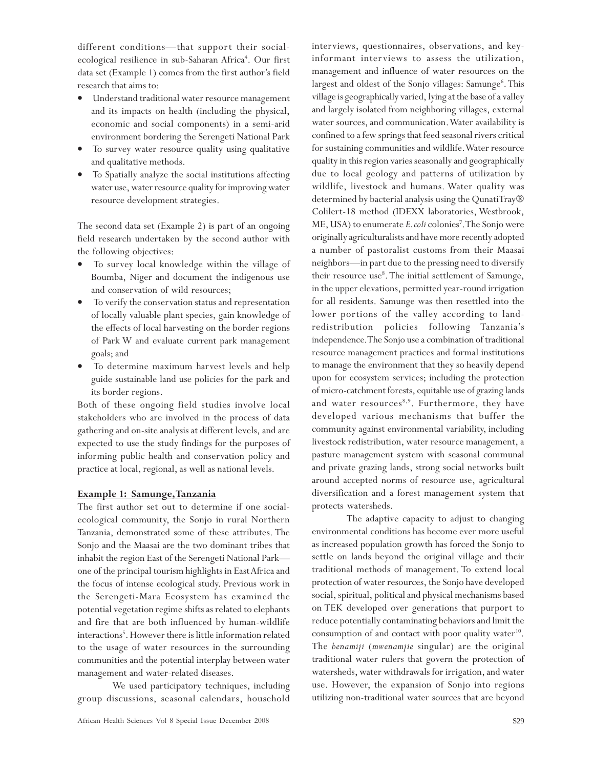different conditions—that support their socialecological resilience in sub-Saharan Africa<sup>4</sup>. Our first data set (Example 1) comes from the first author's field research that aims to:

- Understand traditional water resource management and its impacts on health (including the physical, economic and social components) in a semi-arid environment bordering the Serengeti National Park
- To survey water resource quality using qualitative and qualitative methods.
- To Spatially analyze the social institutions affecting water use, water resource quality for improving water resource development strategies.

The second data set (Example 2) is part of an ongoing field research undertaken by the second author with the following objectives:

- To survey local knowledge within the village of Boumba, Niger and document the indigenous use and conservation of wild resources;
- To verify the conservation status and representation of locally valuable plant species, gain knowledge of the effects of local harvesting on the border regions of Park W and evaluate current park management goals; and
- To determine maximum harvest levels and help guide sustainable land use policies for the park and its border regions.

Both of these ongoing field studies involve local stakeholders who are involved in the process of data gathering and on-site analysis at different levels, and are expected to use the study findings for the purposes of informing public health and conservation policy and practice at local, regional, as well as national levels.

### **Example 1: Samunge,Tanzania**

The first author set out to determine if one socialecological community, the Sonjo in rural Northern Tanzania, demonstrated some of these attributes. The Sonjo and the Maasai are the two dominant tribes that inhabit the region East of the Serengeti National Park one of the principal tourism highlights in East Africa and the focus of intense ecological study. Previous work in the Serengeti-Mara Ecosystem has examined the potential vegetation regime shifts as related to elephants and fire that are both influenced by human-wildlife interactions5 . However there is little information related to the usage of water resources in the surrounding communities and the potential interplay between water management and water-related diseases.

We used participatory techniques, including group discussions, seasonal calendars, household interviews, questionnaires, observations, and keyinformant interviews to assess the utilization, management and influence of water resources on the largest and oldest of the Sonjo villages: Samunge<sup>6</sup>. This village is geographically varied, lying at the base of a valley and largely isolated from neighboring villages, external water sources, and communication. Water availability is confined to a few springs that feed seasonal rivers critical for sustaining communities and wildlife. Water resource quality in this region varies seasonally and geographically due to local geology and patterns of utilization by wildlife, livestock and humans. Water quality was determined by bacterial analysis using the QunatiTray® Colilert-18 method (IDEXX laboratories, Westbrook, ME, USA) to enumerate *E. coli* colonies<sup>7</sup>. The Sonjo were originally agriculturalists and have more recently adopted a number of pastoralist customs from their Maasai neighbors—in part due to the pressing need to diversify their resource use<sup>8</sup>. The initial settlement of Samunge, in the upper elevations, permitted year-round irrigation for all residents. Samunge was then resettled into the lower portions of the valley according to landredistribution policies following Tanzania's independence. The Sonjo use a combination of traditional resource management practices and formal institutions to manage the environment that they so heavily depend upon for ecosystem services; including the protection of micro-catchment forests, equitable use of grazing lands and water resources<sup>8,9</sup>. Furthermore, they have developed various mechanisms that buffer the community against environmental variability, including livestock redistribution, water resource management, a pasture management system with seasonal communal and private grazing lands, strong social networks built around accepted norms of resource use, agricultural diversification and a forest management system that protects watersheds.

The adaptive capacity to adjust to changing environmental conditions has become ever more useful as increased population growth has forced the Sonjo to settle on lands beyond the original village and their traditional methods of management. To extend local protection of water resources, the Sonjo have developed social, spiritual, political and physical mechanisms based on TEK developed over generations that purport to reduce potentially contaminating behaviors and limit the consumption of and contact with poor quality water $10$ . The *benamiji* (*mwenamjie* singular) are the original traditional water rulers that govern the protection of watersheds, water withdrawals for irrigation, and water use. However, the expansion of Sonjo into regions utilizing non-traditional water sources that are beyond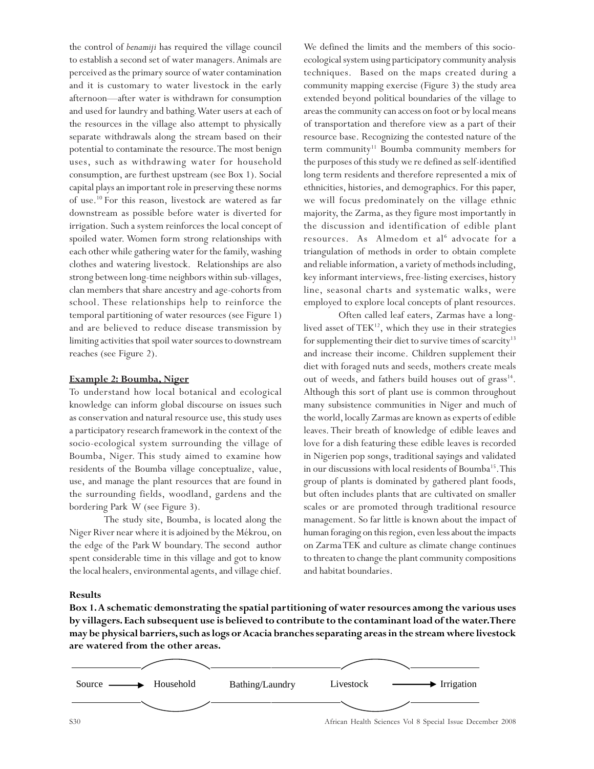the control of *benamiji* has required the village council to establish a second set of water managers. Animals are perceived as the primary source of water contamination and it is customary to water livestock in the early afternoon—after water is withdrawn for consumption and used for laundry and bathing. Water users at each of the resources in the village also attempt to physically separate withdrawals along the stream based on their potential to contaminate the resource. The most benign uses, such as withdrawing water for household consumption, are furthest upstream (see Box 1). Social capital plays an important role in preserving these norms of use.10 For this reason, livestock are watered as far downstream as possible before water is diverted for irrigation. Such a system reinforces the local concept of spoiled water. Women form strong relationships with each other while gathering water for the family, washing clothes and watering livestock. Relationships are also strong between long-time neighbors within sub-villages, clan members that share ancestry and age-cohorts from school. These relationships help to reinforce the temporal partitioning of water resources (see Figure 1) and are believed to reduce disease transmission by limiting activities that spoil water sources to downstream reaches (see Figure 2).

### **Example 2: Boumba, Niger**

To understand how local botanical and ecological knowledge can inform global discourse on issues such as conservation and natural resource use, this study uses a participatory research framework in the context of the socio-ecological system surrounding the village of Boumba, Niger. This study aimed to examine how residents of the Boumba village conceptualize, value, use, and manage the plant resources that are found in the surrounding fields, woodland, gardens and the bordering Park W (see Figure 3).

The study site, Boumba, is located along the Niger River near where it is adjoined by the Mékrou, on the edge of the Park W boundary. The second author spent considerable time in this village and got to know the local healers, environmental agents, and village chief.

We defined the limits and the members of this socioecological system using participatory community analysis techniques. Based on the maps created during a community mapping exercise (Figure 3) the study area extended beyond political boundaries of the village to areas the community can access on foot or by local means of transportation and therefore view as a part of their resource base. Recognizing the contested nature of the term community<sup>11</sup> Boumba community members for the purposes of this study we re defined as self-identified long term residents and therefore represented a mix of ethnicities, histories, and demographics. For this paper, we will focus predominately on the village ethnic majority, the Zarma, as they figure most importantly in the discussion and identification of edible plant resources. As Almedom et al<sup>6</sup> advocate for a triangulation of methods in order to obtain complete and reliable information, a variety of methods including, key informant interviews, free-listing exercises, history line, seasonal charts and systematic walks, were employed to explore local concepts of plant resources.

Often called leaf eaters, Zarmas have a longlived asset of  $TEK^{12}$ , which they use in their strategies for supplementing their diet to survive times of scarcity<sup>13</sup> and increase their income. Children supplement their diet with foraged nuts and seeds, mothers create meals out of weeds, and fathers build houses out of grass<sup>14</sup>. Although this sort of plant use is common throughout many subsistence communities in Niger and much of the world, locally Zarmas are known as experts of edible leaves. Their breath of knowledge of edible leaves and love for a dish featuring these edible leaves is recorded in Nigerien pop songs, traditional sayings and validated in our discussions with local residents of Boumba<sup>15</sup>. This group of plants is dominated by gathered plant foods, but often includes plants that are cultivated on smaller scales or are promoted through traditional resource management. So far little is known about the impact of human foraging on this region, even less about the impacts on Zarma TEK and culture as climate change continues to threaten to change the plant community compositions and habitat boundaries.

### **Results**

**Box 1. A schematic demonstrating the spatial partitioning of water resources among the various uses by villagers. Each subsequent use is believed to contribute to the contaminant load of the water. There may be physical barriers, such as logs or Acacia branches separating areas in the stream where livestock are watered from the other areas.**

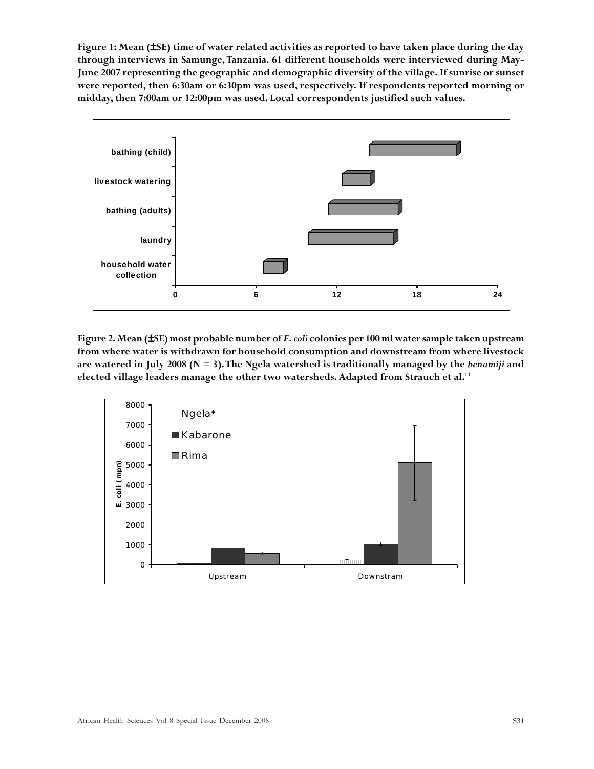**Figure 1: Mean (**±**SE) time of water related activities as reported to have taken place during the day through interviews in Samunge, Tanzania. 61 different households were interviewed during May-June 2007 representing the geographic and demographic diversity of the village. If sunrise or sunset were reported, then 6:30am or 6:30pm was used, respectively. If respondents reported morning or midday, then 7:00am or 12:00pm was used. Local correspondents justified such values.**



**Figure 2. Mean (**±**SE) most probable number of** *E. coli* **colonies per 100 ml water sample taken upstream from where water is withdrawn for household consumption and downstream from where livestock** are watered in July 2008 ( $N = 3$ ). The Ngela watershed is traditionally managed by the *benamiji* and **elected village leaders manage the other two watersheds. Adapted from Strauch et al.11**

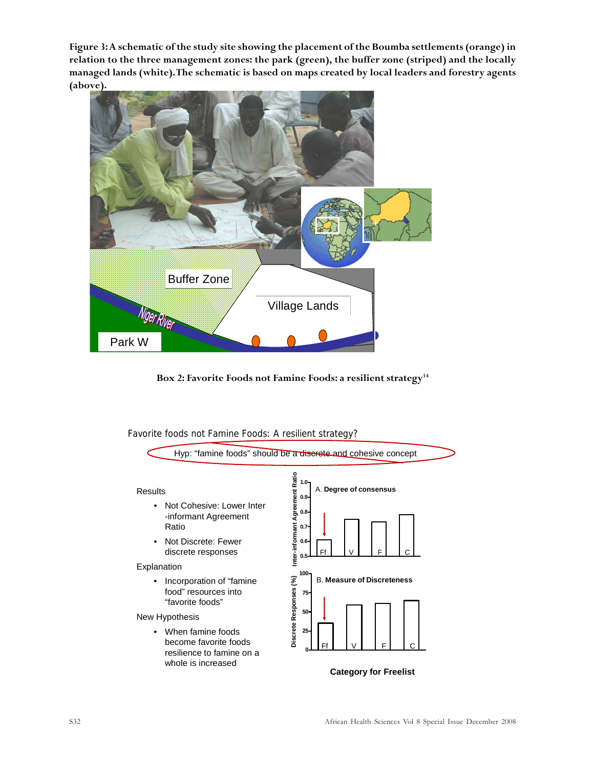**Figure 3: A schematic of the study site showing the placement of the Boumba settlements (orange) in relation to the three management zones: the park (green), the buffer zone (striped) and the locally managed lands (white). The schematic is based on maps created by local leaders and forestry agents (above).**



Box 2: Favorite Foods not Famine Foods: a resilient strategy<sup>14</sup>

Favorite foods not Famine Foods: A resilient strategy?

whole is increased



**Category for Freelist**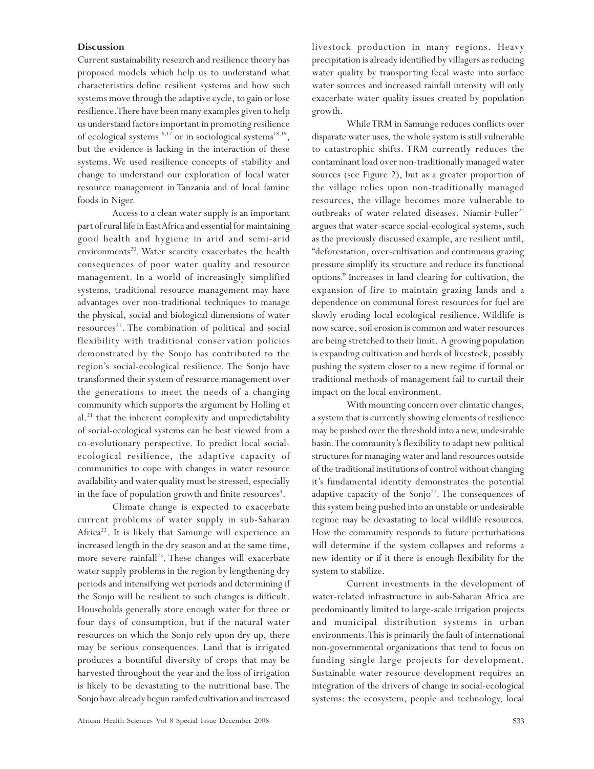### **Discussion**

Current sustainability research and resilience theory has proposed models which help us to understand what characteristics define resilient systems and how such systems move through the adaptive cycle, to gain or lose resilience. There have been many examples given to help us understand factors important in promoting resilience of ecological systems<sup>16,17</sup> or in sociological systems<sup>18,19</sup>, but the evidence is lacking in the interaction of these systems. We used resilience concepts of stability and change to understand our exploration of local water resource management in Tanzania and of local famine foods in Niger.

Access to a clean water supply is an important part of rural life in East Africa and essential for maintaining good health and hygiene in arid and semi-arid environments<sup>20</sup>. Water scarcity exacerbates the health consequences of poor water quality and resource management. In a world of increasingly simplified systems, traditional resource management may have advantages over non-traditional techniques to manage the physical, social and biological dimensions of water  $resources<sup>21</sup>$ . The combination of political and social flexibility with traditional conservation policies demonstrated by the Sonjo has contributed to the region's social-ecological resilience. The Sonjo have transformed their system of resource management over the generations to meet the needs of a changing community which supports the argument by Holling et al. $^{21}$  that the inherent complexity and unpredictability of social-ecological systems can be best viewed from a co-evolutionary perspective. To predict local socialecological resilience, the adaptive capacity of communities to cope with changes in water resource availability and water quality must be stressed, especially in the face of population growth and finite resources<sup>4</sup>.

Climate change is expected to exacerbate current problems of water supply in sub-Saharan Africa<sup>22</sup>. It is likely that Samunge will experience an increased length in the dry season and at the same time, more severe rainfall $^{23}$ . These changes will exacerbate water supply problems in the region by lengthening dry periods and intensifying wet periods and determining if the Sonjo will be resilient to such changes is difficult. Households generally store enough water for three or four days of consumption, but if the natural water resources on which the Sonjo rely upon dry up, there may be serious consequences. Land that is irrigated produces a bountiful diversity of crops that may be harvested throughout the year and the loss of irrigation is likely to be devastating to the nutritional base. The Sonjo have already begun rainfed cultivation and increased livestock production in many regions. Heavy precipitation is already identified by villagers as reducing water quality by transporting fecal waste into surface water sources and increased rainfall intensity will only exacerbate water quality issues created by population growth.

While TRM in Samunge reduces conflicts over disparate water uses, the whole system is still vulnerable to catastrophic shifts. TRM currently reduces the contaminant load over non-traditionally managed water sources (see Figure 2), but as a greater proportion of the village relies upon non-traditionally managed resources, the village becomes more vulnerable to outbreaks of water-related diseases. Niamir-Fuller<sup>24</sup> argues that water-scarce social-ecological systems, such as the previously discussed example, are resilient until, "deforestation, over-cultivation and continuous grazing pressure simplify its structure and reduce its functional options." Increases in land clearing for cultivation, the expansion of fire to maintain grazing lands and a dependence on communal forest resources for fuel are slowly eroding local ecological resilience. Wildlife is now scarce, soil erosion is common and water resources are being stretched to their limit. A growing population is expanding cultivation and herds of livestock, possibly pushing the system closer to a new regime if formal or traditional methods of management fail to curtail their impact on the local environment.

With mounting concern over climatic changes, a system that is currently showing elements of resilience may be pushed over the threshold into a new, undesirable basin. The community's flexibility to adapt new political structures for managing water and land resources outside of the traditional institutions of control without changing it's fundamental identity demonstrates the potential adaptive capacity of the Sonjo<sup>21</sup>. The consequences of this system being pushed into an unstable or undesirable regime may be devastating to local wildlife resources. How the community responds to future perturbations will determine if the system collapses and reforms a new identity or if it there is enough flexibility for the system to stabilize.

Current investments in the development of water-related infrastructure in sub-Saharan Africa are predominantly limited to large-scale irrigation projects and municipal distribution systems in urban environments. This is primarily the fault of international non-governmental organizations that tend to focus on funding single large projects for development. Sustainable water resource development requires an integration of the drivers of change in social-ecological systems: the ecosystem, people and technology, local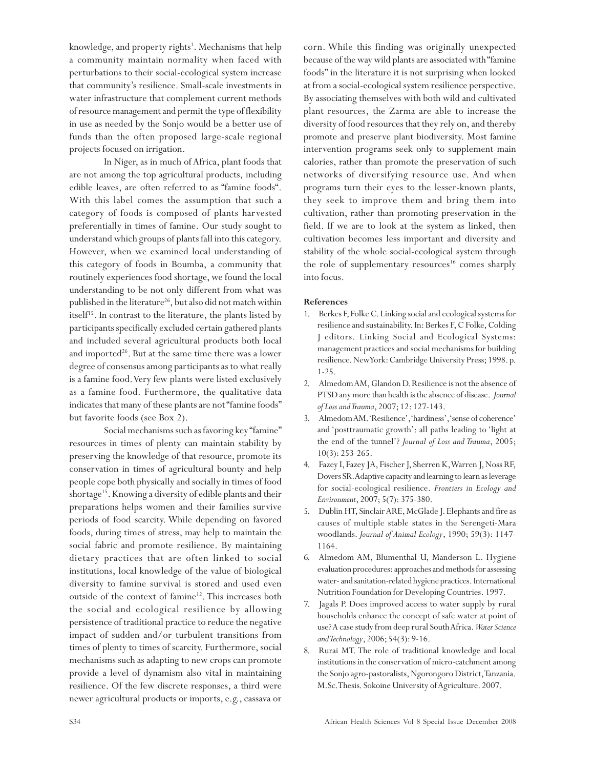knowledge, and property rights<sup>1</sup>. Mechanisms that help a community maintain normality when faced with perturbations to their social-ecological system increase that community's resilience. Small-scale investments in water infrastructure that complement current methods of resource management and permit the type of flexibility in use as needed by the Sonjo would be a better use of funds than the often proposed large-scale regional projects focused on irrigation.

In Niger, as in much of Africa, plant foods that are not among the top agricultural products, including edible leaves, are often referred to as "famine foods". With this label comes the assumption that such a category of foods is composed of plants harvested preferentially in times of famine. Our study sought to understand which groups of plants fall into this category. However, when we examined local understanding of this category of foods in Boumba, a community that routinely experiences food shortage, we found the local understanding to be not only different from what was published in the literature<sup>26</sup>, but also did not match within itself<sup>15</sup>. In contrast to the literature, the plants listed by participants specifically excluded certain gathered plants and included several agricultural products both local and imported<sup>26</sup>. But at the same time there was a lower degree of consensus among participants as to what really is a famine food. Very few plants were listed exclusively as a famine food. Furthermore, the qualitative data indicates that many of these plants are not "famine foods" but favorite foods (see Box 2).

Social mechanisms such as favoring key "famine" resources in times of plenty can maintain stability by preserving the knowledge of that resource, promote its conservation in times of agricultural bounty and help people cope both physically and socially in times of food shortage<sup>15</sup>. Knowing a diversity of edible plants and their preparations helps women and their families survive periods of food scarcity. While depending on favored foods, during times of stress, may help to maintain the social fabric and promote resilience. By maintaining dietary practices that are often linked to social institutions, local knowledge of the value of biological diversity to famine survival is stored and used even outside of the context of famine<sup>12</sup>. This increases both the social and ecological resilience by allowing persistence of traditional practice to reduce the negative impact of sudden and/or turbulent transitions from times of plenty to times of scarcity. Furthermore, social mechanisms such as adapting to new crops can promote provide a level of dynamism also vital in maintaining resilience. Of the few discrete responses, a third were newer agricultural products or imports, e.g., cassava or corn. While this finding was originally unexpected because of the way wild plants are associated with "famine foods" in the literature it is not surprising when looked at from a social-ecological system resilience perspective. By associating themselves with both wild and cultivated plant resources, the Zarma are able to increase the diversity of food resources that they rely on, and thereby promote and preserve plant biodiversity. Most famine intervention programs seek only to supplement main calories, rather than promote the preservation of such networks of diversifying resource use. And when programs turn their eyes to the lesser-known plants, they seek to improve them and bring them into cultivation, rather than promoting preservation in the field. If we are to look at the system as linked, then cultivation becomes less important and diversity and stability of the whole social-ecological system through the role of supplementary resources<sup>16</sup> comes sharply into focus.

### **References**

- 1. Berkes F, Folke C. Linking social and ecological systems for resilience and sustainability. In: Berkes F, C Folke, Colding J editors. Linking Social and Ecological Systems: management practices and social mechanisms for building resilience. New York: Cambridge University Press; 1998. p. 1-25.
- 2. Almedom AM, Glandon D. Resilience is not the absence of PTSD any more than health is the absence of disease. *Journal of Loss and Trauma*, 2007; 12: 127-143.
- 3. Almedom AM. 'Resilience', 'hardiness', 'sense of coherence' and 'posttraumatic growth': all paths leading to 'light at the end of the tunnel'? *Journal of Loss and Trauma*, 2005; 10(3): 253-265.
- 4. Fazey I, Fazey JA, Fischer J, Sherren K, Warren J, Noss RF, Dovers SR. Adaptive capacity and learning to learn as leverage for social-ecological resilience. *Frontiers in Ecology and Environment*, 2007; 5(7): 375-380.
- 5. Dublin HT, Sinclair ARE, McGlade J. Elephants and fire as causes of multiple stable states in the Serengeti-Mara woodlands. *Journal of Animal Ecology*, 1990; 59(3): 1147- 1164.
- 6. Almedom AM, Blumenthal U, Manderson L. Hygiene evaluation procedures: approaches and methods for assessing water- and sanitation-related hygiene practices. International Nutrition Foundation for Developing Countries. 1997.
- 7. Jagals P. Does improved access to water supply by rural households enhance the concept of safe water at point of use? A case study from deep rural South Africa. *Water Science and Technology*, 2006; 54(3): 9-16.
- 8. Rurai MT. The role of traditional knowledge and local institutions in the conservation of micro-catchment among the Sonjo agro-pastoralists, Ngorongoro District, Tanzania. M.Sc. Thesis. Sokoine University of Agriculture. 2007.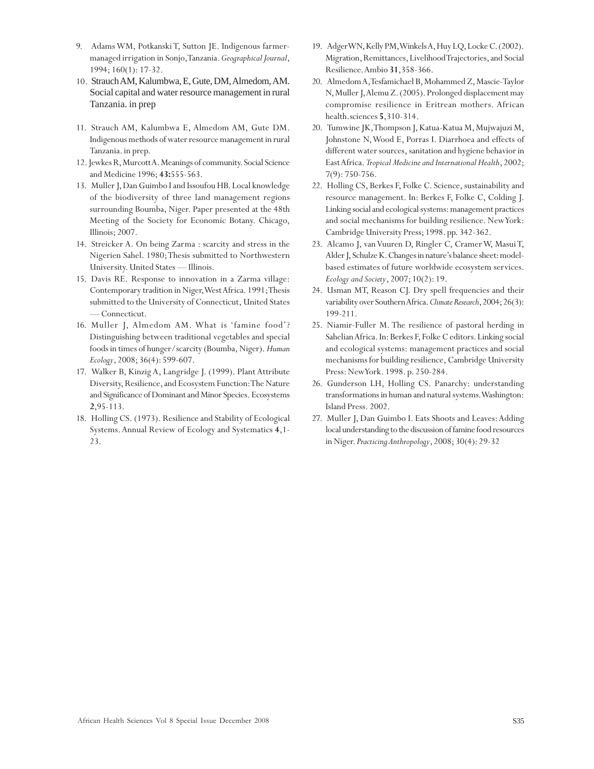- 9. Adams WM, Potkanski T, Sutton JE. Indigenous farmermanaged irrigation in Sonjo, Tanzania. *Geographical Journal*, 1994; 160(1): 17-32.
- 10. Strauch AM, Kalumbwa, E, Gute, DM, Almedom, AM. Social capital and water resource management in rural Tanzania. in prep
- 11. Strauch AM, Kalumbwa E, Almedom AM, Gute DM. Indigenous methods of water resource management in rural Tanzania. in prep.
- 12. Jewkes R, Murcott A. Meanings of community. Social Science and Medicine 1996; **43:**555-563.
- 13. Muller J, Dan Guimbo I and Issoufou HB. Local knowledge of the biodiversity of three land management regions surrounding Boumba, Niger. Paper presented at the 48th Meeting of the Society for Economic Botany. Chicago, Illinois; 2007.
- 14. Streicker A. On being Zarma : scarcity and stress in the Nigerien Sahel. 1980; Thesis submitted to Northwestern University. United States — Illinois.
- 15. Davis RE. Response to innovation in a Zarma village: Contemporary tradition in Niger, West Africa. 1991; Thesis submitted to the University of Connecticut, United States — Connecticut.
- 16. Muller J, Almedom AM. What is 'famine food'? Distinguishing between traditional vegetables and special foods in times of hunger/scarcity (Boumba, Niger). *Human Ecology*, 2008; 36(4): 599-607.
- 17. Walker B, Kinzig A, Langridge J. (1999). Plant Attribute Diversity, Resilience, and Ecosystem Function: The Nature and Significance of Dominant and Minor Species. Ecosystems **2**,95-113.
- 18. Holling CS. (1973). Resilience and Stability of Ecological Systems. Annual Review of Ecology and Systematics **4**,1- 23.
- 19. Adger WN, Kelly PM, Winkels A, Huy LQ, Locke C. (2002). Migration, Remittances, Livelihood Trajectories, and Social Resilience. Ambio **31**,358-366.
- 20. Almedom A, Tesfamichael B, Mohammed Z, Mascie-Taylor N, Muller J, Alemu Z. (2005). Prolonged displacement may compromise resilience in Eritrean mothers. African health.sciences **5**,310-314.
- 20. Tumwine JK, Thompson J, Katua-Katua M, Mujwajuzi M, Johnstone N, Wood E, Porras I. Diarrhoea and effects of different water sources, sanitation and hygiene behavior in East Africa. *Tropical Medicine and International Health*, 2002; 7(9): 750-756.
- 22. Holling CS, Berkes F, Folke C. Science, sustainability and resource management. In: Berkes F, Folke C, Colding J. Linking social and ecological systems: management practices and social mechanisms for building resilience. New York: Cambridge University Press; 1998. pp. 342-362.
- 23. Alcamo J, van Vuuren D, Ringler C, Cramer W, Masui T, Alder J, Schulze K. Changes in nature's balance sheet: modelbased estimates of future worldwide ecosystem services. *Ecology and Society*, 2007; 10(2): 19.
- 24. Usman MT, Reason CJ. Dry spell frequencies and their variability over Southern Africa. *Climate Research*, 2004; 26(3): 199-211.
- 25. Niamir-Fuller M. The resilience of pastoral herding in Sahelian Africa. In: Berkes F, Folke C editors. Linking social and ecological systems: management practices and social mechanisms for building resilience, Cambridge University Press: New York. 1998. p. 250-284.
- 26. Gunderson LH, Holling CS. Panarchy: understanding transformations in human and natural systems. Washington: Island Press. 2002.
- 27. Muller J, Dan Guimbo I. Eats Shoots and Leaves: Adding local understanding to the discussion of famine food resources in Niger. *Practicing Anthropology*, 2008; 30(4): 29-32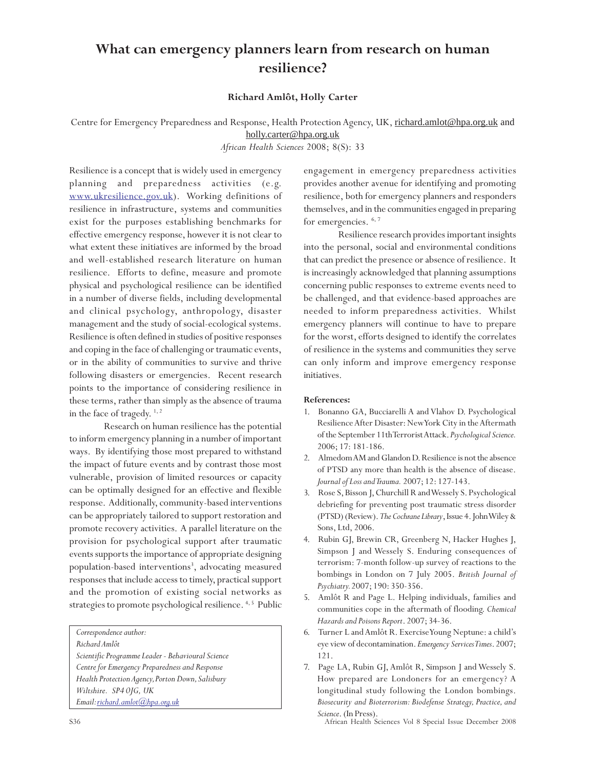# **What can emergency planners learn from research on human resilience?**

**Richard Amlôt, Holly Carter**

Centre for Emergency Preparedness and Response, Health Protection Agency, UK, richard.amlot@hpa.org.uk and holly.carter@hpa.org.uk

*African Health Sciences* 2008; 8(S): 33

Resilience is a concept that is widely used in emergency planning and preparedness activities (e.g. www.ukresilience.gov.uk). Working definitions of resilience in infrastructure, systems and communities exist for the purposes establishing benchmarks for effective emergency response, however it is not clear to what extent these initiatives are informed by the broad and well-established research literature on human resilience. Efforts to define, measure and promote physical and psychological resilience can be identified in a number of diverse fields, including developmental and clinical psychology, anthropology, disaster management and the study of social-ecological systems. Resilience is often defined in studies of positive responses and coping in the face of challenging or traumatic events, or in the ability of communities to survive and thrive following disasters or emergencies. Recent research points to the importance of considering resilience in these terms, rather than simply as the absence of trauma in the face of tragedy.<sup>1,2</sup>

Research on human resilience has the potential to inform emergency planning in a number of important ways. By identifying those most prepared to withstand the impact of future events and by contrast those most vulnerable, provision of limited resources or capacity can be optimally designed for an effective and flexible response. Additionally, community-based interventions can be appropriately tailored to support restoration and promote recovery activities. A parallel literature on the provision for psychological support after traumatic events supports the importance of appropriate designing population-based interventions<sup>3</sup>, advocating measured responses that include access to timely, practical support and the promotion of existing social networks as strategies to promote psychological resilience.<sup>4, 5</sup> Public

*Correspondence author:*

*Richard Amlôt*

*Scientific Programme Leader - Behavioural Science Centre for Emergency Preparedness and Response Health Protection Agency, Porton Down, Salisbury Wiltshire. SP4 0JG, UK Email: richard.amlot@hpa.org.uk*

engagement in emergency preparedness activities provides another avenue for identifying and promoting resilience, both for emergency planners and responders themselves, and in the communities engaged in preparing for emergencies.  $6, 7$ 

Resilience research provides important insights into the personal, social and environmental conditions that can predict the presence or absence of resilience. It is increasingly acknowledged that planning assumptions concerning public responses to extreme events need to be challenged, and that evidence-based approaches are needed to inform preparedness activities. Whilst emergency planners will continue to have to prepare for the worst, efforts designed to identify the correlates of resilience in the systems and communities they serve can only inform and improve emergency response initiatives.

#### **References:**

- 1. Bonanno GA, Bucciarelli A and Vlahov D. Psychological Resilience After Disaster: New York City in the Aftermath of the September 11th Terrorist Attack. *Psychological Science.* 2006; 17: 181-186.
- 2. Almedom AM and Glandon D. Resilience is not the absence of PTSD any more than health is the absence of disease. *Journal of Loss and Trauma.* 2007; 12: 127-143.
- 3. Rose S, Bisson J, Churchill R and Wessely S. Psychological debriefing for preventing post traumatic stress disorder (PTSD) (Review). *The Cochrane Library*, Issue 4. John Wiley & Sons, Ltd, 2006.
- 4. Rubin GJ, Brewin CR, Greenberg N, Hacker Hughes J, Simpson J and Wessely S. Enduring consequences of terrorism: 7-month follow-up survey of reactions to the bombings in London on 7 July 2005. *British Journal of Psychiatry.* 2007; 190: 350-356.
- 5. Amlôt R and Page L. Helping individuals, families and communities cope in the aftermath of flooding. *Chemical Hazards and Poisons Report*. 2007; 34-36.
- 6. Turner L and Amlôt R. Exercise Young Neptune: a child's eye view of decontamination. *Emergency Services Times*. 2007; 121.
- 7. Page LA, Rubin GJ, Amlôt R, Simpson J and Wessely S. How prepared are Londoners for an emergency? A longitudinal study following the London bombings. *Biosecurity and Bioterrorism: Biodefense Strategy, Practice, and Science*. (In Press).

S36 African Health Sciences Vol 8 Special Issue December 2008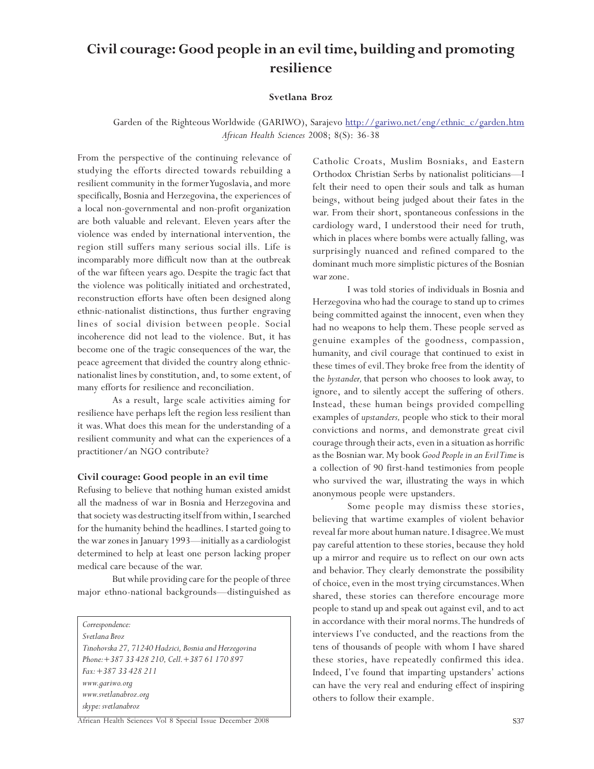# **Civil courage: Good people in an evil time, building and promoting resilience**

### **Svetlana Broz**

Garden of the Righteous Worldwide (GARIWO), Sarajevo http://gariwo.net/eng/ethnic\_c/garden.htm *African Health Sciences* 2008; 8(S): 36-38

From the perspective of the continuing relevance of studying the efforts directed towards rebuilding a resilient community in the former Yugoslavia, and more specifically, Bosnia and Herzegovina, the experiences of a local non-governmental and non-profit organization are both valuable and relevant. Eleven years after the violence was ended by international intervention, the region still suffers many serious social ills. Life is incomparably more difficult now than at the outbreak of the war fifteen years ago. Despite the tragic fact that the violence was politically initiated and orchestrated, reconstruction efforts have often been designed along ethnic-nationalist distinctions, thus further engraving lines of social division between people. Social incoherence did not lead to the violence. But, it has become one of the tragic consequences of the war, the peace agreement that divided the country along ethnicnationalist lines by constitution, and, to some extent, of many efforts for resilience and reconciliation.

As a result, large scale activities aiming for resilience have perhaps left the region less resilient than it was. What does this mean for the understanding of a resilient community and what can the experiences of a practitioner/an NGO contribute?

### **Civil courage: Good people in an evil time**

Refusing to believe that nothing human existed amidst all the madness of war in Bosnia and Herzegovina and that society was destructing itself from within, I searched for the humanity behind the headlines. I started going to the war zones in January 1993—initially as a cardiologist determined to help at least one person lacking proper medical care because of the war.

But while providing care for the people of three major ethno-national backgrounds—distinguished as

*Correspondence:*

*Svetlana Broz Tinohovska 27, 71240 Hadzici, Bosnia and Herzegovina Phone:+387 33 428 210, Cell.+387 61 170 897 Fax: +387 33 428 211 www.gariwo.org www.svetlanabroz.org skype: svetlanabroz*

Catholic Croats, Muslim Bosniaks, and Eastern Orthodox Christian Serbs by nationalist politicians––I felt their need to open their souls and talk as human beings, without being judged about their fates in the war. From their short, spontaneous confessions in the cardiology ward, I understood their need for truth, which in places where bombs were actually falling, was surprisingly nuanced and refined compared to the dominant much more simplistic pictures of the Bosnian war zone.

I was told stories of individuals in Bosnia and Herzegovina who had the courage to stand up to crimes being committed against the innocent, even when they had no weapons to help them. These people served as genuine examples of the goodness, compassion, humanity, and civil courage that continued to exist in these times of evil. They broke free from the identity of the *bystander,* that person who chooses to look away, to ignore, and to silently accept the suffering of others. Instead, these human beings provided compelling examples of *upstanders,* people who stick to their moral convictions and norms, and demonstrate great civil courage through their acts, even in a situation as horrific as the Bosnian war. My book *Good People in an Evil Time* is a collection of 90 first-hand testimonies from people who survived the war, illustrating the ways in which anonymous people were upstanders.

Some people may dismiss these stories, believing that wartime examples of violent behavior reveal far more about human nature. I disagree. We must pay careful attention to these stories, because they hold up a mirror and require us to reflect on our own acts and behavior. They clearly demonstrate the possibility of choice, even in the most trying circumstances. When shared, these stories can therefore encourage more people to stand up and speak out against evil, and to act in accordance with their moral norms. The hundreds of interviews I've conducted, and the reactions from the tens of thousands of people with whom I have shared these stories, have repeatedly confirmed this idea. Indeed, I've found that imparting upstanders' actions can have the very real and enduring effect of inspiring others to follow their example.

African Health Sciences Vol 8 Special Issue December 2008 S37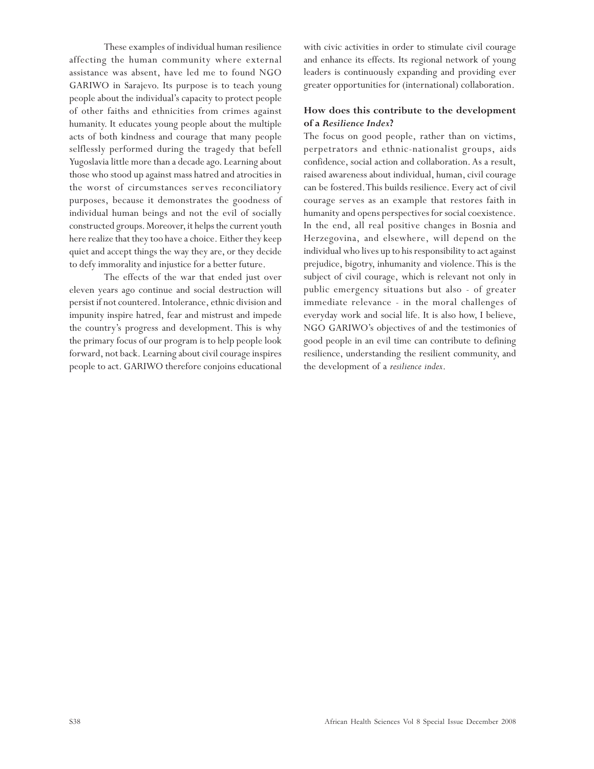These examples of individual human resilience affecting the human community where external assistance was absent, have led me to found NGO GARIWO in Sarajevo. Its purpose is to teach young people about the individual's capacity to protect people of other faiths and ethnicities from crimes against humanity. It educates young people about the multiple acts of both kindness and courage that many people selflessly performed during the tragedy that befell Yugoslavia little more than a decade ago. Learning about those who stood up against mass hatred and atrocities in the worst of circumstances serves reconciliatory purposes, because it demonstrates the goodness of individual human beings and not the evil of socially constructed groups. Moreover, it helps the current youth here realize that they too have a choice. Either they keep quiet and accept things the way they are, or they decide to defy immorality and injustice for a better future.

The effects of the war that ended just over eleven years ago continue and social destruction will persist if not countered. Intolerance, ethnic division and impunity inspire hatred, fear and mistrust and impede the country's progress and development. This is why the primary focus of our program is to help people look forward, not back. Learning about civil courage inspires people to act. GARIWO therefore conjoins educational with civic activities in order to stimulate civil courage and enhance its effects. Its regional network of young leaders is continuously expanding and providing ever greater opportunities for (international) collaboration.

### **How does this contribute to the development of a** *Resilience Index***?**

The focus on good people, rather than on victims, perpetrators and ethnic-nationalist groups, aids confidence, social action and collaboration. As a result, raised awareness about individual, human, civil courage can be fostered. This builds resilience. Every act of civil courage serves as an example that restores faith in humanity and opens perspectives for social coexistence. In the end, all real positive changes in Bosnia and Herzegovina, and elsewhere, will depend on the individual who lives up to his responsibility to act against prejudice, bigotry, inhumanity and violence. This is the subject of civil courage, which is relevant not only in public emergency situations but also - of greater immediate relevance - in the moral challenges of everyday work and social life. It is also how, I believe, NGO GARIWO's objectives of and the testimonies of good people in an evil time can contribute to defining resilience, understanding the resilient community, and the development of a *resilience index*.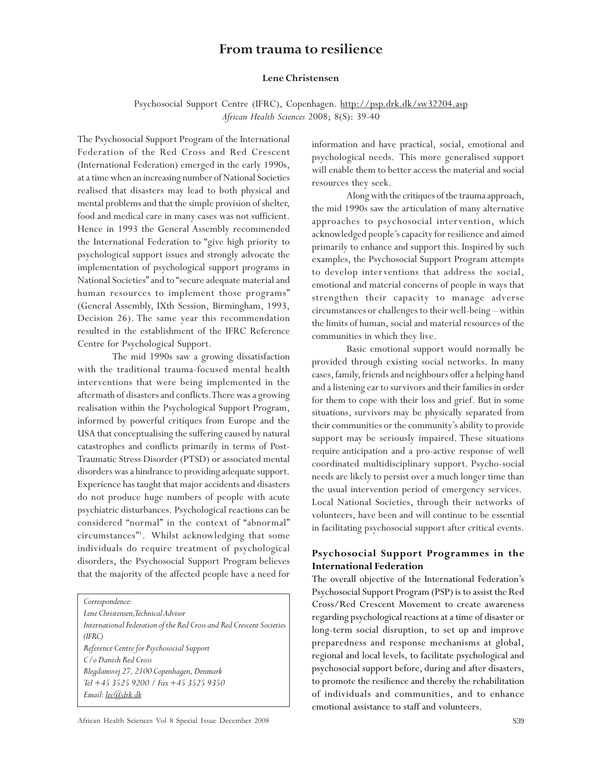### **From trauma to resilience**

### **Lene Christensen**

Psychosocial Support Centre (IFRC), Copenhagen. http://psp.drk.dk/sw32204.asp *African Health Sciences* 2008; 8(S): 39-40

The Psychosocial Support Program of the International Federation of the Red Cross and Red Crescent (International Federation) emerged in the early 1990s, at a time when an increasing number of National Societies realised that disasters may lead to both physical and mental problems and that the simple provision of shelter, food and medical care in many cases was not sufficient. Hence in 1993 the General Assembly recommended the International Federation to "give high priority to psychological support issues and strongly advocate the implementation of psychological support programs in National Societies" and to "secure adequate material and human resources to implement those programs" (General Assembly, IXth Session, Birmingham, 1993, Decision 26). The same year this recommendation resulted in the establishment of the IFRC Reference Centre for Psychological Support.

The mid 1990s saw a growing dissatisfaction with the traditional trauma-focused mental health interventions that were being implemented in the aftermath of disasters and conflicts. There was a growing realisation within the Psychological Support Program, informed by powerful critiques from Europe and the USA that conceptualising the suffering caused by natural catastrophes and conflicts primarily in terms of Post-Traumatic Stress Disorder (PTSD) or associated mental disorders was a hindrance to providing adequate support. Experience has taught that major accidents and disasters do not produce huge numbers of people with acute psychiatric disturbances. Psychological reactions can be considered "normal" in the context of "abnormal" circumstances"1 . Whilst acknowledging that some individuals do require treatment of psychological disorders, the Psychosocial Support Program believes that the majority of the affected people have a need for

*Correspondence:*

*Lene Christensen, Technical Advisor International Federation of the Red Cross and Red Crescent Societies (IFRC) Reference Centre for Psychosocial Support C/o Danish Red Cross Blegdamsvej 27, 2100 Copenhagen, Denmark Tel +45 3525 9200 / Fax +45 3525 9350 Email: lec@drk.dk*

information and have practical, social, emotional and psychological needs. This more generalised support will enable them to better access the material and social resources they seek.

Along with the critiques of the trauma approach, the mid 1990s saw the articulation of many alternative approaches to psychosocial intervention, which acknowledged people's capacity for resilience and aimed primarily to enhance and support this. Inspired by such examples, the Psychosocial Support Program attempts to develop interventions that address the social, emotional and material concerns of people in ways that strengthen their capacity to manage adverse circumstances or challenges to their well-being – within the limits of human, social and material resources of the communities in which they live.

Basic emotional support would normally be provided through existing social networks. In many cases, family, friends and neighbours offer a helping hand and a listening ear to survivors and their families in order for them to cope with their loss and grief. But in some situations, survivors may be physically separated from their communities or the community's ability to provide support may be seriously impaired. These situations require anticipation and a pro-active response of well coordinated multidisciplinary support. Psycho-social needs are likely to persist over a much longer time than the usual intervention period of emergency services. Local National Societies, through their networks of volunteers, have been and will continue to be essential in facilitating psychosocial support after critical events.

### **Psychosocial Support Programmes in the International Federation**

The overall objective of the International Federation's Psychosocial Support Program (PSP) is to assist the Red Cross/Red Crescent Movement to create awareness regarding psychological reactions at a time of disaster or long-term social disruption, to set up and improve preparedness and response mechanisms at global, regional and local levels, to facilitate psychological and psychosocial support before, during and after disasters, to promote the resilience and thereby the rehabilitation of individuals and communities, and to enhance emotional assistance to staff and volunteers.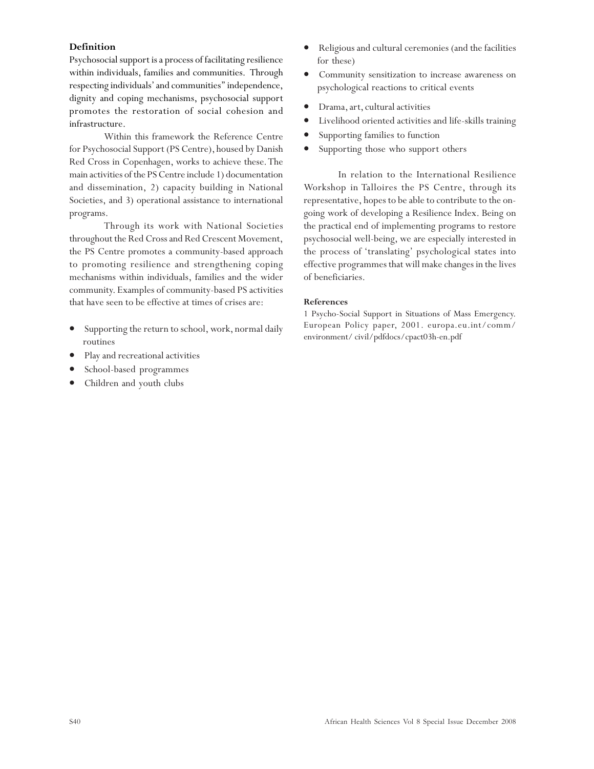### **Definition**

Psychosocial support is a process of facilitating resilience within individuals, families and communities. Through respecting individuals' and communities'' independence, dignity and coping mechanisms, psychosocial support promotes the restoration of social cohesion and infrastructure.

Within this framework the Reference Centre for Psychosocial Support (PS Centre), housed by Danish Red Cross in Copenhagen, works to achieve these. The main activities of the PS Centre include 1) documentation and dissemination, 2) capacity building in National Societies, and 3) operational assistance to international programs.

Through its work with National Societies throughout the Red Cross and Red Crescent Movement, the PS Centre promotes a community-based approach to promoting resilience and strengthening coping mechanisms within individuals, families and the wider community. Examples of community-based PS activities that have seen to be effective at times of crises are:

- Supporting the return to school, work, normal daily routines
- Play and recreational activities
- School-based programmes
- Children and youth clubs
- Religious and cultural ceremonies (and the facilities for these)
- Community sensitization to increase awareness on psychological reactions to critical events
- Drama, art, cultural activities
- Livelihood oriented activities and life-skills training
- Supporting families to function
- Supporting those who support others

In relation to the International Resilience Workshop in Talloires the PS Centre, through its representative, hopes to be able to contribute to the ongoing work of developing a Resilience Index. Being on the practical end of implementing programs to restore psychosocial well-being, we are especially interested in the process of 'translating' psychological states into effective programmes that will make changes in the lives of beneficiaries.

### **References**

1 Psycho-Social Support in Situations of Mass Emergency. European Policy paper, 2001. europa.eu.int/comm/ environment/ civil/pdfdocs/cpact03h-en.pdf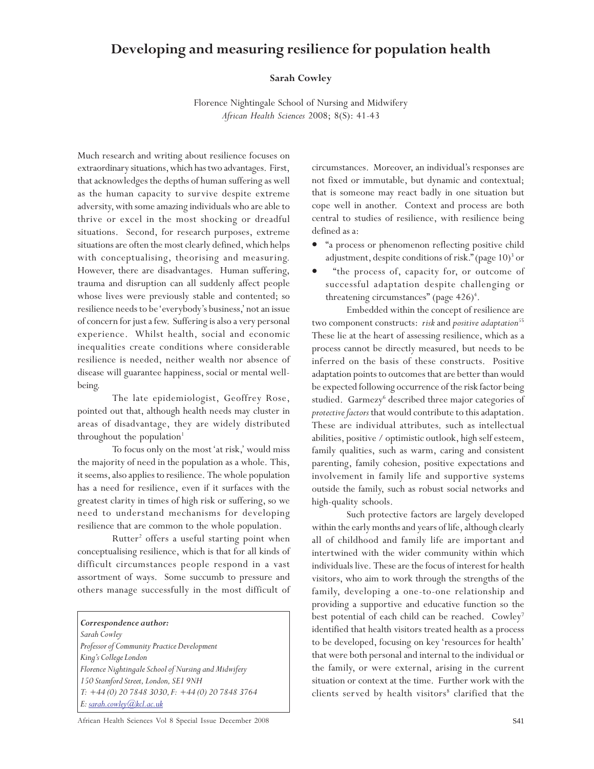## **Developing and measuring resilience for population health**

### **Sarah Cowley**

Florence Nightingale School of Nursing and Midwifery *African Health Sciences* 2008; 8(S): 41-43

Much research and writing about resilience focuses on extraordinary situations, which has two advantages. First, that acknowledges the depths of human suffering as well as the human capacity to survive despite extreme adversity, with some amazing individuals who are able to thrive or excel in the most shocking or dreadful situations. Second, for research purposes, extreme situations are often the most clearly defined, which helps with conceptualising, theorising and measuring. However, there are disadvantages. Human suffering, trauma and disruption can all suddenly affect people whose lives were previously stable and contented; so resilience needs to be 'everybody's business,' not an issue of concern for just a few. Suffering is also a very personal experience. Whilst health, social and economic inequalities create conditions where considerable resilience is needed, neither wealth nor absence of disease will guarantee happiness, social or mental wellbeing.

The late epidemiologist, Geoffrey Rose, pointed out that, although health needs may cluster in areas of disadvantage, they are widely distributed throughout the population<sup>1</sup>

To focus only on the most 'at risk,' would miss the majority of need in the population as a whole. This, it seems, also applies to resilience. The whole population has a need for resilience, even if it surfaces with the greatest clarity in times of high risk or suffering, so we need to understand mechanisms for developing resilience that are common to the whole population.

Rutter<sup>2</sup> offers a useful starting point when conceptualising resilience, which is that for all kinds of difficult circumstances people respond in a vast assortment of ways. Some succumb to pressure and others manage successfully in the most difficult of

#### *Correspondence author:*

*Sarah Cowley Professor of Community Practice Development King's College London Florence Nightingale School of Nursing and Midwifery 150 Stamford Street, London, SE1 9NH T: +44 (0) 20 7848 3030, F: +44 (0) 20 7848 3764 E: sarah.cowley@kcl.ac.uk*

circumstances. Moreover, an individual's responses are not fixed or immutable, but dynamic and contextual; that is someone may react badly in one situation but cope well in another. Context and process are both central to studies of resilience, with resilience being defined as a:

- "a process or phenomenon reflecting positive child adjustment, despite conditions of risk." (page 10)<sup>3</sup> or
- "the process of, capacity for, or outcome of successful adaptation despite challenging or threatening circumstances" (page 426)<sup>4</sup>.

Embedded within the concept of resilience are two component constructs: *risk* and *positive adaptation*<sup>55</sup> These lie at the heart of assessing resilience, which as a process cannot be directly measured, but needs to be inferred on the basis of these constructs. Positive adaptation points to outcomes that are better than would be expected following occurrence of the risk factor being studied. Garmezy<sup>6</sup> described three major categories of *protective factors* that would contribute to this adaptation. These are individual attributes*,* such as intellectual abilities, positive / optimistic outlook, high self esteem, family qualities, such as warm, caring and consistent parenting, family cohesion, positive expectations and involvement in family life and supportive systems outside the family, such as robust social networks and high-quality schools.

Such protective factors are largely developed within the early months and years of life, although clearly all of childhood and family life are important and intertwined with the wider community within which individuals live. These are the focus of interest for health visitors, who aim to work through the strengths of the family, developing a one-to-one relationship and providing a supportive and educative function so the best potential of each child can be reached. Cowley<sup>7</sup> identified that health visitors treated health as a process to be developed, focusing on key 'resources for health' that were both personal and internal to the individual or the family, or were external, arising in the current situation or context at the time. Further work with the clients served by health visitors<sup>8</sup> clarified that the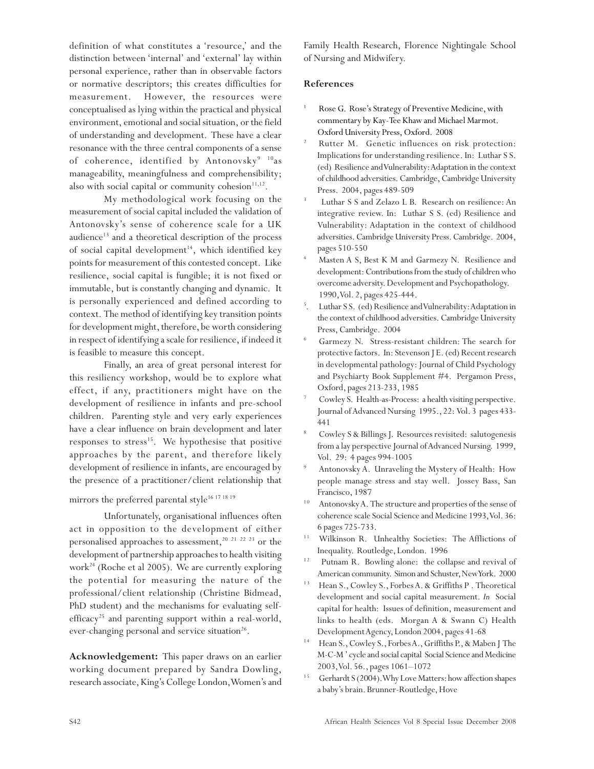definition of what constitutes a 'resource,' and the distinction between 'internal' and 'external' lay within personal experience, rather than in observable factors or normative descriptors; this creates difficulties for measurement. However, the resources were conceptualised as lying within the practical and physical environment, emotional and social situation, or the field of understanding and development. These have a clear resonance with the three central components of a sense of coherence, identified by Antonovsky<sup>9 10</sup>as manageability, meaningfulness and comprehensibility; also with social capital or community cohesion $11,12$ .

My methodological work focusing on the measurement of social capital included the validation of Antonovsky's sense of coherence scale for a UK audience<sup>13</sup> and a theoretical description of the process of social capital development<sup>14</sup>, which identified key points for measurement of this contested concept. Like resilience, social capital is fungible; it is not fixed or immutable, but is constantly changing and dynamic. It is personally experienced and defined according to context. The method of identifying key transition points for development might, therefore, be worth considering in respect of identifying a scale for resilience, if indeed it is feasible to measure this concept.

Finally, an area of great personal interest for this resiliency workshop, would be to explore what effect, if any, practitioners might have on the development of resilience in infants and pre-school children. Parenting style and very early experiences have a clear influence on brain development and later responses to stress<sup>15</sup>. We hypothesise that positive approaches by the parent, and therefore likely development of resilience in infants, are encouraged by the presence of a practitioner/client relationship that

### mirrors the preferred parental style<sup>16 17 18 19</sup>

Unfortunately, organisational influences often act in opposition to the development of either personalised approaches to assessment,<sup>20 21 22 23</sup> or the development of partnership approaches to health visiting work<sup>24</sup> (Roche et al 2005). We are currently exploring the potential for measuring the nature of the professional/client relationship (Christine Bidmead, PhD student) and the mechanisms for evaluating selfefficacy<sup>25</sup> and parenting support within a real-world, ever-changing personal and service situation<sup>26</sup>.

**Acknowledgement:** This paper draws on an earlier working document prepared by Sandra Dowling, research associate, King's College London, Women's and Family Health Research, Florence Nightingale School of Nursing and Midwifery.

### **References**

- Rose G. Rose's Strategy of Preventive Medicine, with commentary by Kay-Tee Khaw and Michael Marmot. Oxford University Press, Oxford. 2008
- <sup>2</sup> Rutter M. Genetic influences on risk protection: Implications for understanding resilience. In: Luthar S S. (ed) Resilience and Vulnerability: Adaptation in the context of childhood adversities. Cambridge, Cambridge University Press. 2004, pages 489-509
- 3 Luthar S S and Zelazo L B. Research on resilience: An integrative review. In: Luthar S S. (ed) Resilience and Vulnerability: Adaptation in the context of childhood adversities. Cambridge University Press. Cambridge. 2004, pages 510-550
- <sup>4</sup> Masten A S, Best K M and Garmezy N. Resilience and development: Contributions from the study of children who overcome adversity. Development and Psychopathology. 1990, Vol. 2, pages 425-444.
- 5 . Luthar S S. (ed) Resilience and Vulnerability: Adaptation in the context of childhood adversities. Cambridge University Press, Cambridge. 2004
- <sup>6</sup> Garmezy N. Stress-resistant children: The search for protective factors. In: Stevenson J E. (ed) Recent research in developmental pathology: Journal of Child Psychology and Psychiarty Book Supplement #4. Pergamon Press, Oxford, pages 213-233, 1985
- Cowley S. Health-as-Process: a health visiting perspective. Journal of Advanced Nursing 1995., 22: Vol. 3 pages 433- 441
- <sup>8</sup> Cowley S & Billings J. Resources revisited: salutogenesis from a lay perspective Journal of Advanced Nursing. 1999, Vol. 29: 4 pages 994-1005
- Antonovsky A. Unraveling the Mystery of Health: How people manage stress and stay well. Jossey Bass, San Francisco, 1987
- $10$  Antonovsky A. The structure and properties of the sense of coherence scale Social Science and Medicine 1993, Vol. 36: 6 pages 725-733.
- <sup>11</sup> Wilkinson R. Unhealthy Societies: The Afflictions of Inequality. Routledge, London. 1996
- <sup>12</sup> Putnam R. Bowling alone: the collapse and revival of American community. Simon and Schuster, New York. 2000
- <sup>13</sup> Hean S., Cowley S., Forbes A. & Griffiths P. Theoretical development and social capital measurement. *In* Social capital for health: Issues of definition, measurement and links to health (eds. Morgan A & Swann C) Health Development Agency, London 2004, pages 41-68
- <sup>14</sup> Hean S., Cowley S., Forbes A., Griffiths P., & Maben J The M-C-M ' cycle and social capital Social Science and Medicine 2003, Vol. 56., pages 1061–1072
- <sup>15</sup> Gerhardt S (2004). Why Love Matters: how affection shapes a baby's brain. Brunner-Routledge, Hove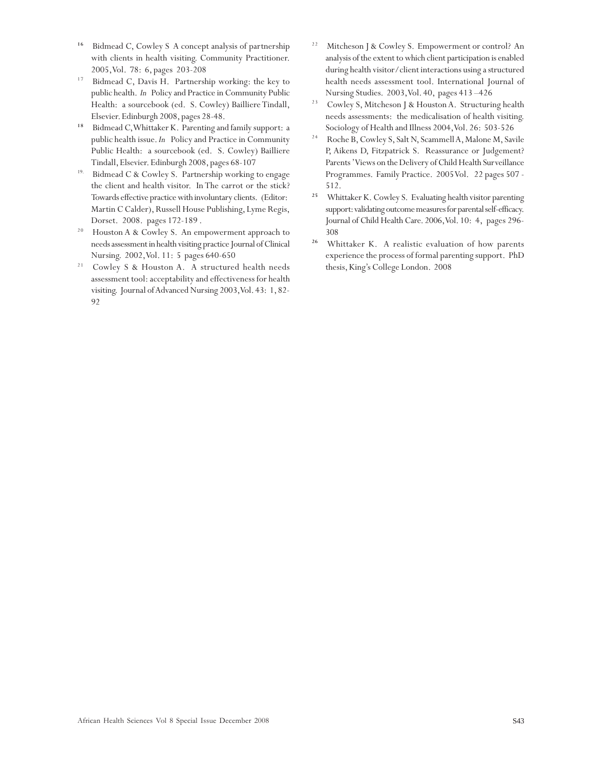- <sup>16</sup> Bidmead C, Cowley S A concept analysis of partnership with clients in health visiting. Community Practitioner. 2005, Vol. 78: 6, pages 203-208
- $17$  Bidmead C, Davis H. Partnership working: the key to public health. *In* Policy and Practice in Community Public Health: a sourcebook (ed. S. Cowley) Bailliere Tindall, Elsevier. Edinburgh 2008, pages 28-48.
- <sup>18</sup> Bidmead C, Whittaker K. Parenting and family support: a public health issue. *In* Policy and Practice in Community Public Health: a sourcebook (ed. S. Cowley) Bailliere Tindall, Elsevier. Edinburgh 2008, pages 68-107
- <sup>19.</sup> Bidmead C & Cowley S. Partnership working to engage the client and health visitor. In The carrot or the stick? Towards effective practice with involuntary clients. (Editor: Martin C Calder), Russell House Publishing, Lyme Regis, Dorset. 2008. pages 172-189 .
- <sup>20</sup> Houston A & Cowley S. An empowerment approach to needs assessment in health visiting practice Journal of Clinical Nursing. 2002, Vol. 11: 5 pages 640-650
- <sup>21</sup> Cowley S & Houston A. A structured health needs assessment tool: acceptability and effectiveness for health visiting. Journal of Advanced Nursing 2003, Vol. 43: 1, 82- 92
- <sup>22</sup> Mitcheson J & Cowley S. Empowerment or control? An analysis of the extent to which client participation is enabled during health visitor/client interactions using a structured health needs assessment tool. International Journal of Nursing Studies. 2003, Vol. 40, pages 413 –426
- <sup>23</sup> Cowley S, Mitcheson J & Houston A. Structuring health needs assessments: the medicalisation of health visiting. Sociology of Health and Illness 2004, Vol. 26: 503-526
- 2 4 Roche B, Cowley S, Salt N, Scammell A, Malone M, Savile P, Aikens D, Fitzpatrick S. Reassurance or Judgement? Parents ' Views on the Delivery of Child Health Surveillance Programmes. Family Practice. 2005 Vol. 22 pages 507 - 512.
- <sup>25</sup> Whittaker K. Cowley S. Evaluating health visitor parenting support: validating outcome measures for parental self-efficacy. Journal of Child Health Care. 2006, Vol. 10: 4, pages 296- 308
- <sup>26</sup> Whittaker K. A realistic evaluation of how parents experience the process of formal parenting support. PhD thesis, King's College London. 2008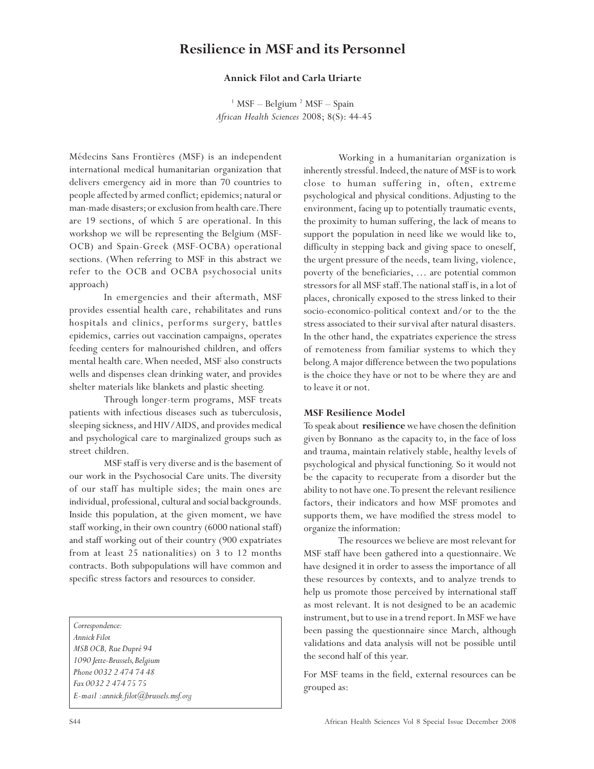### **Resilience in MSF and its Personnel**

### **Annick Filot and Carla Uriarte**

<sup>1</sup> MSF – Belgium<sup>2</sup> MSF – Spain *African Health Sciences* 2008; 8(S): 44-45

Médecins Sans Frontières (MSF) is an independent international medical humanitarian organization that delivers emergency aid in more than 70 countries to people affected by armed conflict; epidemics; natural or man-made disasters; or exclusion from health care. There are 19 sections, of which 5 are operational. In this workshop we will be representing the Belgium (MSF-OCB) and Spain-Greek (MSF-OCBA) operational sections. (When referring to MSF in this abstract we refer to the OCB and OCBA psychosocial units approach)

In emergencies and their aftermath, MSF provides essential health care, rehabilitates and runs hospitals and clinics, performs surgery, battles epidemics, carries out vaccination campaigns, operates feeding centers for malnourished children, and offers mental health care. When needed, MSF also constructs wells and dispenses clean drinking water, and provides shelter materials like blankets and plastic sheeting.

Through longer-term programs, MSF treats patients with infectious diseases such as tuberculosis, sleeping sickness, and HIV/AIDS, and provides medical and psychological care to marginalized groups such as street children.

MSF staff is very diverse and is the basement of our work in the Psychosocial Care units. The diversity of our staff has multiple sides; the main ones are individual, professional, cultural and social backgrounds. Inside this population, at the given moment, we have staff working, in their own country (6000 national staff) and staff working out of their country (900 expatriates from at least 25 nationalities) on 3 to 12 months contracts. Both subpopulations will have common and specific stress factors and resources to consider.

*Correspondence: Annick Filot MSB OCB, Rue Dupré 94 1090 Jette-Brussels, Belgium Phone 0032 2 474 74 48 Fax 0032 2 474 75 75 E-mail : annick.filot@brussels.msf.org*

Working in a humanitarian organization is inherently stressful. Indeed, the nature of MSF is to work close to human suffering in, often, extreme psychological and physical conditions. Adjusting to the environment, facing up to potentially traumatic events, the proximity to human suffering, the lack of means to support the population in need like we would like to, difficulty in stepping back and giving space to oneself, the urgent pressure of the needs, team living, violence, poverty of the beneficiaries, … are potential common stressors for all MSF staff. The national staff is, in a lot of places, chronically exposed to the stress linked to their socio-economico-political context and/or to the the stress associated to their survival after natural disasters. In the other hand, the expatriates experience the stress of remoteness from familiar systems to which they belong. A major difference between the two populations is the choice they have or not to be where they are and to leave it or not.

### **MSF Resilience Model**

To speak about **resilience** we have chosen the definition given by Bonnano as the capacity to, in the face of loss and trauma, maintain relatively stable, healthy levels of psychological and physical functioning. So it would not be the capacity to recuperate from a disorder but the ability to not have one. To present the relevant resilience factors, their indicators and how MSF promotes and supports them, we have modified the stress model to organize the information:

The resources we believe are most relevant for MSF staff have been gathered into a questionnaire. We have designed it in order to assess the importance of all these resources by contexts, and to analyze trends to help us promote those perceived by international staff as most relevant. It is not designed to be an academic instrument, but to use in a trend report. In MSF we have been passing the questionnaire since March, although validations and data analysis will not be possible until the second half of this year.

For MSF teams in the field, external resources can be grouped as: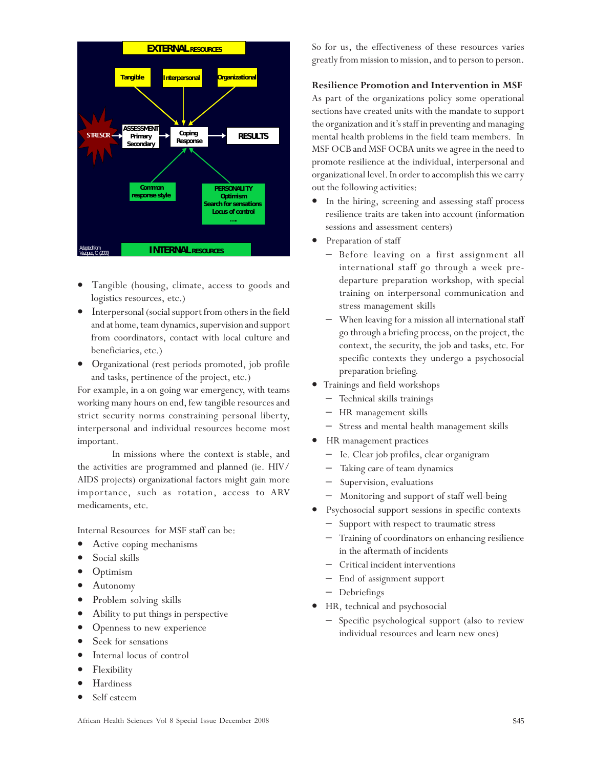

- Tangible (housing, climate, access to goods and logistics resources, etc.)
- Interpersonal (social support from others in the field and at home, team dynamics, supervision and support from coordinators, contact with local culture and beneficiaries, etc.)
- Organizational (rest periods promoted, job profile and tasks, pertinence of the project, etc.)

For example, in a on going war emergency, with teams working many hours on end, few tangible resources and strict security norms constraining personal liberty, interpersonal and individual resources become most important.

In missions where the context is stable, and the activities are programmed and planned (ie. HIV/ AIDS projects) organizational factors might gain more importance, such as rotation, access to ARV medicaments, etc.

Internal Resources for MSF staff can be:

- Active coping mechanisms
- Social skills
- Optimism
- Autonomy
- Problem solving skills
- Ability to put things in perspective
- Openness to new experience
- Seek for sensations
- Internal locus of control
- Flexibility
- **Hardiness**
- Self esteem

So for us, the effectiveness of these resources varies greatly from mission to mission, and to person to person.

### **Resilience Promotion and Intervention in MSF**

As part of the organizations policy some operational sections have created units with the mandate to support the organization and it's staff in preventing and managing mental health problems in the field team members. In MSF OCB and MSF OCBA units we agree in the need to promote resilience at the individual, interpersonal and organizational level. In order to accomplish this we carry out the following activities:

- In the hiring, screening and assessing staff process resilience traits are taken into account (information sessions and assessment centers)
- Preparation of staff
	- Before leaving on a first assignment all international staff go through a week predeparture preparation workshop, with special training on interpersonal communication and stress management skills
	- When leaving for a mission all international staff go through a briefing process, on the project, the context, the security, the job and tasks, etc. For specific contexts they undergo a psychosocial preparation briefing.
- Trainings and field workshops
	- − Technical skills trainings
	- − HR management skills
	- − Stress and mental health management skills
- HR management practices
	- − Ie. Clear job profiles, clear organigram
	- Taking care of team dynamics
	- Supervision, evaluations
	- Monitoring and support of staff well-being
- Psychosocial support sessions in specific contexts
	- Support with respect to traumatic stress
	- − Training of coordinators on enhancing resilience in the aftermath of incidents
	- − Critical incident interventions
	- − End of assignment support
	- − Debriefings
- HR, technical and psychosocial
	- − Specific psychological support (also to review individual resources and learn new ones)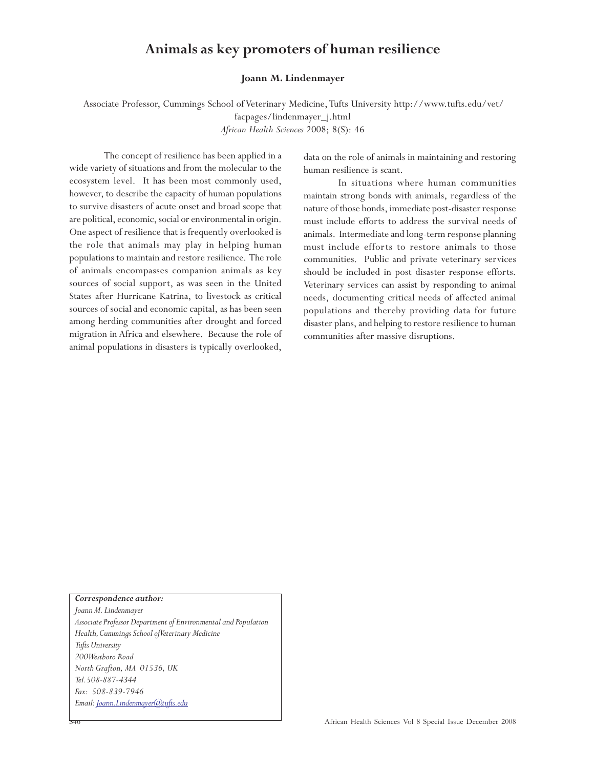### **Animals as key promoters of human resilience**

### **Joann M. Lindenmayer**

 Associate Professor, Cummings School of Veterinary Medicine, Tufts University http://www.tufts.edu/vet/ facpages/lindenmayer\_j.html

*African Health Sciences* 2008; 8(S): 46

The concept of resilience has been applied in a wide variety of situations and from the molecular to the ecosystem level. It has been most commonly used, however, to describe the capacity of human populations to survive disasters of acute onset and broad scope that are political, economic, social or environmental in origin. One aspect of resilience that is frequently overlooked is the role that animals may play in helping human populations to maintain and restore resilience. The role of animals encompasses companion animals as key sources of social support, as was seen in the United States after Hurricane Katrina, to livestock as critical sources of social and economic capital, as has been seen among herding communities after drought and forced migration in Africa and elsewhere. Because the role of animal populations in disasters is typically overlooked,

data on the role of animals in maintaining and restoring human resilience is scant.

In situations where human communities maintain strong bonds with animals, regardless of the nature of those bonds, immediate post-disaster response must include efforts to address the survival needs of animals. Intermediate and long-term response planning must include efforts to restore animals to those communities. Public and private veterinary services should be included in post disaster response efforts. Veterinary services can assist by responding to animal needs, documenting critical needs of affected animal populations and thereby providing data for future disaster plans, and helping to restore resilience to human communities after massive disruptions.

*Correspondence author: Joann M. Lindenmayer Associate Professor Department of Environmental and Population Health, Cummings School of Veterinary Medicine Tufts University 200 Westboro Road North Grafton, MA 01536, UK Tel. 508-887-4344 Fax: 508-839-7946 Email: Joann.Lindenmayer@tufts.edu*